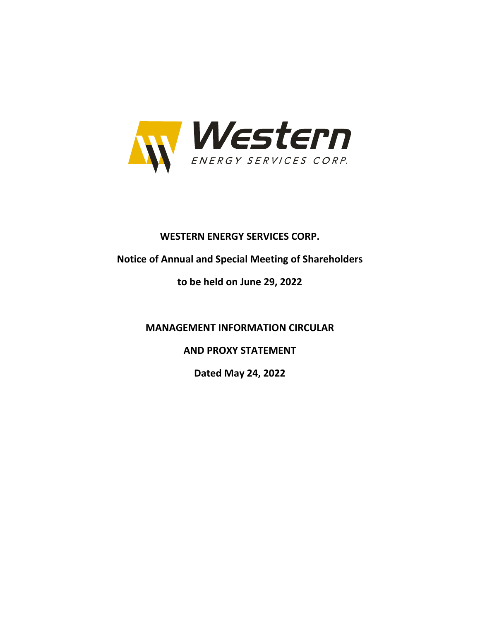

# **WESTERN ENERGY SERVICES CORP.**

# **Notice of Annual and Special Meeting of Shareholders**

# **to be held on June 29, 2022**

**MANAGEMENT INFORMATION CIRCULAR**

**AND PROXY STATEMENT**

**Dated May 24, 2022**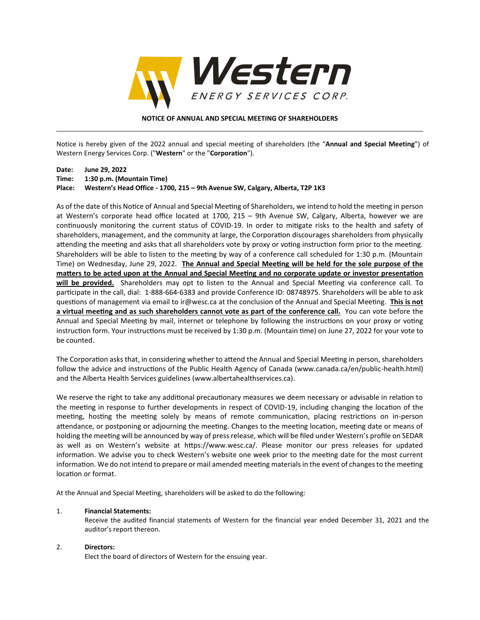

#### **NOTICE OF ANNUAL AND SPECIAL MEETING OF SHAREHOLDERS**

Notice is hereby given of the 2022 annual and special meeting of shareholders (the "**Annual and Special Meeting**") of Western Energy Services Corp. ("**Western**" or the "**Corporation**").

#### **Date: June 29, 2022 Time: 1:30 p.m. (Mountain Time) Place: Western's Head Office - 1700, 215 – 9th Avenue SW, Calgary, Alberta, T2P 1K3**

As of the date of this Notice of Annual and Special Meeting of Shareholders, we intend to hold the meeting in person at Western's corporate head office located at 1700, 215 – 9th Avenue SW, Calgary, Alberta, however we are continuously monitoring the current status of COVID-19. In order to mitigate risks to the health and safety of shareholders, management, and the community at large, the Corporation discourages shareholders from physically attending the meeting and asks that all shareholders vote by proxy or voting instruction form prior to the meeting. Shareholders will be able to listen to the meeting by way of a conference call scheduled for 1:30 p.m. (Mountain Time) on Wednesday, June 29, 2022. **The Annual and Special Meeting will be held for the sole purpose of the matters to be acted upon at the Annual and Special Meeting and no corporate update or investor presentation will be provided.** Shareholders may opt to listen to the Annual and Special Meeting via conference call. To participate in the call, dial: 1-888-664-6383 and provide Conference ID: 08748975. Shareholders will be able to ask questions of management via email to ir@wesc.ca at the conclusion of the Annual and Special Meeting. **This is not a virtual meeting and as such shareholders cannot vote as part of the conference call.** You can vote before the Annual and Special Meeting by mail, internet or telephone by following the instructions on your proxy or voting instruction form. Your instructions must be received by 1:30 p.m. (Mountain time) on June 27, 2022 for your vote to be counted.

The Corporation asks that, in considering whether to attend the Annual and Special Meeting in person, shareholders follow the advice and instructions of the Public Health Agency of Canada (www.canada.ca/en/public-health.html) and the Alberta Health Services guidelines (www.albertahealthservices.ca).

We reserve the right to take any additional precautionary measures we deem necessary or advisable in relation to the meeting in response to further developments in respect of COVID-19, including changing the location of the meeting, hosting the meeting solely by means of remote communication, placing restrictions on in-person attendance, or postponing or adjourning the meeting. Changes to the meeting location, meeting date or means of holding the meeting will be announced by way of press release, which will be filed under Western's profile on SEDAR as well as on Western's website at https://www.wesc.ca/. Please monitor our press releases for updated information. We advise you to check Western's website one week prior to the meeting date for the most current information. We do not intend to prepare or mail amended meeting materials in the event of changes to the meeting location or format.

At the Annual and Special Meeting, shareholders will be asked to do the following:

#### 1. **Financial Statements:**

Receive the audited financial statements of Western for the financial year ended December 31, 2021 and the auditor's report thereon.

#### 2. **Directors:**

Elect the board of directors of Western for the ensuing year.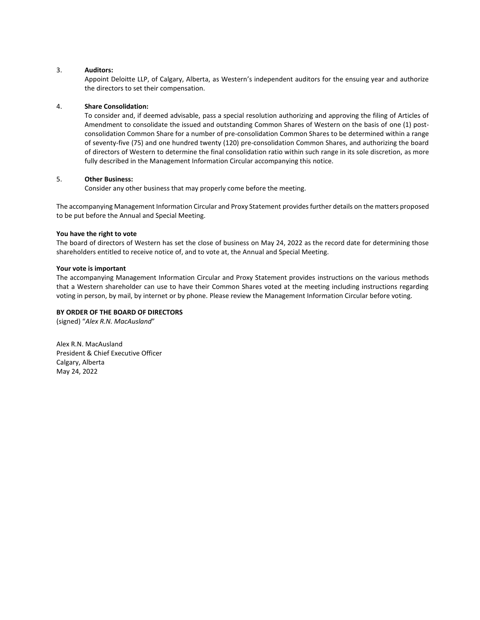#### 3. **Auditors:**

Appoint Deloitte LLP, of Calgary, Alberta, as Western's independent auditors for the ensuing year and authorize the directors to set their compensation.

#### 4. **Share Consolidation:**

To consider and, if deemed advisable, pass a special resolution authorizing and approving the filing of Articles of Amendment to consolidate the issued and outstanding Common Shares of Western on the basis of one (1) postconsolidation Common Share for a number of pre-consolidation Common Shares to be determined within a range of seventy-five (75) and one hundred twenty (120) pre-consolidation Common Shares, and authorizing the board of directors of Western to determine the final consolidation ratio within such range in its sole discretion, as more fully described in the Management Information Circular accompanying this notice.

#### 5. **Other Business:**

Consider any other business that may properly come before the meeting.

The accompanying Management Information Circular and Proxy Statement provides further details on the matters proposed to be put before the Annual and Special Meeting.

#### **You have the right to vote**

The board of directors of Western has set the close of business on May 24, 2022 as the record date for determining those shareholders entitled to receive notice of, and to vote at, the Annual and Special Meeting.

#### **Your vote is important**

The accompanying Management Information Circular and Proxy Statement provides instructions on the various methods that a Western shareholder can use to have their Common Shares voted at the meeting including instructions regarding voting in person, by mail, by internet or by phone. Please review the Management Information Circular before voting.

#### **BY ORDER OF THE BOARD OF DIRECTORS**

(signed) "*Alex R.N. MacAusland*"

Alex R.N. MacAusland President & Chief Executive Officer Calgary, Alberta May 24, 2022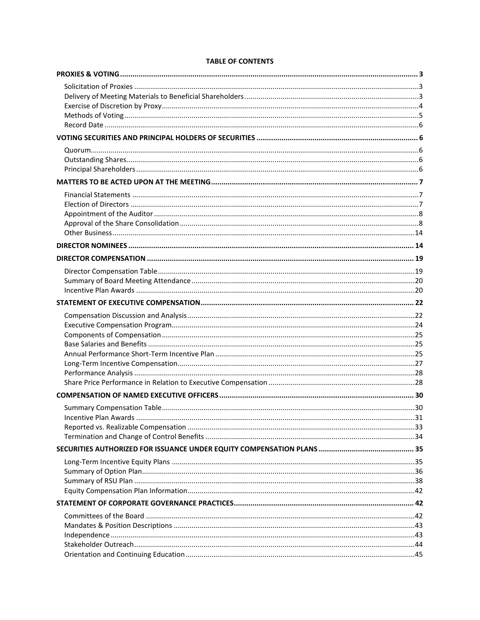# **TABLE OF CONTENTS**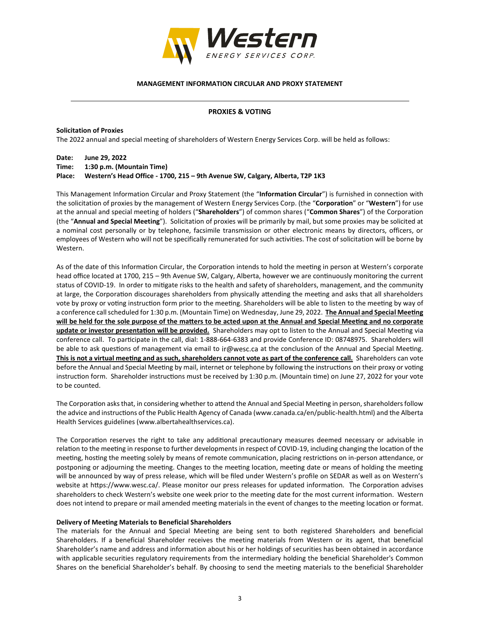

#### **MANAGEMENT INFORMATION CIRCULAR AND PROXY STATEMENT**

#### **PROXIES & VOTING**

**Solicitation of Proxies**

The 2022 annual and special meeting of shareholders of Western Energy Services Corp. will be held as follows:

**Date: June 29, 2022**

**Time: 1:30 p.m. (Mountain Time)**

**Place: Western's Head Office - 1700, 215 – 9th Avenue SW, Calgary, Alberta, T2P 1K3**

This Management Information Circular and Proxy Statement (the "**Information Circular**") is furnished in connection with the solicitation of proxies by the management of Western Energy Services Corp. (the "**Corporation**" or "**Western**") for use at the annual and special meeting of holders ("**Shareholders**") of common shares ("**Common Shares**") of the Corporation (the "**Annual and Special Meeting**"). Solicitation of proxies will be primarily by mail, but some proxies may be solicited at a nominal cost personally or by telephone, facsimile transmission or other electronic means by directors, officers, or employees of Western who will not be specifically remunerated for such activities. The cost of solicitation will be borne by Western.

As of the date of this Information Circular, the Corporation intends to hold the meeting in person at Western's corporate head office located at 1700, 215 – 9th Avenue SW, Calgary, Alberta, however we are continuously monitoring the current status of COVID-19. In order to mitigate risks to the health and safety of shareholders, management, and the community at large, the Corporation discourages shareholders from physically attending the meeting and asks that all shareholders vote by proxy or voting instruction form prior to the meeting. Shareholders will be able to listen to the meeting by way of a conference call scheduled for 1:30 p.m. (Mountain Time) on Wednesday, June 29, 2022. **The Annual and Special Meeting will be held for the sole purpose of the matters to be acted upon at the Annual and Special Meeting and no corporate update or investor presentation will be provided.** Shareholders may opt to listen to the Annual and Special Meeting via conference call. To participate in the call, dial: 1-888-664-6383 and provide Conference ID: 08748975. Shareholders will be able to ask questions of management via email to ir@wesc.ca at the conclusion of the Annual and Special Meeting. **This is not a virtual meeting and as such, shareholders cannot vote as part of the conference call.** Shareholders can vote before the Annual and Special Meeting by mail, internet or telephone by following the instructions on their proxy or voting instruction form. Shareholder instructions must be received by 1:30 p.m. (Mountain time) on June 27, 2022 for your vote to be counted.

The Corporation asks that, in considering whether to attend the Annual and Special Meeting in person, shareholders follow the advice and instructions of the Public Health Agency of Canada (www.canada.ca/en/public-health.html) and the Alberta Health Services guidelines (www.albertahealthservices.ca).

The Corporation reserves the right to take any additional precautionary measures deemed necessary or advisable in relation to the meeting in response to further developments in respect of COVID-19, including changing the location of the meeting, hosting the meeting solely by means of remote communication, placing restrictions on in-person attendance, or postponing or adjourning the meeting. Changes to the meeting location, meeting date or means of holding the meeting will be announced by way of press release, which will be filed under Western's profile on SEDAR as well as on Western's website at https://www.wesc.ca/. Please monitor our press releases for updated information. The Corporation advises shareholders to check Western's website one week prior to the meeting date for the most current information. Western does not intend to prepare or mail amended meeting materials in the event of changes to the meeting location or format.

#### **Delivery of Meeting Materials to Beneficial Shareholders**

The materials for the Annual and Special Meeting are being sent to both registered Shareholders and beneficial Shareholders. If a beneficial Shareholder receives the meeting materials from Western or its agent, that beneficial Shareholder's name and address and information about his or her holdings of securities has been obtained in accordance with applicable securities regulatory requirements from the intermediary holding the beneficial Shareholder's Common Shares on the beneficial Shareholder's behalf. By choosing to send the meeting materials to the beneficial Shareholder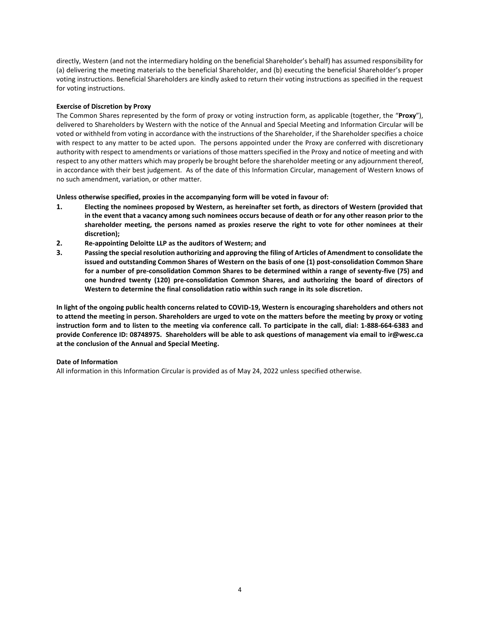directly, Western (and not the intermediary holding on the beneficial Shareholder's behalf) has assumed responsibility for (a) delivering the meeting materials to the beneficial Shareholder, and (b) executing the beneficial Shareholder's proper voting instructions. Beneficial Shareholders are kindly asked to return their voting instructions as specified in the request for voting instructions.

#### **Exercise of Discretion by Proxy**

The Common Shares represented by the form of proxy or voting instruction form, as applicable (together, the "**Proxy**"), delivered to Shareholders by Western with the notice of the Annual and Special Meeting and Information Circular will be voted or withheld from voting in accordance with the instructions of the Shareholder, if the Shareholder specifies a choice with respect to any matter to be acted upon. The persons appointed under the Proxy are conferred with discretionary authority with respect to amendments or variations of those matters specified in the Proxy and notice of meeting and with respect to any other matters which may properly be brought before the shareholder meeting or any adjournment thereof, in accordance with their best judgement. As of the date of this Information Circular, management of Western knows of no such amendment, variation, or other matter.

# **Unless otherwise specified, proxies in the accompanying form will be voted in favour of:**

- **1. Electing the nominees proposed by Western, as hereinafter set forth, as directors of Western (provided that in the event that a vacancy among such nominees occurs because of death or for any other reason prior to the shareholder meeting, the persons named as proxies reserve the right to vote for other nominees at their discretion);**
- **2. Re-appointing Deloitte LLP as the auditors of Western; and**
- **3. Passing the special resolution authorizing and approving the filing of Articles of Amendment to consolidate the issued and outstanding Common Shares of Western on the basis of one (1) post-consolidation Common Share for a number of pre-consolidation Common Shares to be determined within a range of seventy-five (75) and one hundred twenty (120) pre-consolidation Common Shares, and authorizing the board of directors of Western to determine the final consolidation ratio within such range in its sole discretion.**

**In light of the ongoing public health concerns related to COVID-19, Western is encouraging shareholders and others not to attend the meeting in person. Shareholders are urged to vote on the matters before the meeting by proxy or voting instruction form and to listen to the meeting via conference call. To participate in the call, dial: 1-888-664-6383 and provide Conference ID: 08748975. Shareholders will be able to ask questions of management via email to ir@wesc.ca at the conclusion of the Annual and Special Meeting.**

#### **Date of Information**

All information in this Information Circular is provided as of May 24, 2022 unless specified otherwise.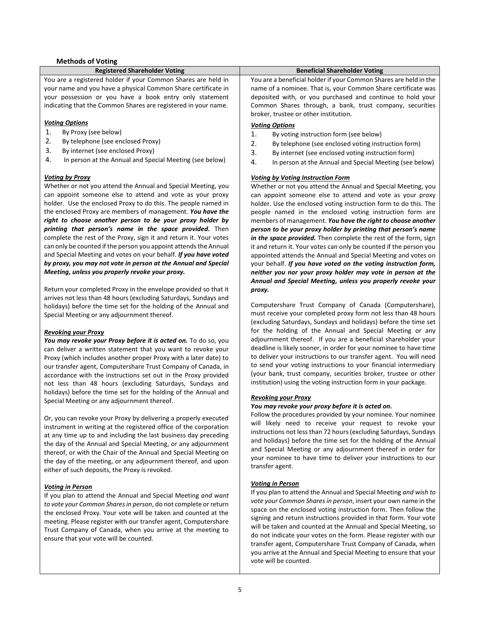#### **Methods of Voting**

#### **Registered Shareholder Voting Beneficial Shareholder Voting**

You are a registered holder if your Common Shares are held in your name and you have a physical Common Share certificate in your possession or you have a book entry only statement indicating that the Common Shares are registered in your name.

#### *Voting Options*

- 1. By Proxy (see below)
- 2. By telephone (see enclosed Proxy)
- 3. By internet (see enclosed Proxy)
- 4. In person at the Annual and Special Meeting (see below)

#### *Voting by Proxy*

Whether or not you attend the Annual and Special Meeting, you can appoint someone else to attend and vote as your proxy holder. Use the enclosed Proxy to do this. The people named in the enclosed Proxy are members of management. *You have the right to choose another person to be your proxy holder by printing that person's name in the space provided.* Then complete the rest of the Proxy, sign it and return it. Your votes can only be counted if the person you appoint attends the Annual and Special Meeting and votes on your behalf. *If you have voted by proxy, you may not vote in person at the Annual and Special Meeting, unless you properly revoke your proxy.*

Return your completed Proxy in the envelope provided so that it arrives not less than 48 hours (excluding Saturdays, Sundays and holidays) before the time set for the holding of the Annual and Special Meeting or any adjournment thereof.

#### *Revoking your Proxy*

*You may revoke your Proxy before it is acted on.* To do so, you can deliver a written statement that you want to revoke your Proxy (which includes another proper Proxy with a later date) to our transfer agent, Computershare Trust Company of Canada, in accordance with the instructions set out in the Proxy provided not less than 48 hours (excluding Saturdays, Sundays and holidays) before the time set for the holding of the Annual and Special Meeting or any adjournment thereof.

Or, you can revoke your Proxy by delivering a properly executed instrument in writing at the registered office of the corporation at any time up to and including the last business day preceding the day of the Annual and Special Meeting, or any adjournment thereof, or with the Chair of the Annual and Special Meeting on the day of the meeting, or any adjournment thereof, and upon either of such deposits, the Proxy is revoked.

#### *Voting in Person*

If you plan to attend the Annual and Special Meeting *and want to vote your Common Shares in person*, do not complete or return the enclosed Proxy. Your vote will be taken and counted at the meeting. Please register with our transfer agent, Computershare Trust Company of Canada, when you arrive at the meeting to ensure that your vote will be counted.

You are a beneficial holder if your Common Shares are held in the name of a nominee. That is, your Common Share certificate was deposited with, or you purchased and continue to hold your Common Shares through, a bank, trust company, securities broker, trustee or other institution.

#### *Voting Options*

- 1. By voting instruction form (see below)
- 2. By telephone (see enclosed voting instruction form)
- 3. By internet (see enclosed voting instruction form)
- 4. In person at the Annual and Special Meeting (see below)

#### *Voting by Voting Instruction Form*

Whether or not you attend the Annual and Special Meeting, you can appoint someone else to attend and vote as your proxy holder. Use the enclosed voting instruction form to do this. The people named in the enclosed voting instruction form are members of management. *You have the right to choose another person to be your proxy holder by printing that person's name in the space provided.* Then complete the rest of the form, sign it and return it. Your votes can only be counted if the person you appointed attends the Annual and Special Meeting and votes on your behalf. *If you have voted on the voting instruction form, neither you nor your proxy holder may vote in person at the Annual and Special Meeting, unless you properly revoke your proxy.*

Computershare Trust Company of Canada (Computershare), must receive your completed proxy form not less than 48 hours (excluding Saturdays, Sundays and holidays) before the time set for the holding of the Annual and Special Meeting or any adjournment thereof. If you are a beneficial shareholder your deadline is likely sooner, in order for your nominee to have time to deliver your instructions to our transfer agent. You will need to send your voting instructions to your financial intermediary (your bank, trust company, securities broker, trustee or other institution) using the voting instruction form in your package.

#### *Revoking your Proxy*

#### *You may revoke your proxy before it is acted on.*

Follow the procedures provided by your nominee. Your nominee will likely need to receive your request to revoke your instructions not less than 72 hours (excluding Saturdays, Sundays and holidays) before the time set for the holding of the Annual and Special Meeting or any adjournment thereof in order for your nominee to have time to deliver your instructions to our transfer agent.

#### *Voting in Person*

If you plan to attend the Annual and Special Meeting *and wish to vote your Common Shares in person*, insert your own name in the space on the enclosed voting instruction form. Then follow the signing and return instructions provided in that form. Your vote will be taken and counted at the Annual and Special Meeting, so do not indicate your votes on the form. Please register with our transfer agent, Computershare Trust Company of Canada, when you arrive at the Annual and Special Meeting to ensure that your vote will be counted.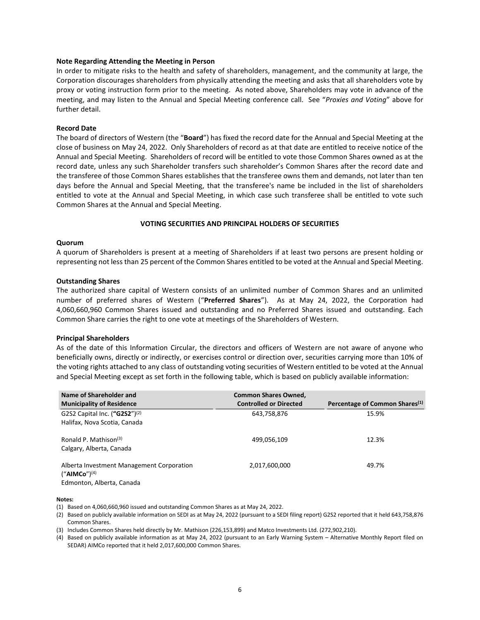#### **Note Regarding Attending the Meeting in Person**

In order to mitigate risks to the health and safety of shareholders, management, and the community at large, the Corporation discourages shareholders from physically attending the meeting and asks that all shareholders vote by proxy or voting instruction form prior to the meeting. As noted above, Shareholders may vote in advance of the meeting, and may listen to the Annual and Special Meeting conference call. See "*Proxies and Voting*" above for further detail.

#### **Record Date**

The board of directors of Western (the "**Board**") has fixed the record date for the Annual and Special Meeting at the close of business on May 24, 2022. Only Shareholders of record as at that date are entitled to receive notice of the Annual and Special Meeting. Shareholders of record will be entitled to vote those Common Shares owned as at the record date, unless any such Shareholder transfers such shareholder's Common Shares after the record date and the transferee of those Common Shares establishes that the transferee owns them and demands, not later than ten days before the Annual and Special Meeting, that the transferee's name be included in the list of shareholders entitled to vote at the Annual and Special Meeting, in which case such transferee shall be entitled to vote such Common Shares at the Annual and Special Meeting.

#### **VOTING SECURITIES AND PRINCIPAL HOLDERS OF SECURITIES**

#### **Quorum**

A quorum of Shareholders is present at a meeting of Shareholders if at least two persons are present holding or representing not less than 25 percent of the Common Shares entitled to be voted at the Annual and Special Meeting.

#### **Outstanding Shares**

The authorized share capital of Western consists of an unlimited number of Common Shares and an unlimited number of preferred shares of Western ("**Preferred Shares**"). As at May 24, 2022, the Corporation had 4,060,660,960 Common Shares issued and outstanding and no Preferred Shares issued and outstanding. Each Common Share carries the right to one vote at meetings of the Shareholders of Western.

#### **Principal Shareholders**

As of the date of this Information Circular, the directors and officers of Western are not aware of anyone who beneficially owns, directly or indirectly, or exercises control or direction over, securities carrying more than 10% of the voting rights attached to any class of outstanding voting securities of Western entitled to be voted at the Annual and Special Meeting except as set forth in the following table, which is based on publicly available information:

| Name of Shareholder and<br><b>Municipality of Residence</b>                                 | <b>Common Shares Owned,</b><br><b>Controlled or Directed</b> | Percentage of Common Shares <sup>(1)</sup> |
|---------------------------------------------------------------------------------------------|--------------------------------------------------------------|--------------------------------------------|
| G2S2 Capital Inc. $({}^{\prime\prime}$ G2S2" $)^{(2)}$<br>Halifax, Nova Scotia, Canada      | 643,758,876                                                  | 15.9%                                      |
| Ronald P. Mathison <sup>(3)</sup><br>Calgary, Alberta, Canada                               | 499,056,109                                                  | 12.3%                                      |
| Alberta Investment Management Corporation<br>$("AIMCo")^{(4)}$<br>Edmonton, Alberta, Canada | 2,017,600,000                                                | 49.7%                                      |

**Notes:**

- (1) Based on 4,060,660,960 issued and outstanding Common Shares as at May 24, 2022.
- (2) Based on publicly available information on SEDI as at May 24, 2022 (pursuant to a SEDI filing report) G2S2 reported that it held 643,758,876 Common Shares.
- (3) Includes Common Shares held directly by Mr. Mathison (226,153,899) and Matco Investments Ltd. (272,902,210).
- (4) Based on publicly available information as at May 24, 2022 (pursuant to an Early Warning System Alternative Monthly Report filed on SEDAR) AIMCo reported that it held 2,017,600,000 Common Shares.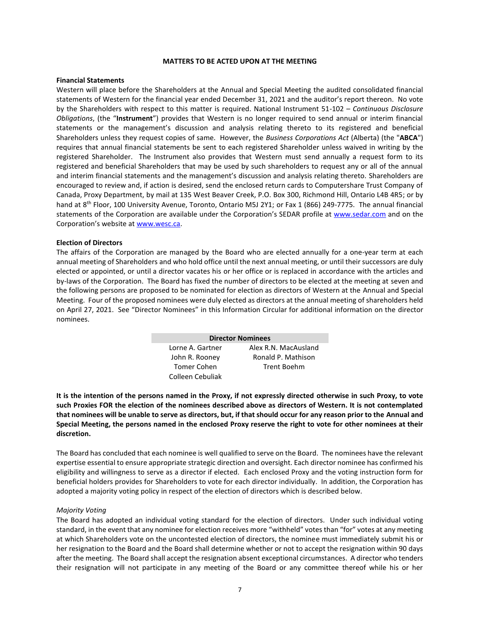#### **MATTERS TO BE ACTED UPON AT THE MEETING**

#### **Financial Statements**

Western will place before the Shareholders at the Annual and Special Meeting the audited consolidated financial statements of Western for the financial year ended December 31, 2021 and the auditor's report thereon. No vote by the Shareholders with respect to this matter is required. National Instrument 51-102 – *Continuous Disclosure Obligations*, (the "**Instrument**") provides that Western is no longer required to send annual or interim financial statements or the management's discussion and analysis relating thereto to its registered and beneficial Shareholders unless they request copies of same. However, the *Business Corporations Act* (Alberta) (the "**ABCA**") requires that annual financial statements be sent to each registered Shareholder unless waived in writing by the registered Shareholder. The Instrument also provides that Western must send annually a request form to its registered and beneficial Shareholders that may be used by such shareholders to request any or all of the annual and interim financial statements and the management's discussion and analysis relating thereto. Shareholders are encouraged to review and, if action is desired, send the enclosed return cards to Computershare Trust Company of Canada, Proxy Department, by mail at 135 West Beaver Creek, P.O. Box 300, Richmond Hill, Ontario L4B 4R5; or by hand at 8<sup>th</sup> Floor, 100 University Avenue, Toronto, Ontario M5J 2Y1; or Fax 1 (866) 249-7775. The annual financial statements of the Corporation are available under the Corporation's SEDAR profile at [www.sedar.com](http://www.sedar.com/) and on the Corporation's website at [www.wesc.ca.](http://www.wesc.ca/)

#### **Election of Directors**

The affairs of the Corporation are managed by the Board who are elected annually for a one-year term at each annual meeting of Shareholders and who hold office until the next annual meeting, or until their successors are duly elected or appointed, or until a director vacates his or her office or is replaced in accordance with the articles and by-laws of the Corporation. The Board has fixed the number of directors to be elected at the meeting at seven and the following persons are proposed to be nominated for election as directors of Western at the Annual and Special Meeting. Four of the proposed nominees were duly elected as directors at the annual meeting of shareholders held on April 27, 2021. See "Director Nominees" in this Information Circular for additional information on the director nominees.

| <b>Director Nominees</b> |                      |  |  |  |  |
|--------------------------|----------------------|--|--|--|--|
| Lorne A. Gartner         | Alex R.N. MacAusland |  |  |  |  |
| John R. Rooney           | Ronald P. Mathison   |  |  |  |  |
| Tomer Cohen              | Trent Boehm          |  |  |  |  |
| Colleen Cebuliak         |                      |  |  |  |  |

**It is the intention of the persons named in the Proxy, if not expressly directed otherwise in such Proxy, to vote such Proxies FOR the election of the nominees described above as directors of Western. It is not contemplated that nominees will be unable to serve as directors, but, if that should occur for any reason prior to the Annual and Special Meeting, the persons named in the enclosed Proxy reserve the right to vote for other nominees at their discretion.**

The Board has concluded that each nominee is well qualified to serve on the Board. The nominees have the relevant expertise essential to ensure appropriate strategic direction and oversight. Each director nominee has confirmed his eligibility and willingness to serve as a director if elected. Each enclosed Proxy and the voting instruction form for beneficial holders provides for Shareholders to vote for each director individually. In addition, the Corporation has adopted a majority voting policy in respect of the election of directors which is described below.

#### *Majority Voting*

The Board has adopted an individual voting standard for the election of directors. Under such individual voting standard, in the event that any nominee for election receives more "withheld" votes than "for" votes at any meeting at which Shareholders vote on the uncontested election of directors, the nominee must immediately submit his or her resignation to the Board and the Board shall determine whether or not to accept the resignation within 90 days after the meeting. The Board shall accept the resignation absent exceptional circumstances. A director who tenders their resignation will not participate in any meeting of the Board or any committee thereof while his or her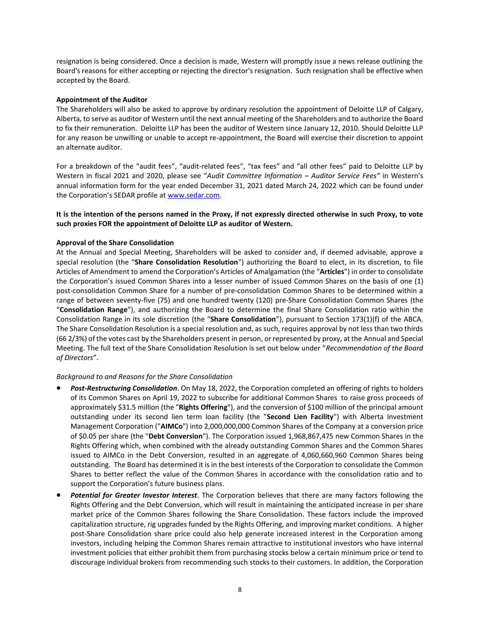resignation is being considered. Once a decision is made, Western will promptly issue a news release outlining the Board's reasons for either accepting or rejecting the director's resignation. Such resignation shall be effective when accepted by the Board.

# **Appointment of the Auditor**

The Shareholders will also be asked to approve by ordinary resolution the appointment of Deloitte LLP of Calgary, Alberta, to serve as auditor of Western until the next annual meeting of the Shareholders and to authorize the Board to fix their remuneration. Deloitte LLP has been the auditor of Western since January 12, 2010. Should Deloitte LLP for any reason be unwilling or unable to accept re-appointment, the Board will exercise their discretion to appoint an alternate auditor.

For a breakdown of the "audit fees", "audit-related fees", "tax fees" and "all other fees" paid to Deloitte LLP by Western in fiscal 2021 and 2020, please see "*Audit Committee Information – Auditor Service Fees"* in Western's annual information form for the year ended December 31, 2021 dated March 24, 2022 which can be found under the Corporation's SEDAR profile at [www.sedar.com.](http://www.sedar.com/)

**It is the intention of the persons named in the Proxy, if not expressly directed otherwise in such Proxy, to vote such proxies FOR the appointment of Deloitte LLP as auditor of Western.**

# **Approval of the Share Consolidation**

At the Annual and Special Meeting, Shareholders will be asked to consider and, if deemed advisable, approve a special resolution (the "**Share Consolidation Resolution**") authorizing the Board to elect, in its discretion, to file Articles of Amendment to amend the Corporation's Articles of Amalgamation (the "**Articles**") in order to consolidate the Corporation's issued Common Shares into a lesser number of issued Common Shares on the basis of one (1) post-consolidation Common Share for a number of pre-consolidation Common Shares to be determined within a range of between seventy-five (75) and one hundred twenty (120) pre-Share Consolidation Common Shares (the "**Consolidation Range**"), and authorizing the Board to determine the final Share Consolidation ratio within the Consolidation Range in its sole discretion (the "**Share Consolidation**"), pursuant to Section 173(1)(f) of the ABCA. The Share Consolidation Resolution is a special resolution and, as such, requires approval by not less than two thirds (66 2/3%) of the votes cast by the Shareholders present in person, or represented by proxy, at the Annual and Special Meeting. The full text of the Share Consolidation Resolution is set out below under "*Recommendation of the Board of Directors*".

#### *Background to and Reasons for the Share Consolidation*

- *Post-Restructuring Consolidation*. On May 18, 2022, the Corporation completed an offering of rights to holders of its Common Shares on April 19, 2022 to subscribe for additional Common Shares to raise gross proceeds of approximately \$31.5 million (the "**Rights Offering**"), and the conversion of \$100 million of the principal amount outstanding under its second lien term loan facility (the "**Second Lien Facility**") with Alberta Investment Management Corporation ("**AIMCo**") into 2,000,000,000 Common Shares of the Company at a conversion price of \$0.05 per share (the "**Debt Conversion**"). The Corporation issued 1,968,867,475 new Common Shares in the Rights Offering which, when combined with the already outstanding Common Shares and the Common Shares issued to AIMCo in the Debt Conversion, resulted in an aggregate of 4,060,660,960 Common Shares being outstanding. The Board has determined it is in the best interests of the Corporation to consolidate the Common Shares to better reflect the value of the Common Shares in accordance with the consolidation ratio and to support the Corporation's future business plans.
- *Potential for Greater Investor Interest*. The Corporation believes that there are many factors following the Rights Offering and the Debt Conversion, which will result in maintaining the anticipated increase in per share market price of the Common Shares following the Share Consolidation. These factors include the improved capitalization structure, rig upgrades funded by the Rights Offering, and improving market conditions. A higher post-Share Consolidation share price could also help generate increased interest in the Corporation among investors, including helping the Common Shares remain attractive to institutional investors who have internal investment policies that either prohibit them from purchasing stocks below a certain minimum price or tend to discourage individual brokers from recommending such stocks to their customers. In addition, the Corporation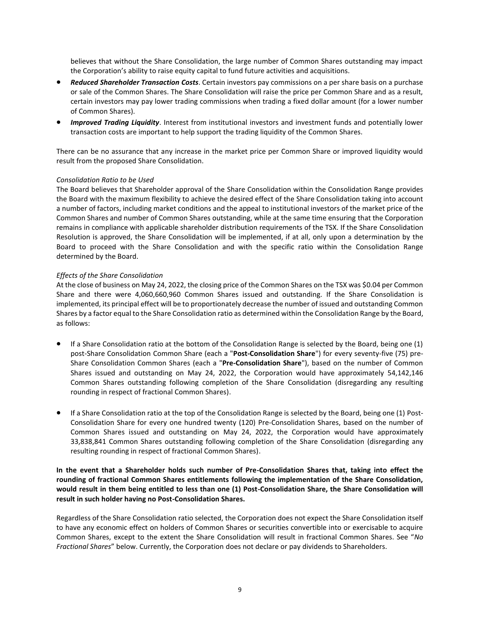believes that without the Share Consolidation, the large number of Common Shares outstanding may impact the Corporation's ability to raise equity capital to fund future activities and acquisitions.

- *Reduced Shareholder Transaction Costs*. Certain investors pay commissions on a per share basis on a purchase or sale of the Common Shares. The Share Consolidation will raise the price per Common Share and as a result, certain investors may pay lower trading commissions when trading a fixed dollar amount (for a lower number of Common Shares).
- *Improved Trading Liquidity*. Interest from institutional investors and investment funds and potentially lower transaction costs are important to help support the trading liquidity of the Common Shares.

There can be no assurance that any increase in the market price per Common Share or improved liquidity would result from the proposed Share Consolidation.

# *Consolidation Ratio to be Used*

The Board believes that Shareholder approval of the Share Consolidation within the Consolidation Range provides the Board with the maximum flexibility to achieve the desired effect of the Share Consolidation taking into account a number of factors, including market conditions and the appeal to institutional investors of the market price of the Common Shares and number of Common Shares outstanding, while at the same time ensuring that the Corporation remains in compliance with applicable shareholder distribution requirements of the TSX. If the Share Consolidation Resolution is approved, the Share Consolidation will be implemented, if at all, only upon a determination by the Board to proceed with the Share Consolidation and with the specific ratio within the Consolidation Range determined by the Board.

# *Effects of the Share Consolidation*

At the close of business on May 24, 2022, the closing price of the Common Shares on the TSX was \$0.04 per Common Share and there were 4,060,660,960 Common Shares issued and outstanding. If the Share Consolidation is implemented, its principal effect will be to proportionately decrease the number of issued and outstanding Common Shares by a factor equal to the Share Consolidation ratio as determined within the Consolidation Range by the Board, as follows:

- If a Share Consolidation ratio at the bottom of the Consolidation Range is selected by the Board, being one (1) post-Share Consolidation Common Share (each a "**Post-Consolidation Share**") for every seventy-five (75) pre-Share Consolidation Common Shares (each a "**Pre-Consolidation Share**"), based on the number of Common Shares issued and outstanding on May 24, 2022, the Corporation would have approximately 54,142,146 Common Shares outstanding following completion of the Share Consolidation (disregarding any resulting rounding in respect of fractional Common Shares).
- If a Share Consolidation ratio at the top of the Consolidation Range is selected by the Board, being one (1) Post-Consolidation Share for every one hundred twenty (120) Pre-Consolidation Shares, based on the number of Common Shares issued and outstanding on May 24, 2022, the Corporation would have approximately 33,838,841 Common Shares outstanding following completion of the Share Consolidation (disregarding any resulting rounding in respect of fractional Common Shares).

# **In the event that a Shareholder holds such number of Pre-Consolidation Shares that, taking into effect the rounding of fractional Common Shares entitlements following the implementation of the Share Consolidation, would result in them being entitled to less than one (1) Post-Consolidation Share, the Share Consolidation will result in such holder having no Post-Consolidation Shares.**

Regardless of the Share Consolidation ratio selected, the Corporation does not expect the Share Consolidation itself to have any economic effect on holders of Common Shares or securities convertible into or exercisable to acquire Common Shares, except to the extent the Share Consolidation will result in fractional Common Shares. See "*No Fractional Shares*" below. Currently, the Corporation does not declare or pay dividends to Shareholders.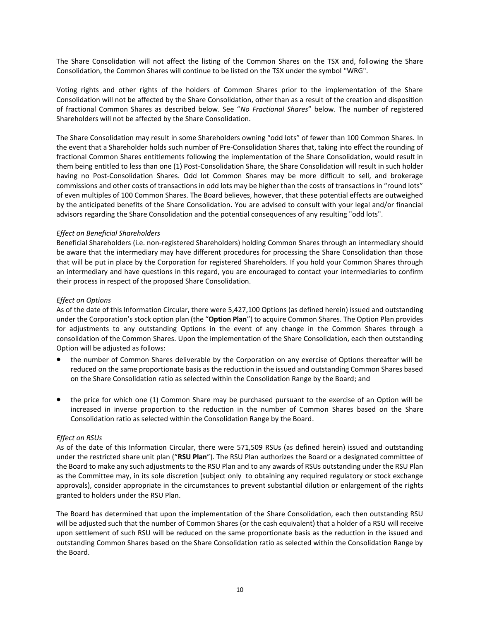The Share Consolidation will not affect the listing of the Common Shares on the TSX and, following the Share Consolidation, the Common Shares will continue to be listed on the TSX under the symbol "WRG".

Voting rights and other rights of the holders of Common Shares prior to the implementation of the Share Consolidation will not be affected by the Share Consolidation, other than as a result of the creation and disposition of fractional Common Shares as described below. See "*No Fractional Shares*" below. The number of registered Shareholders will not be affected by the Share Consolidation.

The Share Consolidation may result in some Shareholders owning "odd lots" of fewer than 100 Common Shares. In the event that a Shareholder holds such number of Pre-Consolidation Shares that, taking into effect the rounding of fractional Common Shares entitlements following the implementation of the Share Consolidation, would result in them being entitled to less than one (1) Post-Consolidation Share, the Share Consolidation will result in such holder having no Post-Consolidation Shares. Odd lot Common Shares may be more difficult to sell, and brokerage commissions and other costs of transactions in odd lots may be higher than the costs of transactions in "round lots" of even multiples of 100 Common Shares. The Board believes, however, that these potential effects are outweighed by the anticipated benefits of the Share Consolidation. You are advised to consult with your legal and/or financial advisors regarding the Share Consolidation and the potential consequences of any resulting "odd lots".

# *Effect on Beneficial Shareholders*

Beneficial Shareholders (i.e. non-registered Shareholders) holding Common Shares through an intermediary should be aware that the intermediary may have different procedures for processing the Share Consolidation than those that will be put in place by the Corporation for registered Shareholders. If you hold your Common Shares through an intermediary and have questions in this regard, you are encouraged to contact your intermediaries to confirm their process in respect of the proposed Share Consolidation.

# *Effect on Options*

As of the date of this Information Circular, there were 5,427,100 Options (as defined herein) issued and outstanding under the Corporation's stock option plan (the "**Option Plan**") to acquire Common Shares. The Option Plan provides for adjustments to any outstanding Options in the event of any change in the Common Shares through a consolidation of the Common Shares. Upon the implementation of the Share Consolidation, each then outstanding Option will be adjusted as follows:

- the number of Common Shares deliverable by the Corporation on any exercise of Options thereafter will be reduced on the same proportionate basis as the reduction in the issued and outstanding Common Shares based on the Share Consolidation ratio as selected within the Consolidation Range by the Board; and
- the price for which one (1) Common Share may be purchased pursuant to the exercise of an Option will be increased in inverse proportion to the reduction in the number of Common Shares based on the Share Consolidation ratio as selected within the Consolidation Range by the Board.

#### *Effect on RSUs*

As of the date of this Information Circular, there were 571,509 RSUs (as defined herein) issued and outstanding under the restricted share unit plan ("**RSU Plan**"). The RSU Plan authorizes the Board or a designated committee of the Board to make any such adjustments to the RSU Plan and to any awards of RSUs outstanding under the RSU Plan as the Committee may, in its sole discretion (subject only to obtaining any required regulatory or stock exchange approvals), consider appropriate in the circumstances to prevent substantial dilution or enlargement of the rights granted to holders under the RSU Plan.

The Board has determined that upon the implementation of the Share Consolidation, each then outstanding RSU will be adjusted such that the number of Common Shares (or the cash equivalent) that a holder of a RSU will receive upon settlement of such RSU will be reduced on the same proportionate basis as the reduction in the issued and outstanding Common Shares based on the Share Consolidation ratio as selected within the Consolidation Range by the Board.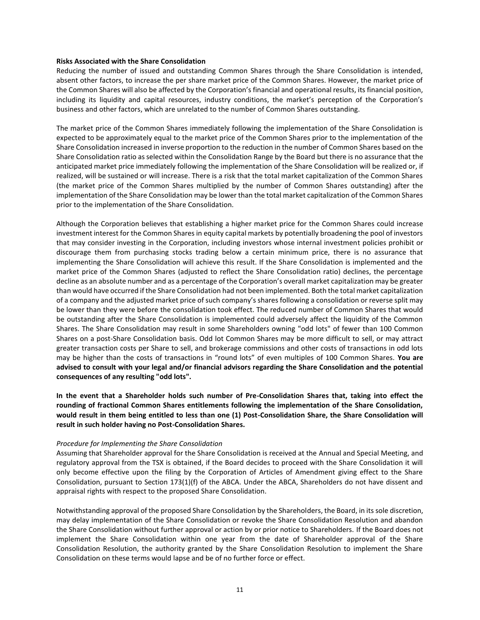#### **Risks Associated with the Share Consolidation**

Reducing the number of issued and outstanding Common Shares through the Share Consolidation is intended, absent other factors, to increase the per share market price of the Common Shares. However, the market price of the Common Shares will also be affected by the Corporation's financial and operational results, its financial position, including its liquidity and capital resources, industry conditions, the market's perception of the Corporation's business and other factors, which are unrelated to the number of Common Shares outstanding.

The market price of the Common Shares immediately following the implementation of the Share Consolidation is expected to be approximately equal to the market price of the Common Shares prior to the implementation of the Share Consolidation increased in inverse proportion to the reduction in the number of Common Shares based on the Share Consolidation ratio as selected within the Consolidation Range by the Board but there is no assurance that the anticipated market price immediately following the implementation of the Share Consolidation will be realized or, if realized, will be sustained or will increase. There is a risk that the total market capitalization of the Common Shares (the market price of the Common Shares multiplied by the number of Common Shares outstanding) after the implementation of the Share Consolidation may be lower than the total market capitalization of the Common Shares prior to the implementation of the Share Consolidation.

Although the Corporation believes that establishing a higher market price for the Common Shares could increase investment interest for the Common Shares in equity capital markets by potentially broadening the pool of investors that may consider investing in the Corporation, including investors whose internal investment policies prohibit or discourage them from purchasing stocks trading below a certain minimum price, there is no assurance that implementing the Share Consolidation will achieve this result. If the Share Consolidation is implemented and the market price of the Common Shares (adjusted to reflect the Share Consolidation ratio) declines, the percentage decline as an absolute number and as a percentage of the Corporation's overall market capitalization may be greater than would have occurred if the Share Consolidation had not been implemented. Both the total market capitalization of a company and the adjusted market price of such company's shares following a consolidation or reverse split may be lower than they were before the consolidation took effect. The reduced number of Common Shares that would be outstanding after the Share Consolidation is implemented could adversely affect the liquidity of the Common Shares. The Share Consolidation may result in some Shareholders owning "odd lots" of fewer than 100 Common Shares on a post-Share Consolidation basis. Odd lot Common Shares may be more difficult to sell, or may attract greater transaction costs per Share to sell, and brokerage commissions and other costs of transactions in odd lots may be higher than the costs of transactions in "round lots" of even multiples of 100 Common Shares. **You are advised to consult with your legal and/or financial advisors regarding the Share Consolidation and the potential consequences of any resulting "odd lots".**

**In the event that a Shareholder holds such number of Pre-Consolidation Shares that, taking into effect the rounding of fractional Common Shares entitlements following the implementation of the Share Consolidation, would result in them being entitled to less than one (1) Post-Consolidation Share, the Share Consolidation will result in such holder having no Post-Consolidation Shares.**

#### *Procedure for Implementing the Share Consolidation*

Assuming that Shareholder approval for the Share Consolidation is received at the Annual and Special Meeting, and regulatory approval from the TSX is obtained, if the Board decides to proceed with the Share Consolidation it will only become effective upon the filing by the Corporation of Articles of Amendment giving effect to the Share Consolidation, pursuant to Section 173(1)(f) of the ABCA. Under the ABCA, Shareholders do not have dissent and appraisal rights with respect to the proposed Share Consolidation.

Notwithstanding approval of the proposed Share Consolidation by the Shareholders, the Board, in its sole discretion, may delay implementation of the Share Consolidation or revoke the Share Consolidation Resolution and abandon the Share Consolidation without further approval or action by or prior notice to Shareholders. If the Board does not implement the Share Consolidation within one year from the date of Shareholder approval of the Share Consolidation Resolution, the authority granted by the Share Consolidation Resolution to implement the Share Consolidation on these terms would lapse and be of no further force or effect.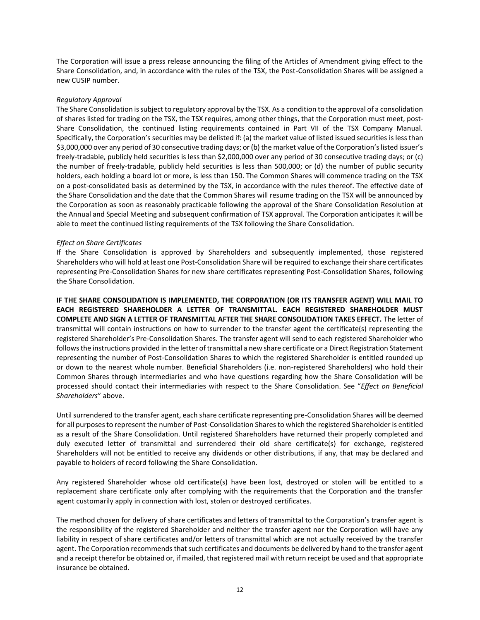The Corporation will issue a press release announcing the filing of the Articles of Amendment giving effect to the Share Consolidation, and, in accordance with the rules of the TSX, the Post-Consolidation Shares will be assigned a new CUSIP number.

# *Regulatory Approval*

The Share Consolidation is subject to regulatory approval by the TSX. As a condition to the approval of a consolidation of shares listed for trading on the TSX, the TSX requires, among other things, that the Corporation must meet, post-Share Consolidation, the continued listing requirements contained in Part VII of the TSX Company Manual. Specifically, the Corporation's securities may be delisted if: (a) the market value of listed issued securities is less than \$3,000,000 over any period of 30 consecutive trading days; or (b) the market value of the Corporation's listed issuer's freely-tradable, publicly held securities is less than \$2,000,000 over any period of 30 consecutive trading days; or (c) the number of freely-tradable, publicly held securities is less than 500,000; or (d) the number of public security holders, each holding a board lot or more, is less than 150. The Common Shares will commence trading on the TSX on a post-consolidated basis as determined by the TSX, in accordance with the rules thereof. The effective date of the Share Consolidation and the date that the Common Shares will resume trading on the TSX will be announced by the Corporation as soon as reasonably practicable following the approval of the Share Consolidation Resolution at the Annual and Special Meeting and subsequent confirmation of TSX approval. The Corporation anticipates it will be able to meet the continued listing requirements of the TSX following the Share Consolidation.

# *Effect on Share Certificates*

If the Share Consolidation is approved by Shareholders and subsequently implemented, those registered Shareholders who will hold at least one Post-Consolidation Share will be required to exchange their share certificates representing Pre-Consolidation Shares for new share certificates representing Post-Consolidation Shares, following the Share Consolidation.

**IF THE SHARE CONSOLIDATION IS IMPLEMENTED, THE CORPORATION (OR ITS TRANSFER AGENT) WILL MAIL TO EACH REGISTERED SHAREHOLDER A LETTER OF TRANSMITTAL. EACH REGISTERED SHAREHOLDER MUST COMPLETE AND SIGN A LETTER OF TRANSMITTAL AFTER THE SHARE CONSOLIDATION TAKES EFFECT.** The letter of transmittal will contain instructions on how to surrender to the transfer agent the certificate(s) representing the registered Shareholder's Pre-Consolidation Shares. The transfer agent will send to each registered Shareholder who follows the instructions provided in the letter of transmittal a new share certificate or a Direct Registration Statement representing the number of Post-Consolidation Shares to which the registered Shareholder is entitled rounded up or down to the nearest whole number. Beneficial Shareholders (i.e. non-registered Shareholders) who hold their Common Shares through intermediaries and who have questions regarding how the Share Consolidation will be processed should contact their intermediaries with respect to the Share Consolidation. See "*Effect on Beneficial Shareholders*" above.

Until surrendered to the transfer agent, each share certificate representing pre-Consolidation Shares will be deemed for all purposes to represent the number of Post-Consolidation Shares to which the registered Shareholder is entitled as a result of the Share Consolidation. Until registered Shareholders have returned their properly completed and duly executed letter of transmittal and surrendered their old share certificate(s) for exchange, registered Shareholders will not be entitled to receive any dividends or other distributions, if any, that may be declared and payable to holders of record following the Share Consolidation.

Any registered Shareholder whose old certificate(s) have been lost, destroyed or stolen will be entitled to a replacement share certificate only after complying with the requirements that the Corporation and the transfer agent customarily apply in connection with lost, stolen or destroyed certificates.

The method chosen for delivery of share certificates and letters of transmittal to the Corporation's transfer agent is the responsibility of the registered Shareholder and neither the transfer agent nor the Corporation will have any liability in respect of share certificates and/or letters of transmittal which are not actually received by the transfer agent. The Corporation recommends that such certificates and documents be delivered by hand to the transfer agent and a receipt therefor be obtained or, if mailed, that registered mail with return receipt be used and that appropriate insurance be obtained.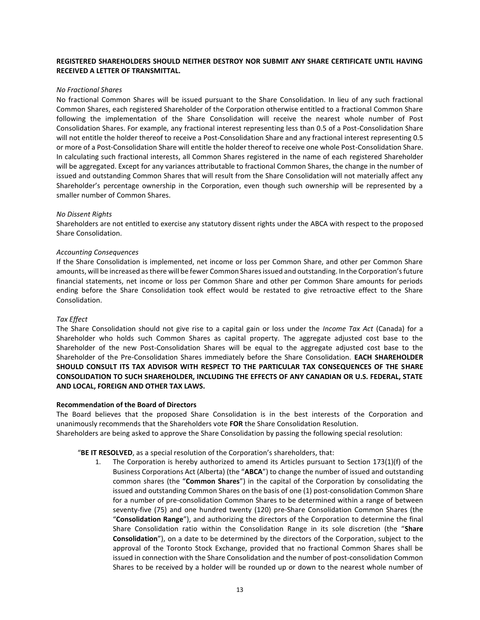# **REGISTERED SHAREHOLDERS SHOULD NEITHER DESTROY NOR SUBMIT ANY SHARE CERTIFICATE UNTIL HAVING RECEIVED A LETTER OF TRANSMITTAL.**

#### *No Fractional Shares*

No fractional Common Shares will be issued pursuant to the Share Consolidation. In lieu of any such fractional Common Shares, each registered Shareholder of the Corporation otherwise entitled to a fractional Common Share following the implementation of the Share Consolidation will receive the nearest whole number of Post Consolidation Shares. For example, any fractional interest representing less than 0.5 of a Post-Consolidation Share will not entitle the holder thereof to receive a Post-Consolidation Share and any fractional interest representing 0.5 or more of a Post-Consolidation Share will entitle the holder thereof to receive one whole Post-Consolidation Share. In calculating such fractional interests, all Common Shares registered in the name of each registered Shareholder will be aggregated. Except for any variances attributable to fractional Common Shares, the change in the number of issued and outstanding Common Shares that will result from the Share Consolidation will not materially affect any Shareholder's percentage ownership in the Corporation, even though such ownership will be represented by a smaller number of Common Shares.

#### *No Dissent Rights*

Shareholders are not entitled to exercise any statutory dissent rights under the ABCA with respect to the proposed Share Consolidation.

#### *Accounting Consequences*

If the Share Consolidation is implemented, net income or loss per Common Share, and other per Common Share amounts, will be increased as there will be fewer Common Shares issued and outstanding. In the Corporation's future financial statements, net income or loss per Common Share and other per Common Share amounts for periods ending before the Share Consolidation took effect would be restated to give retroactive effect to the Share Consolidation.

#### *Tax Effect*

The Share Consolidation should not give rise to a capital gain or loss under the *Income Tax Act* (Canada) for a Shareholder who holds such Common Shares as capital property. The aggregate adjusted cost base to the Shareholder of the new Post-Consolidation Shares will be equal to the aggregate adjusted cost base to the Shareholder of the Pre-Consolidation Shares immediately before the Share Consolidation. **EACH SHAREHOLDER SHOULD CONSULT ITS TAX ADVISOR WITH RESPECT TO THE PARTICULAR TAX CONSEQUENCES OF THE SHARE CONSOLIDATION TO SUCH SHAREHOLDER, INCLUDING THE EFFECTS OF ANY CANADIAN OR U.S. FEDERAL, STATE AND LOCAL, FOREIGN AND OTHER TAX LAWS.**

#### **Recommendation of the Board of Directors**

The Board believes that the proposed Share Consolidation is in the best interests of the Corporation and unanimously recommends that the Shareholders vote **FOR** the Share Consolidation Resolution.

Shareholders are being asked to approve the Share Consolidation by passing the following special resolution:

"**BE IT RESOLVED**, as a special resolution of the Corporation's shareholders, that:

1. The Corporation is hereby authorized to amend its Articles pursuant to Section 173(1)(f) of the Business Corporations Act (Alberta) (the "**ABCA**") to change the number of issued and outstanding common shares (the "**Common Shares**") in the capital of the Corporation by consolidating the issued and outstanding Common Shares on the basis of one (1) post-consolidation Common Share for a number of pre-consolidation Common Shares to be determined within a range of between seventy-five (75) and one hundred twenty (120) pre-Share Consolidation Common Shares (the "**Consolidation Range**"), and authorizing the directors of the Corporation to determine the final Share Consolidation ratio within the Consolidation Range in its sole discretion (the "**Share Consolidation**"), on a date to be determined by the directors of the Corporation, subject to the approval of the Toronto Stock Exchange, provided that no fractional Common Shares shall be issued in connection with the Share Consolidation and the number of post-consolidation Common Shares to be received by a holder will be rounded up or down to the nearest whole number of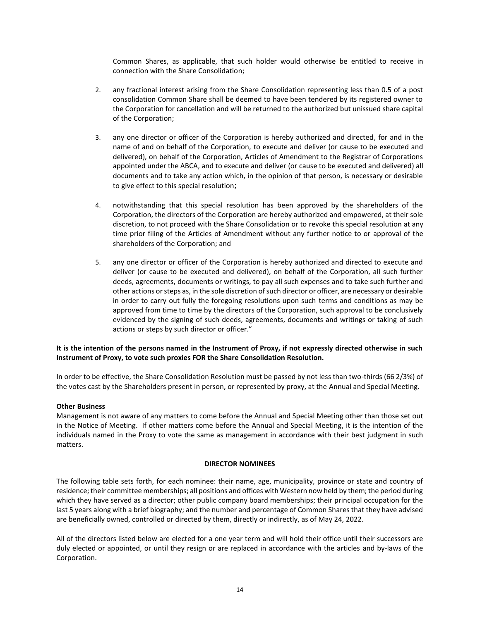Common Shares, as applicable, that such holder would otherwise be entitled to receive in connection with the Share Consolidation;

- 2. any fractional interest arising from the Share Consolidation representing less than 0.5 of a post consolidation Common Share shall be deemed to have been tendered by its registered owner to the Corporation for cancellation and will be returned to the authorized but unissued share capital of the Corporation;
- 3. any one director or officer of the Corporation is hereby authorized and directed, for and in the name of and on behalf of the Corporation, to execute and deliver (or cause to be executed and delivered), on behalf of the Corporation, Articles of Amendment to the Registrar of Corporations appointed under the ABCA, and to execute and deliver (or cause to be executed and delivered) all documents and to take any action which, in the opinion of that person, is necessary or desirable to give effect to this special resolution;
- 4. notwithstanding that this special resolution has been approved by the shareholders of the Corporation, the directors of the Corporation are hereby authorized and empowered, at their sole discretion, to not proceed with the Share Consolidation or to revoke this special resolution at any time prior filing of the Articles of Amendment without any further notice to or approval of the shareholders of the Corporation; and
- 5. any one director or officer of the Corporation is hereby authorized and directed to execute and deliver (or cause to be executed and delivered), on behalf of the Corporation, all such further deeds, agreements, documents or writings, to pay all such expenses and to take such further and other actions or steps as, in the sole discretion of such director or officer, are necessary or desirable in order to carry out fully the foregoing resolutions upon such terms and conditions as may be approved from time to time by the directors of the Corporation, such approval to be conclusively evidenced by the signing of such deeds, agreements, documents and writings or taking of such actions or steps by such director or officer."

# **It is the intention of the persons named in the Instrument of Proxy, if not expressly directed otherwise in such Instrument of Proxy, to vote such proxies FOR the Share Consolidation Resolution.**

In order to be effective, the Share Consolidation Resolution must be passed by not less than two-thirds (66 2/3%) of the votes cast by the Shareholders present in person, or represented by proxy, at the Annual and Special Meeting.

#### **Other Business**

Management is not aware of any matters to come before the Annual and Special Meeting other than those set out in the Notice of Meeting. If other matters come before the Annual and Special Meeting, it is the intention of the individuals named in the Proxy to vote the same as management in accordance with their best judgment in such matters.

#### **DIRECTOR NOMINEES**

The following table sets forth, for each nominee: their name, age, municipality, province or state and country of residence; their committee memberships; all positions and offices with Western now held by them; the period during which they have served as a director; other public company board memberships; their principal occupation for the last 5 years along with a brief biography; and the number and percentage of Common Shares that they have advised are beneficially owned, controlled or directed by them, directly or indirectly, as of May 24, 2022.

All of the directors listed below are elected for a one year term and will hold their office until their successors are duly elected or appointed, or until they resign or are replaced in accordance with the articles and by-laws of the Corporation.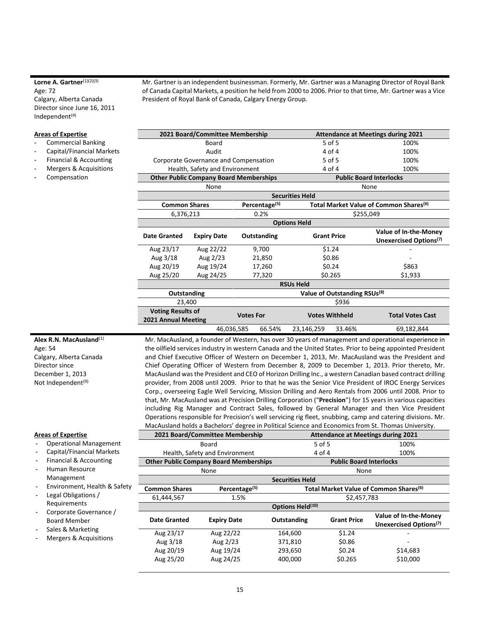#### Lorne A. Gartner<sup>(1)(2)(3)</sup> Age: 72 Calgary, Alberta Canada

Director since June 16, 2011 Independent $(4)$ 

#### **Areas of Expertise**

- Commercial Banking
- Capital/Financial Markets
- Financial & Accounting
- Mergers & Acquisitions
- **Compensation**

Mr. Gartner is an independent businessman. Formerly, Mr. Gartner was a Managing Director of Royal Bank of Canada Capital Markets, a position he held from 2000 to 2006. Prior to that time, Mr. Gartner was a Vice President of Royal Bank of Canada, Calgary Energy Group.

|                          | 2021 Board/Committee Membership               |                           |                                          | <b>Attendance at Meetings during 2021</b>          |  |
|--------------------------|-----------------------------------------------|---------------------------|------------------------------------------|----------------------------------------------------|--|
|                          | Board                                         |                           | $5$ of $5$                               | 100%                                               |  |
|                          | Audit                                         |                           | 4 of 4                                   | 100%                                               |  |
|                          | Corporate Governance and Compensation         |                           | $5$ of $5$                               | 100%                                               |  |
|                          | Health, Safety and Environment                |                           | 4 of 4                                   | 100%                                               |  |
|                          | <b>Other Public Company Board Memberships</b> |                           |                                          | <b>Public Board Interlocks</b>                     |  |
|                          | None                                          |                           |                                          | None                                               |  |
|                          |                                               |                           | <b>Securities Held</b>                   |                                                    |  |
| <b>Common Shares</b>     |                                               | Percentage <sup>(5)</sup> |                                          | Total Market Value of Common Shares <sup>(6)</sup> |  |
| 6,376,213                |                                               | 0.2%                      |                                          | \$255,049                                          |  |
| <b>Options Held</b>      |                                               |                           |                                          |                                                    |  |
| Date Granted             | <b>Expiry Date</b>                            | Outstanding               | <b>Grant Price</b>                       | Value of In-the-Money                              |  |
|                          |                                               |                           |                                          | Unexercised Options <sup>(7)</sup>                 |  |
| Aug 23/17                | Aug 22/22                                     | 9,700                     | \$1.24                                   |                                                    |  |
| Aug 3/18                 | Aug 2/23                                      | 21,850                    | \$0.86                                   |                                                    |  |
| Aug 20/19                | Aug 19/24                                     | 17,260                    | \$0.24                                   | \$863                                              |  |
| Aug 25/20                | Aug 24/25                                     | 77,320                    | \$0.265                                  | \$1,933                                            |  |
|                          |                                               |                           | <b>RSUs Held</b>                         |                                                    |  |
| Outstanding              |                                               |                           | Value of Outstanding RSUs <sup>(8)</sup> |                                                    |  |
| 23,400                   |                                               |                           | \$936                                    |                                                    |  |
| <b>Voting Results of</b> |                                               |                           |                                          | <b>Total Votes Cast</b>                            |  |
| 2021 Annual Meeting      |                                               | <b>Votes For</b>          | <b>Votes Withheld</b>                    |                                                    |  |
|                          | 46,036,585                                    | 66.54%                    | 23,146,259<br>33.46%                     | 69,182,844                                         |  |

**Alex R.N. MacAusland**(1) Age: 54 Calgary, Alberta Canada Director since December 1, 2013 Not Independent<sup>(9)</sup>

# **Areas of Expertise**

- Operational Management
- Capital/Financial Markets
- Financial & Accounting
- Human Resource
- Management
- Environment, Health & Safety
- Legal Obligations / Requirements
- Corporate Governance / Board Member
- Sales & Marketing
- Mergers & Acquisitions

Mr. MacAusland, a founder of Western, has over 30 years of management and operational experience in the oilfield services industry in western Canada and the United States. Prior to being appointed President and Chief Executive Officer of Western on December 1, 2013, Mr. MacAusland was the President and Chief Operating Officer of Western from December 8, 2009 to December 1, 2013. Prior thereto, Mr. MacAusland was the President and CEO of Horizon Drilling Inc., a western Canadian based contract drilling provider, from 2008 until 2009. Prior to that he was the Senior Vice President of IROC Energy Services Corp., overseeing Eagle Well Servicing, Mission Drilling and Aero Rentals from 2006 until 2008. Prior to that, Mr. MacAusland was at Precision Drilling Corporation ("**Precision**") for 15 years in various capacities including Rig Manager and Contract Sales, followed by General Manager and then Vice President Operations responsible for Precision's well servicing rig fleet, snubbing, camp and catering divisions. Mr. MacAusland holds a Bachelors' degree in Political Science and Economics from St. Thomas University.

|                        | 2021 Board/Committee Membership               |                                | <b>Attendance at Meetings during 2021</b> |                                                             |  |
|------------------------|-----------------------------------------------|--------------------------------|-------------------------------------------|-------------------------------------------------------------|--|
|                        | Board                                         |                                | 5 of 5                                    | 100%                                                        |  |
|                        | Health, Safety and Environment                |                                | 4 of 4                                    | 100%                                                        |  |
|                        | <b>Other Public Company Board Memberships</b> | <b>Public Board Interlocks</b> |                                           |                                                             |  |
|                        | None                                          |                                | None                                      |                                                             |  |
| <b>Securities Held</b> |                                               |                                |                                           |                                                             |  |
| <b>Common Shares</b>   | Percentage <sup>(5)</sup>                     |                                |                                           | Total Market Value of Common Shares <sup>(6)</sup>          |  |
| 61,444,567             | 1.5%                                          |                                | \$2,457,783                               |                                                             |  |
|                        |                                               | Options Held <sup>(10)</sup>   |                                           |                                                             |  |
| Date Granted           | <b>Expiry Date</b>                            | Outstanding                    | <b>Grant Price</b>                        | Value of In-the-Money<br>Unexercised Options <sup>(7)</sup> |  |
| Aug 23/17              | Aug 22/22                                     | 164,600                        | \$1.24                                    |                                                             |  |
| Aug 3/18               | Aug 2/23                                      | 371,810                        | \$0.86                                    |                                                             |  |
| Aug 20/19              | Aug 19/24                                     | 293,650                        | \$0.24                                    | \$14,683                                                    |  |
| Aug 25/20              | Aug 24/25                                     | 400,000                        | \$0.265                                   | \$10,000                                                    |  |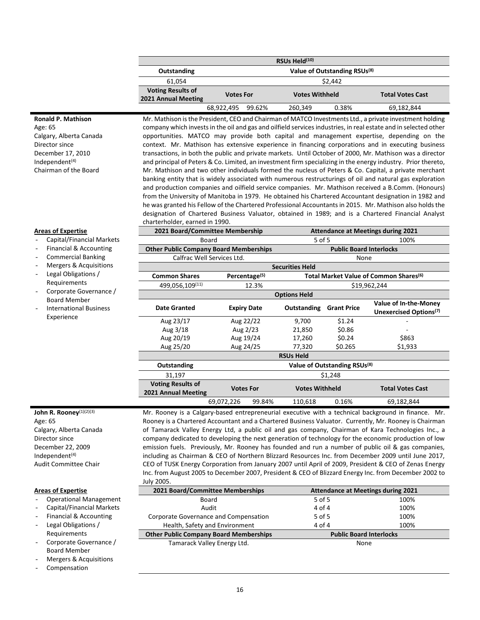| RSUs Held <sup>(10)</sup>                       |                                          |                                                                      |         |         |            |
|-------------------------------------------------|------------------------------------------|----------------------------------------------------------------------|---------|---------|------------|
| Outstanding                                     | Value of Outstanding RSUs <sup>(8)</sup> |                                                                      |         |         |            |
| 61.054                                          |                                          |                                                                      |         | \$2.442 |            |
| <b>Voting Results of</b><br>2021 Annual Meeting |                                          | <b>Votes Withheld</b><br><b>Total Votes Cast</b><br><b>Votes For</b> |         |         |            |
|                                                 | 68,922,495                               | 99.62%                                                               | 260,349 | 0.38%   | 69,182,844 |

#### **Ronald P. Mathison**

Age: 65 Calgary, Alberta Canada Director since December 17, 2010 Independent $(4)$ Chairman of the Board

Mr. Mathison is the President, CEO and Chairman of MATCO Investments Ltd., a private investment holding company which invests in the oil and gas and oilfield services industries, in real estate and in selected other opportunities. MATCO may provide both capital and management expertise, depending on the context. Mr. Mathison has extensive experience in financing corporations and in executing business transactions, in both the public and private markets. Until October of 2000, Mr. Mathison was a director and principal of Peters & Co. Limited, an investment firm specializing in the energy industry. Prior thereto, Mr. Mathison and two other individuals formed the nucleus of Peters & Co. Capital, a private merchant banking entity that is widely associated with numerous restructurings of oil and natural gas exploration and production companies and oilfield service companies. Mr. Mathison received a B.Comm. (Honours) from the University of Manitoba in 1979. He obtained his Chartered Accountant designation in 1982 and he was granted his Fellow of the Chartered Professional Accountants in 2015. Mr. Mathison also holds the designation of Chartered Business Valuator, obtained in 1989; and is a Chartered Financial Analyst charterholder, earned in 1990.

#### **Areas of Expertise**

- Capital/Financial Markets
- Financial & Accounting
- Commercial Banking
- Mergers & Acquisitions

- Legal Obligations / Requirements
- Corporate Governance / Board Member
- International Business Experience

|                                                 | 2021 Board/Committee Membership<br><b>Attendance at Meetings during 2021</b> |                |                        |                                |                                                                    |
|-------------------------------------------------|------------------------------------------------------------------------------|----------------|------------------------|--------------------------------|--------------------------------------------------------------------|
| Board                                           |                                                                              | 5 of 5<br>100% |                        |                                |                                                                    |
| <b>Other Public Company Board Memberships</b>   |                                                                              |                |                        | <b>Public Board Interlocks</b> |                                                                    |
|                                                 | Calfrac Well Services Ltd.                                                   |                |                        | None                           |                                                                    |
|                                                 |                                                                              |                | <b>Securities Held</b> |                                |                                                                    |
| <b>Common Shares</b>                            | Percentage <sup>(5)</sup>                                                    |                |                        |                                | Total Market Value of Common Shares <sup>(6)</sup>                 |
| 499,056,109(11)                                 |                                                                              | 12.3%          |                        |                                | \$19,962,244                                                       |
|                                                 |                                                                              |                | <b>Options Held</b>    |                                |                                                                    |
| <b>Date Granted</b>                             | <b>Expiry Date</b>                                                           |                | Outstanding            | <b>Grant Price</b>             | <b>Value of In-the-Money</b><br>Unexercised Options <sup>(7)</sup> |
| Aug 23/17                                       | Aug 22/22                                                                    |                | 9,700                  | \$1.24                         |                                                                    |
| Aug 3/18                                        | Aug 2/23                                                                     |                | 21,850                 | \$0.86                         |                                                                    |
| Aug 20/19                                       | Aug 19/24                                                                    |                | 17,260                 | \$0.24                         | \$863                                                              |
| Aug 25/20                                       | Aug 24/25                                                                    |                | 77,320                 | \$0.265                        | \$1,933                                                            |
|                                                 |                                                                              |                | <b>RSUs Held</b>       |                                |                                                                    |
| Outstanding                                     | Value of Outstanding RSUs <sup>(8)</sup>                                     |                |                        |                                |                                                                    |
| 31,197                                          |                                                                              |                |                        | \$1,248                        |                                                                    |
| <b>Voting Results of</b><br>2021 Annual Meeting | <b>Votes For</b>                                                             |                | <b>Votes Withheld</b>  |                                | <b>Total Votes Cast</b>                                            |
|                                                 | 69,072,226                                                                   | 99.84%         | 110,618                | 0.16%                          | 69,182,844                                                         |

John R. Rooney<sup>(1)(2)(3)</sup> Age: 65 Calgary, Alberta Canada Director since December 22, 2009 Independent<sup>(4)</sup> Audit Committee Chair

#### **Areas of Expertise**

- Operational Management
- Capital/Financial Markets
- Financial & Accounting
- Legal Obligations / Requirements
- Corporate Governance / Board Member
- Mergers & Acquisitions
- **Compensation**

| Mr. Rooney is a Calgary-based entrepreneurial executive with a technical background in finance. Mr.   |
|-------------------------------------------------------------------------------------------------------|
| Rooney is a Chartered Accountant and a Chartered Business Valuator. Currently, Mr. Rooney is Chairman |
| of Tamarack Valley Energy Ltd, a public oil and gas company, Chairman of Kara Technologies Inc., a    |
| company dedicated to developing the next generation of technology for the economic production of low  |
| emission fuels. Previously, Mr. Rooney has founded and run a number of public oil & gas companies,    |
| including as Chairman & CEO of Northern Blizzard Resources Inc. from December 2009 until June 2017,   |
| CEO of TUSK Energy Corporation from January 2007 until April of 2009, President & CEO of Zenas Energy |
| Inc. from August 2005 to December 2007, President & CEO of Blizzard Energy Inc. from December 2002 to |
| July 2005.                                                                                            |

| 2021 Board/Committee Memberships              |            | <b>Attendance at Meetings during 2021</b> |
|-----------------------------------------------|------------|-------------------------------------------|
| Board                                         | 5 of 5     | 100%                                      |
| Audit                                         | 4 of 4     | 100%                                      |
| Corporate Governance and Compensation         | $5$ of $5$ | 100%                                      |
| Health, Safety and Environment                | 4 of 4     | 100%                                      |
| <b>Other Public Company Board Memberships</b> |            | <b>Public Board Interlocks</b>            |
| Tamarack Valley Energy Ltd.                   |            | None                                      |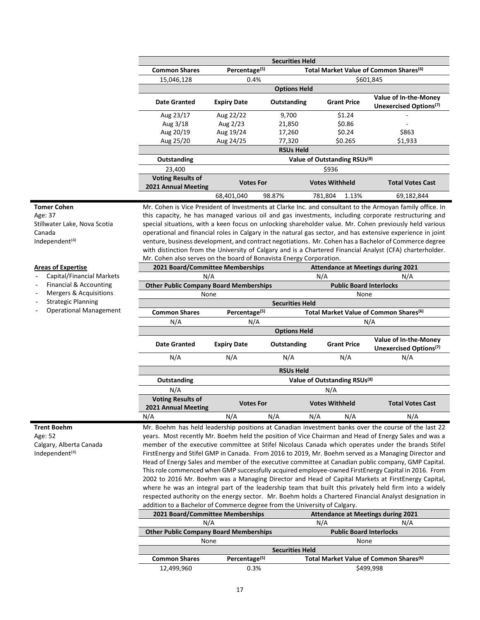| <b>Securities Held</b>   |                           |                     |                                                    |           |                                    |  |
|--------------------------|---------------------------|---------------------|----------------------------------------------------|-----------|------------------------------------|--|
| <b>Common Shares</b>     | Percentage <sup>(5)</sup> |                     | Total Market Value of Common Shares <sup>(6)</sup> |           |                                    |  |
| 15,046,128               | 0.4%                      |                     |                                                    | \$601,845 |                                    |  |
|                          |                           | <b>Options Held</b> |                                                    |           |                                    |  |
| Date Granted             | <b>Expiry Date</b>        | Outstanding         | <b>Grant Price</b>                                 |           | Value of In-the-Money              |  |
|                          |                           |                     |                                                    |           | Unexercised Options <sup>(7)</sup> |  |
| Aug 23/17                | Aug 22/22                 | 9,700               | \$1.24                                             |           |                                    |  |
| Aug 3/18                 | Aug 2/23                  | 21,850              | \$0.86                                             |           |                                    |  |
| Aug 20/19                | Aug 19/24                 | 17,260              | \$0.24                                             |           | \$863                              |  |
| Aug 25/20                | Aug 24/25                 | 77,320              | \$0.265                                            |           | \$1,933                            |  |
|                          |                           | <b>RSUs Held</b>    |                                                    |           |                                    |  |
| Outstanding              |                           |                     | Value of Outstanding RSUs <sup>(8)</sup>           |           |                                    |  |
| 23,400                   |                           |                     | \$936                                              |           |                                    |  |
| <b>Voting Results of</b> |                           |                     |                                                    |           | <b>Total Votes Cast</b>            |  |
| 2021 Annual Meeting      | <b>Votes For</b>          |                     | <b>Votes Withheld</b>                              |           |                                    |  |
|                          | 68,401,040                | 98.87%              | 781,804                                            | 1.13%     | 69,182,844                         |  |

#### **Tomer Cohen**

Age: 37 Stillwater Lake, Nova Scotia Canada Independent<sup>(4)</sup>

Mr. Cohen is Vice President of Investments at Clarke Inc. and consultant to the Armoyan family office. In this capacity, he has managed various oil and gas investments, including corporate restructuring and special situations, with a keen focus on unlocking shareholder value. Mr. Cohen previously held various operational and financial roles in Calgary in the natural gas sector, and has extensive experience in joint venture, business development, and contract negotiations. Mr. Cohen has a Bachelor of Commerce degree with distinction from the University of Calgary and is a Chartered Financial Analyst (CFA) charterholder. Mr. Cohen also serves on the board of Bonavista Energy Corporation.

#### **Areas of Expertise**

- Capital/Financial Markets
- Financial & Accounting

 $\overline{\phantom{a}}$ 

 $\overline{\phantom{a}}$ 

Γ

- Mergers & Acquisitions
- Strategic Planning
- Operational Management

| 2021 Board/Committee Memberships              | <b>Attendance at Meetings during 2021</b> |                        |                       |                                          |                                                    |  |
|-----------------------------------------------|-------------------------------------------|------------------------|-----------------------|------------------------------------------|----------------------------------------------------|--|
| N/A                                           |                                           |                        | N/A                   | N/A                                      |                                                    |  |
| <b>Other Public Company Board Memberships</b> |                                           |                        |                       | <b>Public Board Interlocks</b>           |                                                    |  |
| None                                          |                                           |                        |                       | None                                     |                                                    |  |
|                                               |                                           | <b>Securities Held</b> |                       |                                          |                                                    |  |
| <b>Common Shares</b>                          | Percentage <sup>(5)</sup>                 |                        |                       |                                          | Total Market Value of Common Shares <sup>(6)</sup> |  |
| N/A                                           | N/A                                       |                        |                       |                                          | N/A                                                |  |
| <b>Options Held</b>                           |                                           |                        |                       |                                          |                                                    |  |
| Date Granted                                  |                                           |                        | <b>Grant Price</b>    |                                          | Value of In-the-Money                              |  |
|                                               | <b>Expiry Date</b>                        | Outstanding            |                       |                                          | Unexercised Options <sup>(7)</sup>                 |  |
| N/A                                           | N/A                                       | N/A                    |                       | N/A                                      | N/A                                                |  |
|                                               |                                           | <b>RSUs Held</b>       |                       |                                          |                                                    |  |
| Outstanding                                   |                                           |                        |                       | Value of Outstanding RSUs <sup>(8)</sup> |                                                    |  |
| N/A                                           | N/A                                       |                        |                       |                                          |                                                    |  |
| <b>Voting Results of</b>                      | <b>Votes For</b>                          |                        | <b>Votes Withheld</b> |                                          | <b>Total Votes Cast</b>                            |  |
| 2021 Annual Meeting                           |                                           |                        |                       |                                          |                                                    |  |
| N/A                                           | N/A                                       | N/A                    | N/A                   | N/A                                      | N/A                                                |  |

**Trent Boehm** Age: 52 Calgary, Alberta Canada Independent $(4)$ 

Mr. Boehm has held leadership positions at Canadian investment banks over the course of the last 22 years. Most recently Mr. Boehm held the position of Vice Chairman and Head of Energy Sales and was a member of the executive committee at Stifel Nicolaus Canada which operates under the brands Stifel FirstEnergy and Stifel GMP in Canada. From 2016 to 2019, Mr. Boehm served as a Managing Director and Head of Energy Sales and member of the executive committee at Canadian public company, GMP Capital. This role commenced when GMP successfully acquired employee-owned FirstEnergy Capital in 2016. From 2002 to 2016 Mr. Boehm was a Managing Director and Head of Capital Markets at FirstEnergy Capital, where he was an integral part of the leadership team that built this privately held firm into a widely respected authority on the energy sector. Mr. Boehm holds a Chartered Financial Analyst designation in addition to a Bachelor of Commerce degree from the University of Calgary.

| 2021 Board/Committee Memberships              |                           | <b>Attendance at Meetings during 2021</b>          |     |  |
|-----------------------------------------------|---------------------------|----------------------------------------------------|-----|--|
| N/A                                           |                           | N/A                                                | N/A |  |
| <b>Other Public Company Board Memberships</b> |                           | <b>Public Board Interlocks</b>                     |     |  |
| None                                          |                           | None                                               |     |  |
|                                               |                           | <b>Securities Held</b>                             |     |  |
| <b>Common Shares</b>                          | Percentage <sup>(5)</sup> | Total Market Value of Common Shares <sup>(6)</sup> |     |  |
| 0.3%<br>12,499,960                            |                           | \$499.998                                          |     |  |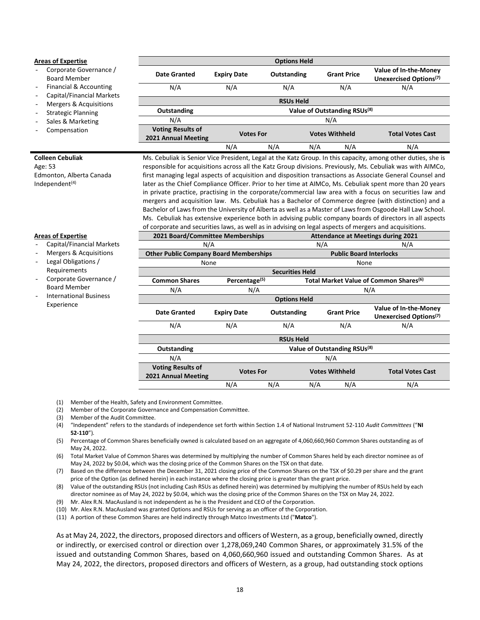#### **Areas of Expertise**

- Corporate Governance / Board Member
- Financial & Accounting
- Capital/Financial Markets
- Mergers & Acquisitions
- Strategic Planning
- Sales & Marketing
- **Compensation**

#### **Colleen Cebuliak**

Age: 53 Edmonton, Alberta Canada Independent<sup>(4)</sup>

|                                                 | <b>Options Held</b>                                                  |             |     |                                          |                                                             |  |
|-------------------------------------------------|----------------------------------------------------------------------|-------------|-----|------------------------------------------|-------------------------------------------------------------|--|
| Date Granted                                    | <b>Expiry Date</b>                                                   | Outstanding |     | <b>Grant Price</b>                       | Value of In-the-Money<br>Unexercised Options <sup>(7)</sup> |  |
| N/A                                             | N/A                                                                  | N/A         |     | N/A                                      | N/A                                                         |  |
|                                                 | <b>RSUs Held</b>                                                     |             |     |                                          |                                                             |  |
| Outstanding                                     |                                                                      |             |     | Value of Outstanding RSUs <sup>(8)</sup> |                                                             |  |
| N/A                                             |                                                                      |             |     | N/A                                      |                                                             |  |
| <b>Voting Results of</b><br>2021 Annual Meeting | <b>Votes Withheld</b><br><b>Total Votes Cast</b><br><b>Votes For</b> |             |     |                                          |                                                             |  |
|                                                 | N/A                                                                  | N/A         | N/A | N/A                                      | N/A                                                         |  |

Ms. Cebuliak is Senior Vice President, Legal at the Katz Group. In this capacity, among other duties, she is responsible for acquisitions across all the Katz Group divisions. Previously, Ms. Cebuliak was with AIMCo, first managing legal aspects of acquisition and disposition transactions as Associate General Counsel and later as the Chief Compliance Officer. Prior to her time at AIMCo, Ms. Cebuliak spent more than 20 years in private practice, practising in the corporate/commercial law area with a focus on securities law and mergers and acquisition law. Ms. Cebuliak has a Bachelor of Commerce degree (with distinction) and a Bachelor of Laws from the University of Alberta as well as a Master of Laws from Osgoode Hall Law School. Ms. Cebuliak has extensive experience both in advising public company boards of directors in all aspects of corporate and securities laws, as well as in advising on legal aspects of mergers and acquisitions.

**2021 Board/Committee Memberships Attendance at Meetings during 2021**

#### **Areas of Expertise**

- Capital/Financial Markets
- Mergers & Acquisitions
- Legal Obligations / Requirements
- Corporate Governance / Board Member
- International Business Experience

|                                               | N/A                       |                        |                                | N/A<br>N/A                               |                                                    |  |  |
|-----------------------------------------------|---------------------------|------------------------|--------------------------------|------------------------------------------|----------------------------------------------------|--|--|
| <b>Other Public Company Board Memberships</b> |                           |                        | <b>Public Board Interlocks</b> |                                          |                                                    |  |  |
| None                                          |                           |                        |                                | None                                     |                                                    |  |  |
|                                               |                           | <b>Securities Held</b> |                                |                                          |                                                    |  |  |
| <b>Common Shares</b>                          | Percentage <sup>(5)</sup> |                        |                                |                                          | Total Market Value of Common Shares <sup>(6)</sup> |  |  |
| N/A                                           | N/A                       |                        |                                |                                          | N/A                                                |  |  |
|                                               |                           | <b>Options Held</b>    |                                |                                          |                                                    |  |  |
| <b>Date Granted</b>                           |                           |                        |                                | <b>Grant Price</b>                       | Value of In-the-Money                              |  |  |
|                                               | <b>Expiry Date</b>        | Outstanding            |                                |                                          | Unexercised Options <sup>(7)</sup>                 |  |  |
| N/A                                           | N/A                       | N/A                    | N/A                            |                                          | N/A                                                |  |  |
|                                               |                           | <b>RSUs Held</b>       |                                |                                          |                                                    |  |  |
| Outstanding                                   |                           |                        |                                | Value of Outstanding RSUs <sup>(8)</sup> |                                                    |  |  |
| N/A                                           |                           |                        | N/A                            |                                          |                                                    |  |  |
| <b>Voting Results of</b>                      |                           |                        | <b>Votes Withheld</b>          |                                          | <b>Total Votes Cast</b>                            |  |  |
| 2021 Annual Meeting                           | <b>Votes For</b>          |                        |                                |                                          |                                                    |  |  |
|                                               | N/A                       | N/A                    | N/A                            | N/A                                      | N/A                                                |  |  |
|                                               |                           |                        |                                |                                          |                                                    |  |  |

(1) Member of the Health, Safety and Environment Committee.

(2) Member of the Corporate Governance and Compensation Committee.

- (3) Member of the Audit Committee.
- (4) "Independent" refers to the standards of independence set forth within Section 1.4 of National Instrument 52-110 *Audit Committees* ("**NI 52-110**")*.*
- (5) Percentage of Common Shares beneficially owned is calculated based on an aggregate of 4,060,660,960 Common Shares outstanding as of May 24, 2022.
- (6) Total Market Value of Common Shares was determined by multiplying the number of Common Shares held by each director nominee as of May 24, 2022 by \$0.04, which was the closing price of the Common Shares on the TSX on that date.

(7) Based on the difference between the December 31, 2021 closing price of the Common Shares on the TSX of \$0.29 per share and the grant price of the Option (as defined herein) in each instance where the closing price is greater than the grant price.

(8) Value of the outstanding RSUs (not including Cash RSUs as defined herein) was determined by multiplying the number of RSUs held by each director nominee as of May 24, 2022 by \$0.04, which was the closing price of the Common Shares on the TSX on May 24, 2022.

(9) Mr. Alex R.N. MacAusland is not independent as he is the President and CEO of the Corporation.

(10) Mr. Alex R.N. MacAusland was granted Options and RSUs for serving as an officer of the Corporation.

(11) A portion of these Common Shares are held indirectly through Matco Investments Ltd ("**Matco**").

As at May 24, 2022, the directors, proposed directors and officers of Western, as a group, beneficially owned, directly or indirectly, or exercised control or direction over 1,278,069,240 Common Shares, or approximately 31.5% of the issued and outstanding Common Shares, based on 4,060,660,960 issued and outstanding Common Shares. As at May 24, 2022, the directors, proposed directors and officers of Western, as a group, had outstanding stock options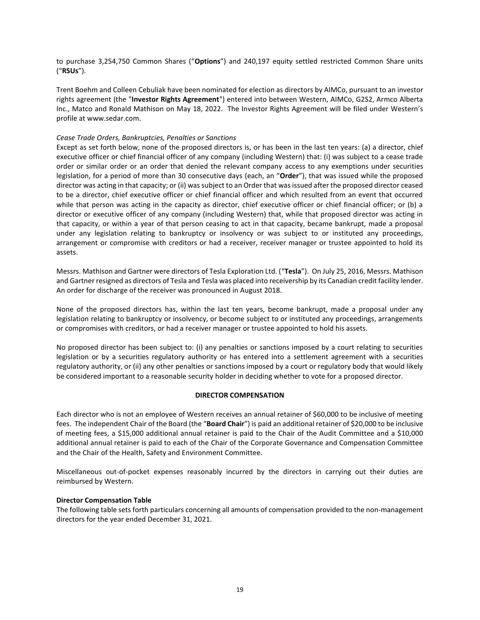to purchase 3,254,750 Common Shares ("**Options**") and 240,197 equity settled restricted Common Share units ("**RSUs**").

Trent Boehm and Colleen Cebuliak have been nominated for election as directors by AIMCo, pursuant to an investor rights agreement (the "**Investor Rights Agreement**") entered into between Western, AIMCo, G2S2, Armco Alberta Inc., Matco and Ronald Mathison on May 18, 2022. The Investor Rights Agreement will be filed under Western's profile at www.sedar.com.

# *Cease Trade Orders, Bankruptcies, Penalties or Sanctions*

Except as set forth below, none of the proposed directors is, or has been in the last ten years: (a) a director, chief executive officer or chief financial officer of any company (including Western) that: (i) was subject to a cease trade order or similar order or an order that denied the relevant company access to any exemptions under securities legislation, for a period of more than 30 consecutive days (each, an "**Order**"), that was issued while the proposed director was acting in that capacity; or (ii) was subject to an Order that was issued after the proposed director ceased to be a director, chief executive officer or chief financial officer and which resulted from an event that occurred while that person was acting in the capacity as director, chief executive officer or chief financial officer; or (b) a director or executive officer of any company (including Western) that, while that proposed director was acting in that capacity, or within a year of that person ceasing to act in that capacity, became bankrupt, made a proposal under any legislation relating to bankruptcy or insolvency or was subject to or instituted any proceedings, arrangement or compromise with creditors or had a receiver, receiver manager or trustee appointed to hold its assets.

Messrs. Mathison and Gartner were directors of Tesla Exploration Ltd. ("**Tesla**"). On July 25, 2016, Messrs. Mathison and Gartner resigned as directors of Tesla and Tesla was placed into receivership by its Canadian credit facility lender. An order for discharge of the receiver was pronounced in August 2018.

None of the proposed directors has, within the last ten years, become bankrupt, made a proposal under any legislation relating to bankruptcy or insolvency, or become subject to or instituted any proceedings, arrangements or compromises with creditors, or had a receiver manager or trustee appointed to hold his assets.

No proposed director has been subject to: (i) any penalties or sanctions imposed by a court relating to securities legislation or by a securities regulatory authority or has entered into a settlement agreement with a securities regulatory authority, or (ii) any other penalties or sanctions imposed by a court or regulatory body that would likely be considered important to a reasonable security holder in deciding whether to vote for a proposed director.

#### **DIRECTOR COMPENSATION**

Each director who is not an employee of Western receives an annual retainer of \$60,000 to be inclusive of meeting fees. The independent Chair of the Board (the "**Board Chair**") is paid an additional retainer of \$20,000 to be inclusive of meeting fees, a \$15,000 additional annual retainer is paid to the Chair of the Audit Committee and a \$10,000 additional annual retainer is paid to each of the Chair of the Corporate Governance and Compensation Committee and the Chair of the Health, Safety and Environment Committee.

Miscellaneous out-of-pocket expenses reasonably incurred by the directors in carrying out their duties are reimbursed by Western.

#### **Director Compensation Table**

The following table sets forth particulars concerning all amounts of compensation provided to the non-management directors for the year ended December 31, 2021.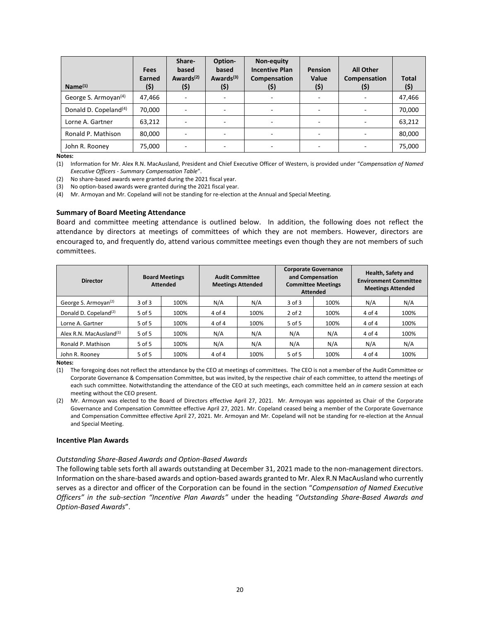| Name <sup>(1)</sup>               | <b>Fees</b><br>Earned<br>(\$) | Share-<br>based<br>Awards <sup>(2)</sup><br>(\$) | Option-<br>based<br>Awards <sup>(3)</sup><br>(\$) | Non-equity<br><b>Incentive Plan</b><br>Compensation<br>(\$) | <b>Pension</b><br>Value<br>(\$) | <b>All Other</b><br>Compensation<br>(5) | <b>Total</b><br>(5) |
|-----------------------------------|-------------------------------|--------------------------------------------------|---------------------------------------------------|-------------------------------------------------------------|---------------------------------|-----------------------------------------|---------------------|
| George S. Armoyan <sup>(4)</sup>  | 47,466                        |                                                  |                                                   |                                                             |                                 |                                         | 47,466              |
| Donald D. Copeland <sup>(4)</sup> | 70,000                        |                                                  |                                                   |                                                             |                                 |                                         | 70,000              |
| Lorne A. Gartner                  | 63.212                        |                                                  |                                                   | $\overline{\phantom{0}}$                                    |                                 | ۰                                       | 63,212              |
| Ronald P. Mathison                | 80,000                        |                                                  |                                                   | $\overline{\phantom{0}}$                                    |                                 | $\overline{\phantom{0}}$                | 80,000              |
| John R. Rooney                    | 75,000                        |                                                  |                                                   |                                                             |                                 |                                         | 75,000              |

(1) Information for Mr. Alex R.N. MacAusland, President and Chief Executive Officer of Western, is provided under "*Compensation of Named Executive Officers - Summary Compensation Table*".

(2) No share-based awards were granted during the 2021 fiscal year.

(3) No option-based awards were granted during the 2021 fiscal year.

(4) Mr. Armoyan and Mr. Copeland will not be standing for re-election at the Annual and Special Meeting.

#### **Summary of Board Meeting Attendance**

Board and committee meeting attendance is outlined below. In addition, the following does not reflect the attendance by directors at meetings of committees of which they are not members. However, directors are encouraged to, and frequently do, attend various committee meetings even though they are not members of such committees.

| <b>Director</b>                     |            | <b>Board Meetings</b><br><b>Attended</b> | <b>Audit Committee</b><br><b>Meetings Attended</b> |      |            | <b>Corporate Governance</b><br>and Compensation<br><b>Committee Meetings</b><br><b>Attended</b> |        | Health, Safety and<br><b>Environment Committee</b><br><b>Meetings Attended</b> |
|-------------------------------------|------------|------------------------------------------|----------------------------------------------------|------|------------|-------------------------------------------------------------------------------------------------|--------|--------------------------------------------------------------------------------|
| George S. Armoyan <sup>(2)</sup>    | $3$ of $3$ | 100%                                     | N/A                                                | N/A  | $3$ of $3$ | 100%                                                                                            | N/A    | N/A                                                                            |
| Donald D. Copeland <sup>(2)</sup>   | 5 of 5     | 100%                                     | $4$ of $4$                                         | 100% | $2$ of $2$ | 100%                                                                                            | 4 of 4 | 100%                                                                           |
| Lorne A. Gartner                    | $5$ of $5$ | 100%                                     | 4 of 4                                             | 100% | 5 of 5     | 100%                                                                                            | 4 of 4 | 100%                                                                           |
| Alex R.N. MacAusland <sup>(1)</sup> | 5 of 5     | 100%                                     | N/A                                                | N/A  | N/A        | N/A                                                                                             | 4 of 4 | 100%                                                                           |
| Ronald P. Mathison                  | 5 of 5     | 100%                                     | N/A                                                | N/A  | N/A        | N/A                                                                                             | N/A    | N/A                                                                            |
| John R. Rooney                      | 5 of 5     | 100%                                     | 4 of 4                                             | 100% | 5 of 5     | 100%                                                                                            | 4 of 4 | 100%                                                                           |

**Notes:**

#### **Incentive Plan Awards**

#### *Outstanding Share-Based Awards and Option-Based Awards*

The following table sets forth all awards outstanding at December 31, 2021 made to the non-management directors. Information on the share-based awards and option-based awards granted to Mr. Alex R.N MacAusland who currently serves as a director and officer of the Corporation can be found in the section "*Compensation of Named Executive Officers" in the sub-section "Incentive Plan Awards"* under the heading "*Outstanding Share-Based Awards and Option-Based Awards*".

<sup>(1)</sup> The foregoing does not reflect the attendance by the CEO at meetings of committees. The CEO is not a member of the Audit Committee or Corporate Governance & Compensation Committee, but was invited, by the respective chair of each committee, to attend the meetings of each such committee. Notwithstanding the attendance of the CEO at such meetings, each committee held an *in camera* session at each meeting without the CEO present.

<sup>(2)</sup> Mr. Armoyan was elected to the Board of Directors effective April 27, 2021. Mr. Armoyan was appointed as Chair of the Corporate Governance and Compensation Committee effective April 27, 2021. Mr. Copeland ceased being a member of the Corporate Governance and Compensation Committee effective April 27, 2021. Mr. Armoyan and Mr. Copeland will not be standing for re-election at the Annual and Special Meeting.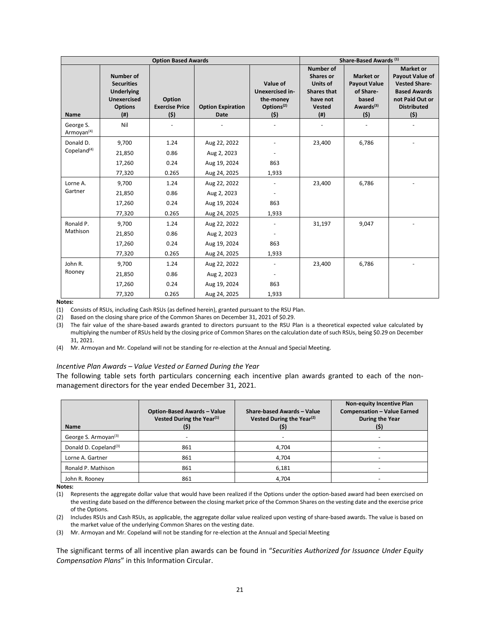|                                     |                                                                                                                 | <b>Option Based Awards</b>              | Share-Based Awards (1)           |                                                                           |                                                                                                            |                                                                                               |                                                                                                                                     |
|-------------------------------------|-----------------------------------------------------------------------------------------------------------------|-----------------------------------------|----------------------------------|---------------------------------------------------------------------------|------------------------------------------------------------------------------------------------------------|-----------------------------------------------------------------------------------------------|-------------------------------------------------------------------------------------------------------------------------------------|
| <b>Name</b>                         | <b>Number of</b><br><b>Securities</b><br><b>Underlying</b><br><b>Unexercised</b><br><b>Options</b><br>$($ # $)$ | Option<br><b>Exercise Price</b><br>(\$) | <b>Option Expiration</b><br>Date | Value of<br>Unexercised in-<br>the-money<br>Options <sup>(2)</sup><br>(5) | <b>Number of</b><br><b>Shares or</b><br>Units of<br><b>Shares that</b><br>have not<br><b>Vested</b><br>(#) | <b>Market or</b><br><b>Payout Value</b><br>of Share-<br>based<br>Awards <sup>(3)</sup><br>(5) | <b>Market or</b><br>Payout Value of<br><b>Vested Share-</b><br><b>Based Awards</b><br>not Paid Out or<br><b>Distributed</b><br>(\$) |
| George S.<br>Armoyan <sup>(4)</sup> | Nil                                                                                                             |                                         |                                  |                                                                           |                                                                                                            |                                                                                               |                                                                                                                                     |
| Donald D.                           | 9,700                                                                                                           | 1.24                                    | Aug 22, 2022                     |                                                                           | 23,400                                                                                                     | 6,786                                                                                         |                                                                                                                                     |
| Copeland $(4)$                      | 21,850                                                                                                          | 0.86                                    | Aug 2, 2023                      |                                                                           |                                                                                                            |                                                                                               |                                                                                                                                     |
|                                     | 17,260                                                                                                          | 0.24                                    | Aug 19, 2024                     | 863                                                                       |                                                                                                            |                                                                                               |                                                                                                                                     |
|                                     | 77,320                                                                                                          | 0.265                                   | Aug 24, 2025                     | 1,933                                                                     |                                                                                                            |                                                                                               |                                                                                                                                     |
| Lorne A.                            | 9,700                                                                                                           | 1.24                                    | Aug 22, 2022                     |                                                                           | 23,400                                                                                                     | 6,786                                                                                         |                                                                                                                                     |
| Gartner                             | 21,850                                                                                                          | 0.86                                    | Aug 2, 2023                      | $\qquad \qquad \blacksquare$                                              |                                                                                                            |                                                                                               |                                                                                                                                     |
|                                     | 17,260                                                                                                          | 0.24                                    | Aug 19, 2024                     | 863                                                                       |                                                                                                            |                                                                                               |                                                                                                                                     |
|                                     | 77,320                                                                                                          | 0.265                                   | Aug 24, 2025                     | 1,933                                                                     |                                                                                                            |                                                                                               |                                                                                                                                     |
| Ronald P.                           | 9,700                                                                                                           | 1.24                                    | Aug 22, 2022                     |                                                                           | 31,197                                                                                                     | 9,047                                                                                         |                                                                                                                                     |
| Mathison                            | 21,850                                                                                                          | 0.86                                    | Aug 2, 2023                      |                                                                           |                                                                                                            |                                                                                               |                                                                                                                                     |
|                                     | 17,260                                                                                                          | 0.24                                    | Aug 19, 2024                     | 863                                                                       |                                                                                                            |                                                                                               |                                                                                                                                     |
|                                     | 77,320                                                                                                          | 0.265                                   | Aug 24, 2025                     | 1,933                                                                     |                                                                                                            |                                                                                               |                                                                                                                                     |
| John R.                             | 9,700                                                                                                           | 1.24                                    | Aug 22, 2022                     |                                                                           | 23,400                                                                                                     | 6,786                                                                                         |                                                                                                                                     |
| Rooney                              | 21,850                                                                                                          | 0.86                                    | Aug 2, 2023                      |                                                                           |                                                                                                            |                                                                                               |                                                                                                                                     |
|                                     | 17,260                                                                                                          | 0.24                                    | Aug 19, 2024                     | 863                                                                       |                                                                                                            |                                                                                               |                                                                                                                                     |
|                                     | 77,320                                                                                                          | 0.265                                   | Aug 24, 2025                     | 1,933                                                                     |                                                                                                            |                                                                                               |                                                                                                                                     |

(1) Consists of RSUs, including Cash RSUs (as defined herein), granted pursuant to the RSU Plan.

(2) Based on the closing share price of the Common Shares on December 31, 2021 of \$0.29.

(3) The fair value of the share-based awards granted to directors pursuant to the RSU Plan is a theoretical expected value calculated by multiplying the number of RSUs held by the closing price of Common Shares on the calculation date of such RSUs, being \$0.29 on December 31, 2021.

(4) Mr. Armoyan and Mr. Copeland will not be standing for re-election at the Annual and Special Meeting.

#### *Incentive Plan Awards – Value Vested or Earned During the Year*

The following table sets forth particulars concerning each incentive plan awards granted to each of the nonmanagement directors for the year ended December 31, 2021.

| <b>Name</b>                       | <b>Option-Based Awards - Value</b><br>Vested During the Year <sup>(1)</sup><br>(\$) | Share-based Awards - Value<br>Vested During the Year <sup>(2)</sup><br>(\$) | <b>Non-equity Incentive Plan</b><br><b>Compensation - Value Earned</b><br><b>During the Year</b> |
|-----------------------------------|-------------------------------------------------------------------------------------|-----------------------------------------------------------------------------|--------------------------------------------------------------------------------------------------|
| George S. Armoyan <sup>(3)</sup>  |                                                                                     |                                                                             |                                                                                                  |
| Donald D. Copeland <sup>(3)</sup> | 861                                                                                 | 4.704                                                                       |                                                                                                  |
| Lorne A. Gartner                  | 861                                                                                 | 4,704                                                                       |                                                                                                  |
| Ronald P. Mathison                | 861                                                                                 | 6,181                                                                       |                                                                                                  |
| John R. Rooney                    | 861                                                                                 | 4.704                                                                       |                                                                                                  |

**Notes:**

(1) Represents the aggregate dollar value that would have been realized if the Options under the option-based award had been exercised on the vesting date based on the difference between the closing market price of the Common Shares on the vesting date and the exercise price of the Options.

(2) Includes RSUs and Cash RSUs, as applicable, the aggregate dollar value realized upon vesting of share-based awards. The value is based on the market value of the underlying Common Shares on the vesting date.

(3) Mr. Armoyan and Mr. Copeland will not be standing for re-election at the Annual and Special Meeting

The significant terms of all incentive plan awards can be found in "*Securities Authorized for Issuance Under Equity Compensation Plans*" in this Information Circular.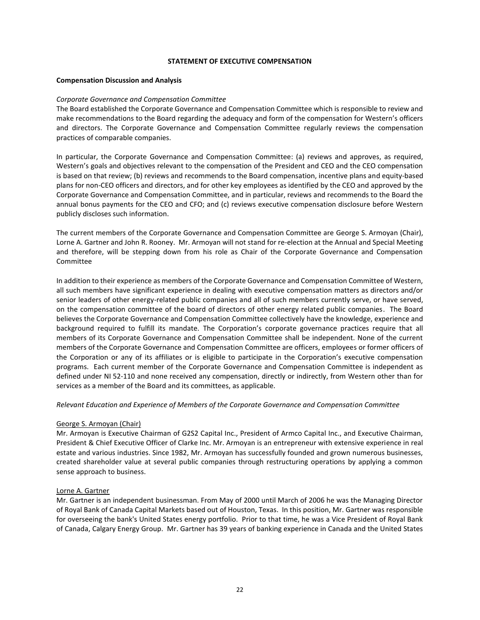#### **STATEMENT OF EXECUTIVE COMPENSATION**

#### **Compensation Discussion and Analysis**

#### *Corporate Governance and Compensation Committee*

The Board established the Corporate Governance and Compensation Committee which is responsible to review and make recommendations to the Board regarding the adequacy and form of the compensation for Western's officers and directors. The Corporate Governance and Compensation Committee regularly reviews the compensation practices of comparable companies.

In particular, the Corporate Governance and Compensation Committee: (a) reviews and approves, as required, Western's goals and objectives relevant to the compensation of the President and CEO and the CEO compensation is based on that review; (b) reviews and recommends to the Board compensation, incentive plans and equity-based plans for non-CEO officers and directors, and for other key employees as identified by the CEO and approved by the Corporate Governance and Compensation Committee, and in particular, reviews and recommends to the Board the annual bonus payments for the CEO and CFO; and (c) reviews executive compensation disclosure before Western publicly discloses such information.

The current members of the Corporate Governance and Compensation Committee are George S. Armoyan (Chair), Lorne A. Gartner and John R. Rooney. Mr. Armoyan will not stand for re-election at the Annual and Special Meeting and therefore, will be stepping down from his role as Chair of the Corporate Governance and Compensation Committee

In addition to their experience as members of the Corporate Governance and Compensation Committee of Western, all such members have significant experience in dealing with executive compensation matters as directors and/or senior leaders of other energy-related public companies and all of such members currently serve, or have served, on the compensation committee of the board of directors of other energy related public companies. The Board believes the Corporate Governance and Compensation Committee collectively have the knowledge, experience and background required to fulfill its mandate. The Corporation's corporate governance practices require that all members of its Corporate Governance and Compensation Committee shall be independent. None of the current members of the Corporate Governance and Compensation Committee are officers, employees or former officers of the Corporation or any of its affiliates or is eligible to participate in the Corporation's executive compensation programs. Each current member of the Corporate Governance and Compensation Committee is independent as defined under NI 52-110 and none received any compensation, directly or indirectly, from Western other than for services as a member of the Board and its committees, as applicable.

#### *Relevant Education and Experience of Members of the Corporate Governance and Compensation Committee*

# George S. Armoyan (Chair)

Mr. Armoyan is Executive Chairman of G2S2 Capital Inc., President of Armco Capital Inc., and Executive Chairman, President & Chief Executive Officer of Clarke Inc. Mr. Armoyan is an entrepreneur with extensive experience in real estate and various industries. Since 1982, Mr. Armoyan has successfully founded and grown numerous businesses, created shareholder value at several public companies through restructuring operations by applying a common sense approach to business.

# Lorne A. Gartner

Mr. Gartner is an independent businessman. From May of 2000 until March of 2006 he was the Managing Director of Royal Bank of Canada Capital Markets based out of Houston, Texas. In this position, Mr. Gartner was responsible for overseeing the bank's United States energy portfolio. Prior to that time, he was a Vice President of Royal Bank of Canada, Calgary Energy Group. Mr. Gartner has 39 years of banking experience in Canada and the United States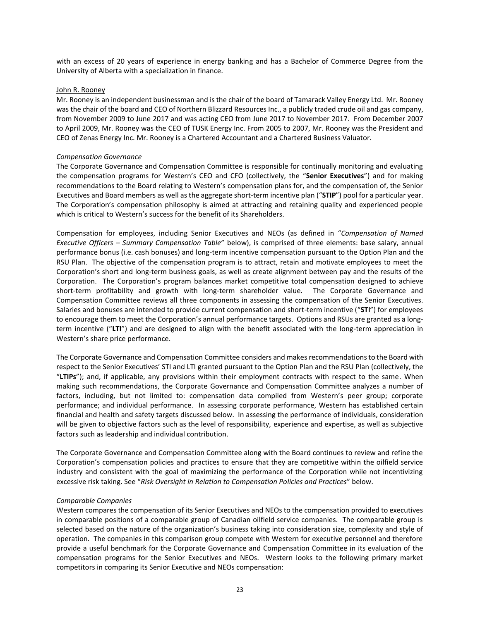with an excess of 20 years of experience in energy banking and has a Bachelor of Commerce Degree from the University of Alberta with a specialization in finance.

#### John R. Rooney

Mr. Rooney is an independent businessman and is the chair of the board of Tamarack Valley Energy Ltd. Mr. Rooney was the chair of the board and CEO of Northern Blizzard Resources Inc., a publicly traded crude oil and gas company, from November 2009 to June 2017 and was acting CEO from June 2017 to November 2017. From December 2007 to April 2009, Mr. Rooney was the CEO of TUSK Energy Inc. From 2005 to 2007, Mr. Rooney was the President and CEO of Zenas Energy Inc. Mr. Rooney is a Chartered Accountant and a Chartered Business Valuator.

# *Compensation Governance*

The Corporate Governance and Compensation Committee is responsible for continually monitoring and evaluating the compensation programs for Western's CEO and CFO (collectively, the "**Senior Executives**") and for making recommendations to the Board relating to Western's compensation plans for, and the compensation of, the Senior Executives and Board members as well as the aggregate short-term incentive plan ("**STIP**") pool for a particular year. The Corporation's compensation philosophy is aimed at attracting and retaining quality and experienced people which is critical to Western's success for the benefit of its Shareholders.

Compensation for employees, including Senior Executives and NEOs (as defined in "*Compensation of Named Executive Officers – Summary Compensation Table*" below), is comprised of three elements: base salary, annual performance bonus (i.e. cash bonuses) and long-term incentive compensation pursuant to the Option Plan and the RSU Plan. The objective of the compensation program is to attract, retain and motivate employees to meet the Corporation's short and long-term business goals, as well as create alignment between pay and the results of the Corporation. The Corporation's program balances market competitive total compensation designed to achieve short-term profitability and growth with long-term shareholder value. The Corporate Governance and Compensation Committee reviews all three components in assessing the compensation of the Senior Executives. Salaries and bonuses are intended to provide current compensation and short-term incentive ("**STI**") for employees to encourage them to meet the Corporation's annual performance targets. Options and RSUs are granted as a longterm incentive ("**LTI**") and are designed to align with the benefit associated with the long-term appreciation in Western's share price performance.

The Corporate Governance and Compensation Committee considers and makesrecommendations to the Board with respect to the Senior Executives' STI and LTI granted pursuant to the Option Plan and the RSU Plan (collectively, the "**LTIPs**"); and, if applicable, any provisions within their employment contracts with respect to the same. When making such recommendations, the Corporate Governance and Compensation Committee analyzes a number of factors, including, but not limited to: compensation data compiled from Western's peer group; corporate performance; and individual performance. In assessing corporate performance, Western has established certain financial and health and safety targets discussed below. In assessing the performance of individuals, consideration will be given to objective factors such as the level of responsibility, experience and expertise, as well as subjective factors such as leadership and individual contribution.

The Corporate Governance and Compensation Committee along with the Board continues to review and refine the Corporation's compensation policies and practices to ensure that they are competitive within the oilfield service industry and consistent with the goal of maximizing the performance of the Corporation while not incentivizing excessive risk taking. See "*Risk Oversight in Relation to Compensation Policies and Practices*" below.

#### *Comparable Companies*

Western compares the compensation of its Senior Executives and NEOs to the compensation provided to executives in comparable positions of a comparable group of Canadian oilfield service companies. The comparable group is selected based on the nature of the organization's business taking into consideration size, complexity and style of operation. The companies in this comparison group compete with Western for executive personnel and therefore provide a useful benchmark for the Corporate Governance and Compensation Committee in its evaluation of the compensation programs for the Senior Executives and NEOs. Western looks to the following primary market competitors in comparing its Senior Executive and NEOs compensation: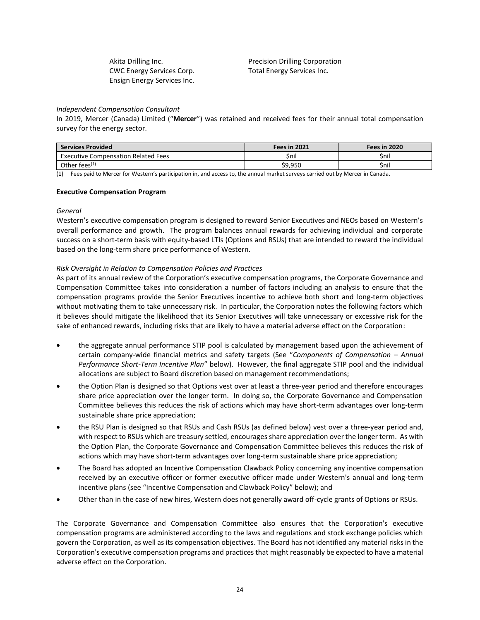CWC Energy Services Corp. Total Energy Services Inc. Ensign Energy Services Inc.

Akita Drilling Inc. Precision Drilling Corporation

# *Independent Compensation Consultant*

In 2019, Mercer (Canada) Limited ("**Mercer**") was retained and received fees for their annual total compensation survey for the energy sector.

| <b>Services Provided</b>                   | Fees in 2021 | <b>Fees in 2020</b> |
|--------------------------------------------|--------------|---------------------|
| <b>Executive Compensation Related Fees</b> | Snil         | Snil                |
| Other fees <sup>(1)</sup>                  | \$9,950      | \$nil               |

(1) Fees paid to Mercer for Western's participation in, and access to, the annual market surveys carried out by Mercer in Canada.

#### **Executive Compensation Program**

#### *General*

Western's executive compensation program is designed to reward Senior Executives and NEOs based on Western's overall performance and growth. The program balances annual rewards for achieving individual and corporate success on a short-term basis with equity-based LTIs (Options and RSUs) that are intended to reward the individual based on the long-term share price performance of Western.

# *Risk Oversight in Relation to Compensation Policies and Practices*

As part of its annual review of the Corporation's executive compensation programs, the Corporate Governance and Compensation Committee takes into consideration a number of factors including an analysis to ensure that the compensation programs provide the Senior Executives incentive to achieve both short and long-term objectives without motivating them to take unnecessary risk. In particular, the Corporation notes the following factors which it believes should mitigate the likelihood that its Senior Executives will take unnecessary or excessive risk for the sake of enhanced rewards, including risks that are likely to have a material adverse effect on the Corporation:

- the aggregate annual performance STIP pool is calculated by management based upon the achievement of certain company-wide financial metrics and safety targets (See "*Components of Compensation* – *Annual Performance Short-Term Incentive Plan*" below). However, the final aggregate STIP pool and the individual allocations are subject to Board discretion based on management recommendations;
- the Option Plan is designed so that Options vest over at least a three-year period and therefore encourages share price appreciation over the longer term. In doing so, the Corporate Governance and Compensation Committee believes this reduces the risk of actions which may have short-term advantages over long-term sustainable share price appreciation;
- the RSU Plan is designed so that RSUs and Cash RSUs (as defined below) vest over a three-year period and, with respect to RSUs which are treasury settled, encourages share appreciation over the longer term. As with the Option Plan, the Corporate Governance and Compensation Committee believes this reduces the risk of actions which may have short-term advantages over long-term sustainable share price appreciation;
- The Board has adopted an Incentive Compensation Clawback Policy concerning any incentive compensation received by an executive officer or former executive officer made under Western's annual and long-term incentive plans (see "Incentive Compensation and Clawback Policy" below); and
- Other than in the case of new hires, Western does not generally award off-cycle grants of Options or RSUs.

The Corporate Governance and Compensation Committee also ensures that the Corporation's executive compensation programs are administered according to the laws and regulations and stock exchange policies which govern the Corporation, as well as its compensation objectives. The Board has not identified any material risks in the Corporation's executive compensation programs and practices that might reasonably be expected to have a material adverse effect on the Corporation.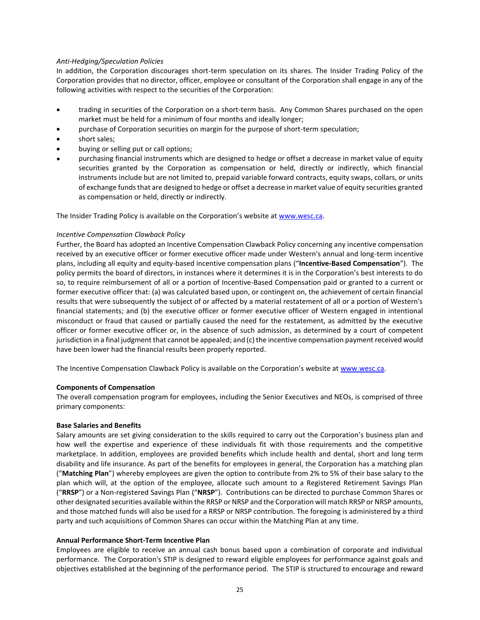# *Anti-Hedging/Speculation Policies*

In addition, the Corporation discourages short-term speculation on its shares. The Insider Trading Policy of the Corporation provides that no director, officer, employee or consultant of the Corporation shall engage in any of the following activities with respect to the securities of the Corporation:

- trading in securities of the Corporation on a short-term basis. Any Common Shares purchased on the open market must be held for a minimum of four months and ideally longer;
- purchase of Corporation securities on margin for the purpose of short-term speculation;
- short sales;
- buying or selling put or call options;
- purchasing financial instruments which are designed to hedge or offset a decrease in market value of equity securities granted by the Corporation as compensation or held, directly or indirectly, which financial instruments include but are not limited to, prepaid variable forward contracts, equity swaps, collars, or units of exchange funds that are designed to hedge or offset a decrease in market value of equity securities granted as compensation or held, directly or indirectly.

The Insider Trading Policy is available on the Corporation's website at [www.wesc.ca.](http://www.wesc.ca/)

# *Incentive Compensation Clawback Policy*

Further, the Board has adopted an Incentive Compensation Clawback Policy concerning any incentive compensation received by an executive officer or former executive officer made under Western's annual and long-term incentive plans, including all equity and equity-based incentive compensation plans ("**Incentive-Based Compensation**"). The policy permits the board of directors, in instances where it determines it is in the Corporation's best interests to do so, to require reimbursement of all or a portion of Incentive-Based Compensation paid or granted to a current or former executive officer that: (a) was calculated based upon, or contingent on, the achievement of certain financial results that were subsequently the subject of or affected by a material restatement of all or a portion of Western's financial statements; and (b) the executive officer or former executive officer of Western engaged in intentional misconduct or fraud that caused or partially caused the need for the restatement, as admitted by the executive officer or former executive officer or, in the absence of such admission, as determined by a court of competent jurisdiction in a final judgment that cannot be appealed; and (c) the incentive compensation payment received would have been lower had the financial results been properly reported.

The Incentive Compensation Clawback Policy is available on the Corporation's website at [www.wesc.ca.](http://www.wesc.ca/)

#### **Components of Compensation**

The overall compensation program for employees, including the Senior Executives and NEOs, is comprised of three primary components:

#### **Base Salaries and Benefits**

Salary amounts are set giving consideration to the skills required to carry out the Corporation's business plan and how well the expertise and experience of these individuals fit with those requirements and the competitive marketplace. In addition, employees are provided benefits which include health and dental, short and long term disability and life insurance. As part of the benefits for employees in general, the Corporation has a matching plan ("**Matching Plan**") whereby employees are given the option to contribute from 2% to 5% of their base salary to the plan which will, at the option of the employee, allocate such amount to a Registered Retirement Savings Plan ("**RRSP**") or a Non-registered Savings Plan ("**NRSP**").Contributions can be directed to purchase Common Shares or other designated securities available within the RRSP or NRSP and the Corporation will match RRSP or NRSP amounts, and those matched funds will also be used for a RRSP or NRSP contribution. The foregoing is administered by a third party and such acquisitions of Common Shares can occur within the Matching Plan at any time.

# **Annual Performance Short-Term Incentive Plan**

Employees are eligible to receive an annual cash bonus based upon a combination of corporate and individual performance. The Corporation's STIP is designed to reward eligible employees for performance against goals and objectives established at the beginning of the performance period. The STIP is structured to encourage and reward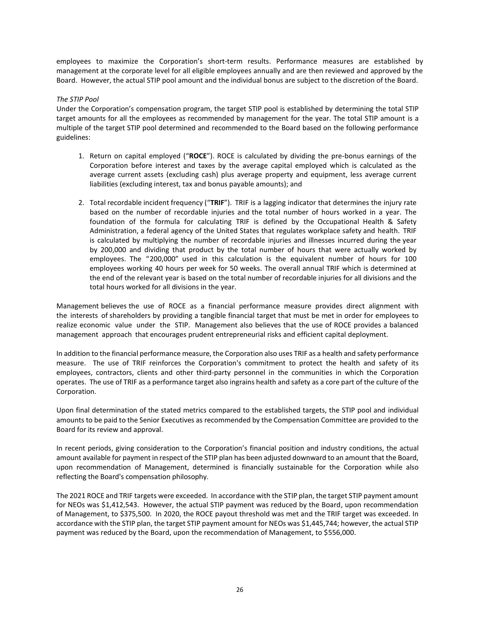employees to maximize the Corporation's short-term results. Performance measures are established by management at the corporate level for all eligible employees annually and are then reviewed and approved by the Board. However, the actual STIP pool amount and the individual bonus are subject to the discretion of the Board.

# *The STIP Pool*

Under the Corporation's compensation program, the target STIP pool is established by determining the total STIP target amounts for all the employees as recommended by management for the year. The total STIP amount is a multiple of the target STIP pool determined and recommended to the Board based on the following performance guidelines:

- 1. Return on capital employed ("**ROCE**"). ROCE is calculated by dividing the pre-bonus earnings of the Corporation before interest and taxes by the average capital employed which is calculated as the average current assets (excluding cash) plus average property and equipment, less average current liabilities (excluding interest, tax and bonus payable amounts); and
- 2. Total recordable incident frequency ("**TRIF**"). TRIF is a lagging indicator that determines the injury rate based on the number of recordable injuries and the total number of hours worked in a year. The foundation of the formula for calculating TRIF is defined by the Occupational Health & Safety Administration, a federal agency of the United States that regulates workplace safety and health. TRIF is calculated by multiplying the number of recordable injuries and illnesses incurred during the year by 200,000 and dividing that product by the total number of hours that were actually worked by employees. The "200,000" used in this calculation is the equivalent number of hours for 100 employees working 40 hours per week for 50 weeks. The overall annual TRIF which is determined at the end of the relevant year is based on the total number of recordable injuries for all divisions and the total hours worked for all divisions in the year.

Management believes the use of ROCE as a financial performance measure provides direct alignment with the interests of shareholders by providing a tangible financial target that must be met in order for employees to realize economic value under the STIP. Management also believes that the use of ROCE provides a balanced management approach that encourages prudent entrepreneurial risks and efficient capital deployment.

In addition to the financial performance measure, the Corporation also uses TRIF as a health and safety performance measure. The use of TRIF reinforces the Corporation's commitment to protect the health and safety of its employees, contractors, clients and other third-party personnel in the communities in which the Corporation operates. The use of TRIF as a performance target also ingrains health and safety as a core part of the culture of the Corporation.

Upon final determination of the stated metrics compared to the established targets, the STIP pool and individual amounts to be paid to the Senior Executives as recommended by the Compensation Committee are provided to the Board for its review and approval.

In recent periods, giving consideration to the Corporation's financial position and industry conditions, the actual amount available for payment in respect of the STIP plan has been adjusted downward to an amount that the Board, upon recommendation of Management, determined is financially sustainable for the Corporation while also reflecting the Board's compensation philosophy.

The 2021 ROCE and TRIF targets were exceeded. In accordance with the STIP plan, the target STIP payment amount for NEOs was \$1,412,543. However, the actual STIP payment was reduced by the Board, upon recommendation of Management, to \$375,500. In 2020, the ROCE payout threshold was met and the TRIF target was exceeded. In accordance with the STIP plan, the target STIP payment amount for NEOs was \$1,445,744; however, the actual STIP payment was reduced by the Board, upon the recommendation of Management, to \$556,000.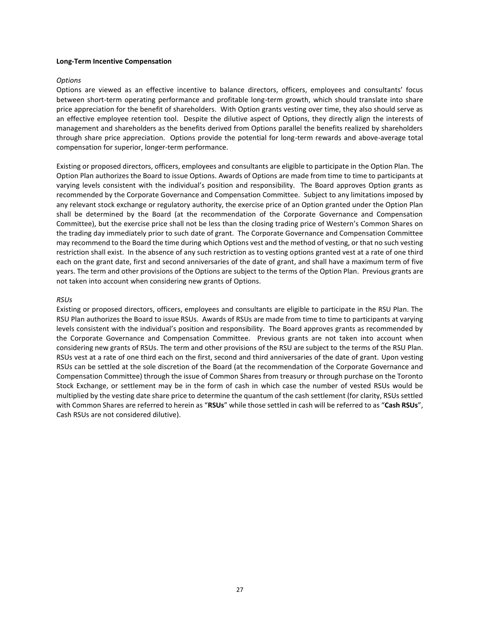#### **Long-Term Incentive Compensation**

#### *Options*

Options are viewed as an effective incentive to balance directors, officers, employees and consultants' focus between short-term operating performance and profitable long-term growth, which should translate into share price appreciation for the benefit of shareholders. With Option grants vesting over time, they also should serve as an effective employee retention tool. Despite the dilutive aspect of Options, they directly align the interests of management and shareholders as the benefits derived from Options parallel the benefits realized by shareholders through share price appreciation. Options provide the potential for long-term rewards and above-average total compensation for superior, longer-term performance.

Existing or proposed directors, officers, employees and consultants are eligible to participate in the Option Plan. The Option Plan authorizes the Board to issue Options. Awards of Options are made from time to time to participants at varying levels consistent with the individual's position and responsibility. The Board approves Option grants as recommended by the Corporate Governance and Compensation Committee. Subject to any limitations imposed by any relevant stock exchange or regulatory authority, the exercise price of an Option granted under the Option Plan shall be determined by the Board (at the recommendation of the Corporate Governance and Compensation Committee), but the exercise price shall not be less than the closing trading price of Western's Common Shares on the trading day immediately prior to such date of grant. The Corporate Governance and Compensation Committee may recommend to the Board the time during which Options vest and the method of vesting, or that no such vesting restriction shall exist. In the absence of any such restriction as to vesting options granted vest at a rate of one third each on the grant date, first and second anniversaries of the date of grant, and shall have a maximum term of five years. The term and other provisions of the Options are subject to the terms of the Option Plan. Previous grants are not taken into account when considering new grants of Options.

#### *RSUs*

Existing or proposed directors, officers, employees and consultants are eligible to participate in the RSU Plan. The RSU Plan authorizes the Board to issue RSUs. Awards of RSUs are made from time to time to participants at varying levels consistent with the individual's position and responsibility. The Board approves grants as recommended by the Corporate Governance and Compensation Committee. Previous grants are not taken into account when considering new grants of RSUs. The term and other provisions of the RSU are subject to the terms of the RSU Plan. RSUs vest at a rate of one third each on the first, second and third anniversaries of the date of grant. Upon vesting RSUs can be settled at the sole discretion of the Board (at the recommendation of the Corporate Governance and Compensation Committee) through the issue of Common Shares from treasury or through purchase on the Toronto Stock Exchange, or settlement may be in the form of cash in which case the number of vested RSUs would be multiplied by the vesting date share price to determine the quantum of the cash settlement (for clarity, RSUs settled with Common Shares are referred to herein as "**RSUs**" while those settled in cash will be referred to as "**Cash RSUs**", Cash RSUs are not considered dilutive).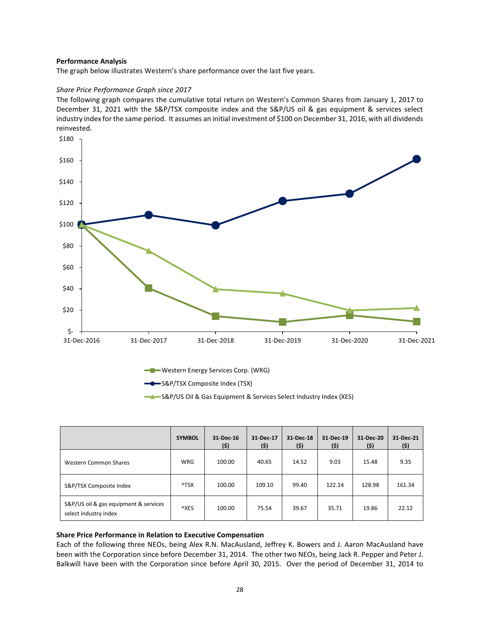#### **Performance Analysis**

The graph below illustrates Western's share performance over the last five years.

# *Share Price Performance Graph since 2017*

The following graph compares the cumulative total return on Western's Common Shares from January 1, 2017 to December 31, 2021 with the S&P/TSX composite index and the S&P/US oil & gas equipment & services select industry index for the same period. It assumes an initial investment of \$100 on December 31, 2016, with all dividends reinvested.



Western Energy Services Corp. (WRG)

S&P/TSX Composite Index (TSX)

S&P/US Oil & Gas Equipment & Services Select Industry Index (XES)

|                                                                | <b>SYMBOL</b> | 31-Dec-16<br>(\$) | 31-Dec-17<br>(\$) | 31-Dec-18<br>(\$) | 31-Dec-19<br>(\$) | 31-Dec-20<br>(\$) | 31 Dec 21<br>(\$) |
|----------------------------------------------------------------|---------------|-------------------|-------------------|-------------------|-------------------|-------------------|-------------------|
| Western Common Shares                                          | <b>WRG</b>    | 100.00            | 40.65             | 14.52             | 9.03              | 15.48             | 9.35              |
| S&P/TSX Composite Index                                        | ^TSX          | 100.00            | 109.10            | 99.40             | 122.14            | 128.98            | 161.34            |
| S&P/US oil & gas equipment & services<br>select industry index | ^XES          | 100.00            | 75.54             | 39.67             | 35.71             | 19.86             | 22.12             |

#### **Share Price Performance in Relation to Executive Compensation**

Each of the following three NEOs, being Alex R.N. MacAusland, Jeffrey K. Bowers and J. Aaron MacAusland have been with the Corporation since before December 31, 2014. The other two NEOs, being Jack R. Pepper and Peter J. Balkwill have been with the Corporation since before April 30, 2015. Over the period of December 31, 2014 to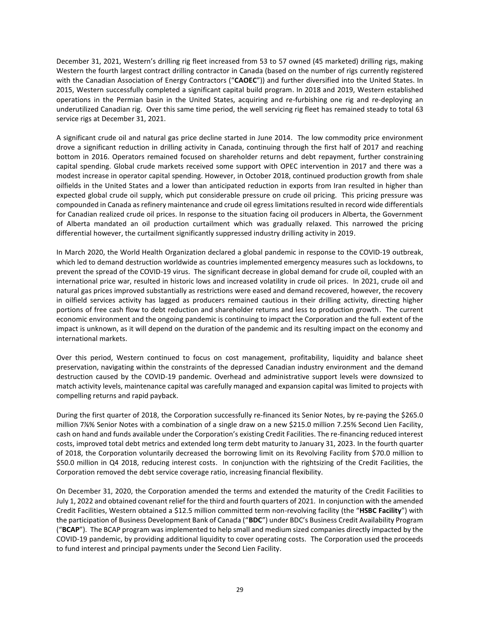December 31, 2021, Western's drilling rig fleet increased from 53 to 57 owned (45 marketed) drilling rigs, making Western the fourth largest contract drilling contractor in Canada (based on the number of rigs currently registered with the Canadian Association of Energy Contractors ("**CAOEC**")) and further diversified into the United States. In 2015, Western successfully completed a significant capital build program. In 2018 and 2019, Western established operations in the Permian basin in the United States, acquiring and re-furbishing one rig and re-deploying an underutilized Canadian rig. Over this same time period, the well servicing rig fleet has remained steady to total 63 service rigs at December 31, 2021.

A significant crude oil and natural gas price decline started in June 2014. The low commodity price environment drove a significant reduction in drilling activity in Canada, continuing through the first half of 2017 and reaching bottom in 2016. Operators remained focused on shareholder returns and debt repayment, further constraining capital spending. Global crude markets received some support with OPEC intervention in 2017 and there was a modest increase in operator capital spending. However, in October 2018, continued production growth from shale oilfields in the United States and a lower than anticipated reduction in exports from Iran resulted in higher than expected global crude oil supply, which put considerable pressure on crude oil pricing. This pricing pressure was compounded in Canada as refinery maintenance and crude oil egress limitations resulted in record wide differentials for Canadian realized crude oil prices. In response to the situation facing oil producers in Alberta, the Government of Alberta mandated an oil production curtailment which was gradually relaxed. This narrowed the pricing differential however, the curtailment significantly suppressed industry drilling activity in 2019.

In March 2020, the World Health Organization declared a global pandemic in response to the COVID-19 outbreak, which led to demand destruction worldwide as countries implemented emergency measures such as lockdowns, to prevent the spread of the COVID-19 virus. The significant decrease in global demand for crude oil, coupled with an international price war, resulted in historic lows and increased volatility in crude oil prices. In 2021, crude oil and natural gas prices improved substantially as restrictions were eased and demand recovered, however, the recovery in oilfield services activity has lagged as producers remained cautious in their drilling activity, directing higher portions of free cash flow to debt reduction and shareholder returns and less to production growth. The current economic environment and the ongoing pandemic is continuing to impact the Corporation and the full extent of the impact is unknown, as it will depend on the duration of the pandemic and its resulting impact on the economy and international markets.

Over this period, Western continued to focus on cost management, profitability, liquidity and balance sheet preservation, navigating within the constraints of the depressed Canadian industry environment and the demand destruction caused by the COVID-19 pandemic. Overhead and administrative support levels were downsized to match activity levels, maintenance capital was carefully managed and expansion capital was limited to projects with compelling returns and rapid payback.

During the first quarter of 2018, the Corporation successfully re-financed its Senior Notes, by re-paying the \$265.0 million 7⅞% Senior Notes with a combination of a single draw on a new \$215.0 million 7.25% Second Lien Facility, cash on hand and funds available under the Corporation's existing Credit Facilities. The re-financing reduced interest costs, improved total debt metrics and extended long term debt maturity to January 31, 2023. In the fourth quarter of 2018, the Corporation voluntarily decreased the borrowing limit on its Revolving Facility from \$70.0 million to \$50.0 million in Q4 2018, reducing interest costs. In conjunction with the rightsizing of the Credit Facilities, the Corporation removed the debt service coverage ratio, increasing financial flexibility.

On December 31, 2020, the Corporation amended the terms and extended the maturity of the Credit Facilities to July 1, 2022 and obtained covenant relief for the third and fourth quarters of 2021. In conjunction with the amended Credit Facilities, Western obtained a \$12.5 million committed term non-revolving facility (the "**HSBC Facility**") with the participation of Business Development Bank of Canada ("**BDC**") under BDC's Business Credit Availability Program ("**BCAP**"). The BCAP program was implemented to help small and medium sized companies directly impacted by the COVID-19 pandemic, by providing additional liquidity to cover operating costs. The Corporation used the proceeds to fund interest and principal payments under the Second Lien Facility.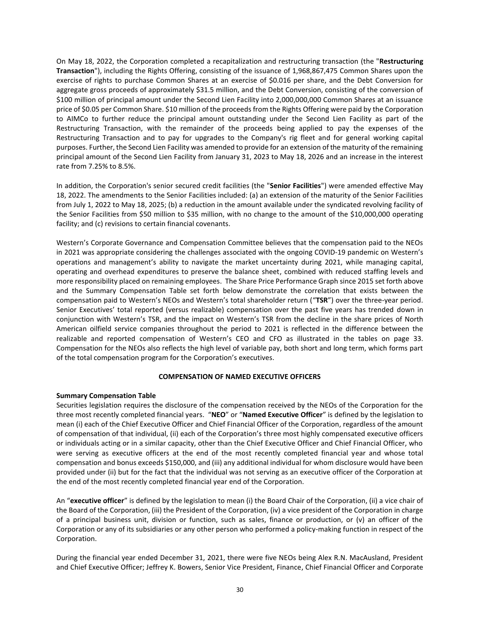On May 18, 2022, the Corporation completed a recapitalization and restructuring transaction (the "**Restructuring Transaction**"), including the Rights Offering, consisting of the issuance of 1,968,867,475 Common Shares upon the exercise of rights to purchase Common Shares at an exercise of \$0.016 per share, and the Debt Conversion for aggregate gross proceeds of approximately \$31.5 million, and the Debt Conversion, consisting of the conversion of \$100 million of principal amount under the Second Lien Facility into 2,000,000,000 Common Shares at an issuance price of \$0.05 per Common Share. \$10 million of the proceeds from the Rights Offering were paid by the Corporation to AIMCo to further reduce the principal amount outstanding under the Second Lien Facility as part of the Restructuring Transaction, with the remainder of the proceeds being applied to pay the expenses of the Restructuring Transaction and to pay for upgrades to the Company's rig fleet and for general working capital purposes. Further, the Second Lien Facility was amended to provide for an extension of the maturity of the remaining principal amount of the Second Lien Facility from January 31, 2023 to May 18, 2026 and an increase in the interest rate from 7.25% to 8.5%.

In addition, the Corporation's senior secured credit facilities (the "**Senior Facilities**") were amended effective May 18, 2022. The amendments to the Senior Facilities included: (a) an extension of the maturity of the Senior Facilities from July 1, 2022 to May 18, 2025; (b) a reduction in the amount available under the syndicated revolving facility of the Senior Facilities from \$50 million to \$35 million, with no change to the amount of the \$10,000,000 operating facility; and (c) revisions to certain financial covenants.

Western's Corporate Governance and Compensation Committee believes that the compensation paid to the NEOs in 2021 was appropriate considering the challenges associated with the ongoing COVID-19 pandemic on Western's operations and management's ability to navigate the market uncertainty during 2021, while managing capital, operating and overhead expenditures to preserve the balance sheet, combined with reduced staffing levels and more responsibility placed on remaining employees. The Share Price Performance Graph since 2015 set forth above and the Summary Compensation Table set forth below demonstrate the correlation that exists between the compensation paid to Western's NEOs and Western's total shareholder return ("**TSR**") over the three-year period. Senior Executives' total reported (versus realizable) compensation over the past five years has trended down in conjunction with Western's TSR, and the impact on Western's TSR from the decline in the share prices of North American oilfield service companies throughout the period to 2021 is reflected in the difference between the realizable and reported compensation of Western's CEO and CFO as illustrated in the tables on page 33. Compensation for the NEOs also reflects the high level of variable pay, both short and long term, which forms part of the total compensation program for the Corporation's executives.

#### **COMPENSATION OF NAMED EXECUTIVE OFFICERS**

# **Summary Compensation Table**

Securities legislation requires the disclosure of the compensation received by the NEOs of the Corporation for the three most recently completed financial years. "**NEO**" or "**Named Executive Officer**" is defined by the legislation to mean (i) each of the Chief Executive Officer and Chief Financial Officer of the Corporation, regardless of the amount of compensation of that individual, (ii) each of the Corporation's three most highly compensated executive officers or individuals acting or in a similar capacity, other than the Chief Executive Officer and Chief Financial Officer, who were serving as executive officers at the end of the most recently completed financial year and whose total compensation and bonus exceeds \$150,000, and (iii) any additional individual for whom disclosure would have been provided under (ii) but for the fact that the individual was not serving as an executive officer of the Corporation at the end of the most recently completed financial year end of the Corporation.

An "**executive officer**" is defined by the legislation to mean (i) the Board Chair of the Corporation, (ii) a vice chair of the Board of the Corporation, (iii) the President of the Corporation, (iv) a vice president of the Corporation in charge of a principal business unit, division or function, such as sales, finance or production, or (v) an officer of the Corporation or any of its subsidiaries or any other person who performed a policy-making function in respect of the Corporation.

During the financial year ended December 31, 2021, there were five NEOs being Alex R.N. MacAusland, President and Chief Executive Officer; Jeffrey K. Bowers, Senior Vice President, Finance, Chief Financial Officer and Corporate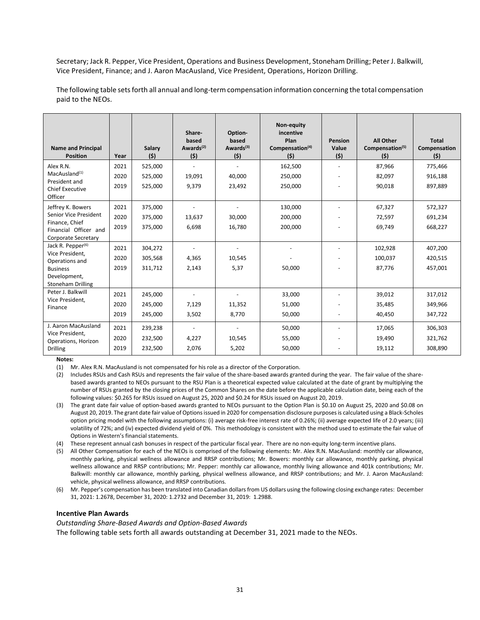Secretary; Jack R. Pepper, Vice President, Operations and Business Development, Stoneham Drilling; Peter J. Balkwill, Vice President, Finance; and J. Aaron MacAusland, Vice President, Operations, Horizon Drilling.

The following table sets forth all annual and long-term compensation information concerning the total compensation paid to the NEOs.

| <b>Name and Principal</b><br><b>Position</b> | Year | Salary<br>(5) | Share-<br>based<br>Awards <sup>(2)</sup><br>(5) | Option-<br>based<br>Awards $(3)$<br>(5) | Non-equity<br>incentive<br>Plan<br>Compensation <sup>(4)</sup><br>(5) | <b>Pension</b><br>Value<br>(5) | <b>All Other</b><br>Compensation <sup>(5)</sup><br>(5) | <b>Total</b><br>Compensation<br>(5) |
|----------------------------------------------|------|---------------|-------------------------------------------------|-----------------------------------------|-----------------------------------------------------------------------|--------------------------------|--------------------------------------------------------|-------------------------------------|
| Alex R.N.                                    | 2021 | 525,000       |                                                 |                                         | 162,500                                                               |                                | 87,966                                                 | 775,466                             |
| MacAusland <sup>(1)</sup><br>President and   | 2020 | 525,000       | 19,091                                          | 40.000                                  | 250,000                                                               |                                | 82,097                                                 | 916,188                             |
| <b>Chief Executive</b><br>Officer            | 2019 | 525,000       | 9,379                                           | 23,492                                  | 250,000                                                               |                                | 90,018                                                 | 897,889                             |
| Jeffrey K. Bowers                            | 2021 | 375,000       |                                                 |                                         | 130,000                                                               |                                | 67,327                                                 | 572,327                             |
| Senior Vice President                        | 2020 | 375,000       | 13,637                                          | 30,000                                  | 200,000                                                               |                                | 72,597                                                 | 691,234                             |
| Finance, Chief<br>Financial Officer and      | 2019 | 375,000       | 6,698                                           | 16,780                                  | 200,000                                                               |                                | 69,749                                                 | 668,227                             |
| Corporate Secretary                          |      |               |                                                 |                                         |                                                                       |                                |                                                        |                                     |
| Jack R. Pepper <sup>(6)</sup>                | 2021 | 304,272       |                                                 |                                         |                                                                       |                                | 102,928                                                | 407,200                             |
| Vice President,<br>Operations and            | 2020 | 305,568       | 4,365                                           | 10,545                                  |                                                                       |                                | 100,037                                                | 420,515                             |
| <b>Business</b>                              | 2019 | 311,712       | 2,143                                           | 5,37                                    | 50,000                                                                |                                | 87,776                                                 | 457,001                             |
| Development,<br><b>Stoneham Drilling</b>     |      |               |                                                 |                                         |                                                                       |                                |                                                        |                                     |
| Peter J. Balkwill                            | 2021 | 245,000       |                                                 |                                         | 33,000                                                                |                                | 39,012                                                 | 317,012                             |
| Vice President,<br>Finance                   | 2020 | 245,000       | 7,129                                           | 11,352                                  | 51,000                                                                |                                | 35,485                                                 | 349,966                             |
|                                              | 2019 | 245,000       | 3,502                                           | 8,770                                   | 50,000                                                                |                                | 40,450                                                 | 347,722                             |
| J. Aaron MacAusland                          | 2021 | 239,238       | $\overline{\phantom{a}}$                        |                                         | 50,000                                                                |                                | 17,065                                                 | 306,303                             |
| Vice President,<br>Operations, Horizon       | 2020 | 232,500       | 4,227                                           | 10.545                                  | 55,000                                                                |                                | 19,490                                                 | 321,762                             |
| <b>Drilling</b>                              | 2019 | 232,500       | 2,076                                           | 5,202                                   | 50,000                                                                |                                | 19,112                                                 | 308,890                             |

**Notes:** 

(1) Mr. Alex R.N. MacAusland is not compensated for his role as a director of the Corporation.

(2) Includes RSUs and Cash RSUs and represents the fair value of the share-based awards granted during the year. The fair value of the sharebased awards granted to NEOs pursuant to the RSU Plan is a theoretical expected value calculated at the date of grant by multiplying the number of RSUs granted by the closing prices of the Common Shares on the date before the applicable calculation date, being each of the following values: \$0.265 for RSUs issued on August 25, 2020 and \$0.24 for RSUs issued on August 20, 2019.

(3) The grant date fair value of option-based awards granted to NEOs pursuant to the Option Plan is \$0.10 on August 25, 2020 and \$0.08 on August 20, 2019. The grant date fair value of Options issued in 2020 for compensation disclosure purposes is calculated using a Black-Scholes option pricing model with the following assumptions: (i) average risk-free interest rate of 0.26%; (ii) average expected life of 2.0 years; (iii) volatility of 72%; and (iv) expected dividend yield of 0%. This methodology is consistent with the method used to estimate the fair value of Options in Western's financial statements.

(4) These represent annual cash bonuses in respect of the particular fiscal year. There are no non-equity long-term incentive plans.

- (5) All Other Compensation for each of the NEOs is comprised of the following elements: Mr. Alex R.N. MacAusland: monthly car allowance, monthly parking, physical wellness allowance and RRSP contributions; Mr. Bowers: monthly car allowance, monthly parking, physical wellness allowance and RRSP contributions; Mr. Pepper: monthly car allowance, monthly living allowance and 401k contributions; Mr. Balkwill: monthly car allowance, monthly parking, physical wellness allowance, and RRSP contributions; and Mr. J. Aaron MacAusland: vehicle, physical wellness allowance, and RRSP contributions.
- (6) Mr. Pepper's compensation has been translated into Canadian dollars from US dollars using the following closing exchange rates: December 31, 2021: 1.2678, December 31, 2020: 1.2732 and December 31, 2019: 1.2988.

#### **Incentive Plan Awards**

*Outstanding Share-Based Awards and Option-Based Awards* 

The following table sets forth all awards outstanding at December 31, 2021 made to the NEOs.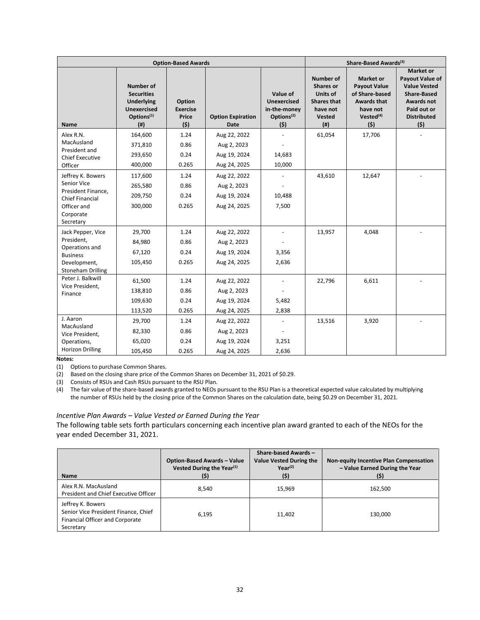|                                              |                                                                                                                   | <b>Option-Based Awards</b>                |                                         |                                                                                 |                                                                                                      | Share-Based Awards <sup>(3)</sup>                                                                                           |                                                                                                                                                   |
|----------------------------------------------|-------------------------------------------------------------------------------------------------------------------|-------------------------------------------|-----------------------------------------|---------------------------------------------------------------------------------|------------------------------------------------------------------------------------------------------|-----------------------------------------------------------------------------------------------------------------------------|---------------------------------------------------------------------------------------------------------------------------------------------------|
| <b>Name</b>                                  | <b>Number of</b><br><b>Securities</b><br><b>Underlying</b><br><b>Unexercised</b><br>Options <sup>(1)</sup><br>(#) | Option<br><b>Exercise</b><br>Price<br>(5) | <b>Option Expiration</b><br><b>Date</b> | Value of<br><b>Unexercised</b><br>in-the-money<br>Options <sup>(2)</sup><br>(5) | <b>Number of</b><br><b>Shares or</b><br>Units of<br><b>Shares that</b><br>have not<br>Vested<br>(# ) | <b>Market or</b><br><b>Payout Value</b><br>of Share-based<br><b>Awards that</b><br>have not<br>Vested <sup>(4)</sup><br>(5) | <b>Market or</b><br>Payout Value of<br><b>Value Vested</b><br><b>Share-Based</b><br><b>Awards not</b><br>Paid out or<br><b>Distributed</b><br>(5) |
| Alex R.N.                                    | 164,600                                                                                                           | 1.24                                      | Aug 22, 2022                            |                                                                                 | 61,054                                                                                               | 17,706                                                                                                                      |                                                                                                                                                   |
| MacAusland                                   | 371,810                                                                                                           | 0.86                                      | Aug 2, 2023                             |                                                                                 |                                                                                                      |                                                                                                                             |                                                                                                                                                   |
| President and<br><b>Chief Executive</b>      | 293,650                                                                                                           | 0.24                                      | Aug 19, 2024                            | 14,683                                                                          |                                                                                                      |                                                                                                                             |                                                                                                                                                   |
| Officer                                      | 400,000                                                                                                           | 0.265                                     | Aug 24, 2025                            | 10,000                                                                          |                                                                                                      |                                                                                                                             |                                                                                                                                                   |
| Jeffrey K. Bowers                            | 117,600                                                                                                           | 1.24                                      | Aug 22, 2022                            |                                                                                 | 43,610                                                                                               | 12,647                                                                                                                      |                                                                                                                                                   |
| Senior Vice                                  | 265,580                                                                                                           | 0.86                                      | Aug 2, 2023                             |                                                                                 |                                                                                                      |                                                                                                                             |                                                                                                                                                   |
| President Finance,<br><b>Chief Financial</b> | 209,750                                                                                                           | 0.24                                      | Aug 19, 2024                            | 10,488                                                                          |                                                                                                      |                                                                                                                             |                                                                                                                                                   |
| Officer and<br>Corporate<br>Secretary        | 300,000                                                                                                           | 0.265                                     | Aug 24, 2025                            | 7,500                                                                           |                                                                                                      |                                                                                                                             |                                                                                                                                                   |
| Jack Pepper, Vice                            | 29,700                                                                                                            | 1.24                                      | Aug 22, 2022                            |                                                                                 | 13,957                                                                                               | 4,048                                                                                                                       |                                                                                                                                                   |
| President,                                   | 84,980                                                                                                            | 0.86                                      | Aug 2, 2023                             |                                                                                 |                                                                                                      |                                                                                                                             |                                                                                                                                                   |
| Operations and<br><b>Business</b>            | 67,120                                                                                                            | 0.24                                      | Aug 19, 2024                            | 3,356                                                                           |                                                                                                      |                                                                                                                             |                                                                                                                                                   |
| Development,<br><b>Stoneham Drilling</b>     | 105,450                                                                                                           | 0.265                                     | Aug 24, 2025                            | 2,636                                                                           |                                                                                                      |                                                                                                                             |                                                                                                                                                   |
| Peter J. Balkwill                            | 61,500                                                                                                            | 1.24                                      | Aug 22, 2022                            |                                                                                 | 22,796                                                                                               | 6,611                                                                                                                       |                                                                                                                                                   |
| Vice President,<br>Finance                   | 138,810                                                                                                           | 0.86                                      | Aug 2, 2023                             |                                                                                 |                                                                                                      |                                                                                                                             |                                                                                                                                                   |
|                                              | 109,630                                                                                                           | 0.24                                      | Aug 19, 2024                            | 5,482                                                                           |                                                                                                      |                                                                                                                             |                                                                                                                                                   |
|                                              | 113,520                                                                                                           | 0.265                                     | Aug 24, 2025                            | 2,838                                                                           |                                                                                                      |                                                                                                                             |                                                                                                                                                   |
| J. Aaron<br>MacAusland                       | 29,700                                                                                                            | 1.24                                      | Aug 22, 2022                            |                                                                                 | 13,516                                                                                               | 3,920                                                                                                                       |                                                                                                                                                   |
| Vice President,                              | 82,330                                                                                                            | 0.86                                      | Aug 2, 2023                             |                                                                                 |                                                                                                      |                                                                                                                             |                                                                                                                                                   |
| Operations,                                  | 65,020                                                                                                            | 0.24                                      | Aug 19, 2024                            | 3,251                                                                           |                                                                                                      |                                                                                                                             |                                                                                                                                                   |
| <b>Horizon Drilling</b>                      | 105,450                                                                                                           | 0.265                                     | Aug 24, 2025                            | 2,636                                                                           |                                                                                                      |                                                                                                                             |                                                                                                                                                   |

(1) Options to purchase Common Shares.

(2) Based on the closing share price of the Common Shares on December 31, 2021 of \$0.29.

(3) Consists of RSUs and Cash RSUs pursuant to the RSU Plan.

(4) The fair value of the share-based awards granted to NEOs pursuant to the RSU Plan is a theoretical expected value calculated by multiplying the number of RSUs held by the closing price of the Common Shares on the calculation date, being \$0.29 on December 31, 2021.

# *Incentive Plan Awards – Value Vested or Earned During the Year*

The following table sets forth particulars concerning each incentive plan award granted to each of the NEOs for the year ended December 31, 2021.

| <b>Name</b>                                                                                                      | <b>Option-Based Awards - Value</b><br>Vested During the Year <sup>(1)</sup><br>(\$) | Share-based Awards-<br><b>Value Vested During the</b><br>$Year^{(2)}$<br>(5) | Non-equity Incentive Plan Compensation<br>- Value Earned During the Year<br>(\$) |
|------------------------------------------------------------------------------------------------------------------|-------------------------------------------------------------------------------------|------------------------------------------------------------------------------|----------------------------------------------------------------------------------|
| Alex R.N. MacAusland<br>President and Chief Executive Officer                                                    | 8.540                                                                               | 15,969                                                                       | 162,500                                                                          |
| Jeffrey K. Bowers<br>Senior Vice President Finance, Chief<br><b>Financial Officer and Corporate</b><br>Secretary | 6.195                                                                               | 11.402                                                                       | 130.000                                                                          |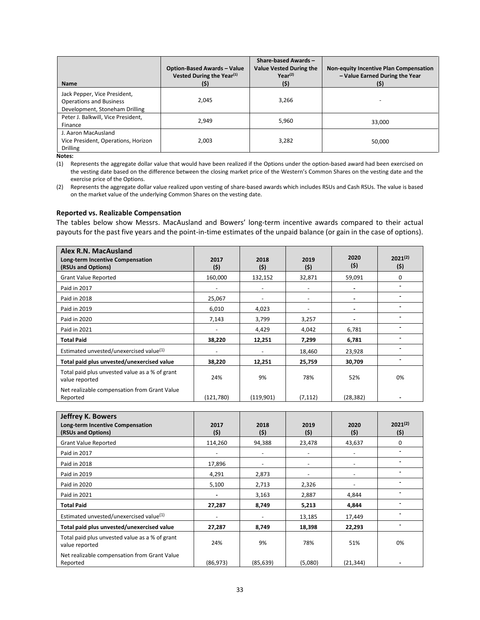| <b>Name</b>                                                                                      | <b>Option-Based Awards - Value</b><br>Vested During the Year <sup>(1)</sup><br>(\$) | Share-based Awards -<br><b>Value Vested During the</b><br>$Year^{(2)}$<br>(5) | Non-equity Incentive Plan Compensation<br>- Value Earned During the Year<br>(5) |
|--------------------------------------------------------------------------------------------------|-------------------------------------------------------------------------------------|-------------------------------------------------------------------------------|---------------------------------------------------------------------------------|
| Jack Pepper, Vice President,<br><b>Operations and Business</b><br>Development, Stoneham Drilling | 2,045                                                                               | 3,266                                                                         |                                                                                 |
| Peter J. Balkwill, Vice President,<br>Finance                                                    | 2.949                                                                               | 5,960                                                                         | 33.000                                                                          |
| J. Aaron MacAusland<br>Vice President, Operations, Horizon<br><b>Drilling</b>                    | 2,003                                                                               | 3,282                                                                         | 50.000                                                                          |

(1) Represents the aggregate dollar value that would have been realized if the Options under the option-based award had been exercised on the vesting date based on the difference between the closing market price of the Western's Common Shares on the vesting date and the exercise price of the Options.

(2) Represents the aggregate dollar value realized upon vesting of share-based awards which includes RSUs and Cash RSUs. The value is based on the market value of the underlying Common Shares on the vesting date.

#### **Reported vs. Realizable Compensation**

The tables below show Messrs. MacAusland and Bowers' long-term incentive awards compared to their actual payouts for the past five years and the point-in-time estimates of the unpaid balance (or gain in the case of options).

| Alex R.N. MacAusland<br>Long-term Incentive Compensation<br>(RSUs and Options) | 2017<br>(5)              | 2018<br>(5) | 2019<br>(5) | 2020<br>(5) | $2021^{(2)}$<br>(5) |
|--------------------------------------------------------------------------------|--------------------------|-------------|-------------|-------------|---------------------|
| <b>Grant Value Reported</b>                                                    | 160,000                  | 132,152     | 32,871      | 59,091      | 0                   |
| Paid in 2017                                                                   | $\overline{\phantom{a}}$ |             |             |             |                     |
| Paid in 2018                                                                   | 25,067                   |             |             |             |                     |
| Paid in 2019                                                                   | 6,010                    | 4,023       |             |             |                     |
| Paid in 2020                                                                   | 7,143                    | 3,799       | 3,257       |             |                     |
| Paid in 2021                                                                   |                          | 4,429       | 4,042       | 6,781       |                     |
| <b>Total Paid</b>                                                              | 38,220                   | 12,251      | 7,299       | 6,781       |                     |
| Estimated unvested/unexercised value <sup>(1)</sup>                            |                          |             | 18,460      | 23,928      |                     |
| Total paid plus unvested/unexercised value                                     | 38,220                   | 12,251      | 25,759      | 30,709      |                     |
| Total paid plus unvested value as a % of grant<br>value reported               | 24%                      | 9%          | 78%         | 52%         | 0%                  |
| Net realizable compensation from Grant Value<br>Reported                       | (121,780)                | (119,901)   | (7, 112)    | (28, 382)   |                     |

| <b>Jeffrey K. Bowers</b><br>Long-term Incentive Compensation<br>(RSUs and Options) | 2017<br>(5)              | 2018<br>(5) | 2019<br>(5) | 2020<br>(5)              | $2021^{(2)}$<br>(\$) |
|------------------------------------------------------------------------------------|--------------------------|-------------|-------------|--------------------------|----------------------|
| <b>Grant Value Reported</b>                                                        | 114,260                  | 94,388      | 23,478      | 43,637                   | 0                    |
| Paid in 2017                                                                       | $\overline{\phantom{a}}$ | -           |             | $\overline{\phantom{a}}$ |                      |
| Paid in 2018                                                                       | 17,896                   |             |             |                          |                      |
| Paid in 2019                                                                       | 4,291                    | 2,873       |             | $\overline{\phantom{a}}$ |                      |
| Paid in 2020                                                                       | 5,100                    | 2,713       | 2,326       | -                        |                      |
| Paid in 2021                                                                       | $\blacksquare$           | 3,163       | 2,887       | 4,844                    |                      |
| <b>Total Paid</b>                                                                  | 27,287                   | 8,749       | 5,213       | 4,844                    |                      |
| Estimated unvested/unexercised value <sup>(1)</sup>                                | $\overline{\phantom{a}}$ | -           | 13,185      | 17,449                   |                      |
| Total paid plus unvested/unexercised value                                         | 27,287                   | 8,749       | 18,398      | 22,293                   |                      |
| Total paid plus unvested value as a % of grant<br>value reported                   | 24%                      | 9%          | 78%         | 51%                      | 0%                   |
| Net realizable compensation from Grant Value<br>Reported                           | (86, 973)                | (85, 639)   | (5,080)     | (21, 344)                |                      |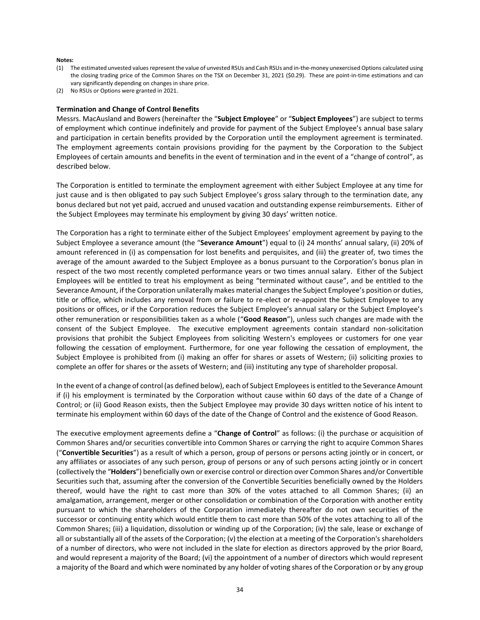- (1) The estimated unvested values represent the value of unvested RSUs and Cash RSUs and in-the-money unexercised Options calculated using the closing trading price of the Common Shares on the TSX on December 31, 2021 (\$0.29). These are point-in-time estimations and can vary significantly depending on changes in share price.
- (2) No RSUs or Options were granted in 2021.

#### **Termination and Change of Control Benefits**

Messrs. MacAusland and Bowers (hereinafter the "**Subject Employee**" or "**Subject Employees**") are subject to terms of employment which continue indefinitely and provide for payment of the Subject Employee's annual base salary and participation in certain benefits provided by the Corporation until the employment agreement is terminated. The employment agreements contain provisions providing for the payment by the Corporation to the Subject Employees of certain amounts and benefits in the event of termination and in the event of a "change of control", as described below.

The Corporation is entitled to terminate the employment agreement with either Subject Employee at any time for just cause and is then obligated to pay such Subject Employee's gross salary through to the termination date, any bonus declared but not yet paid, accrued and unused vacation and outstanding expense reimbursements. Either of the Subject Employees may terminate his employment by giving 30 days' written notice.

The Corporation has a right to terminate either of the Subject Employees' employment agreement by paying to the Subject Employee a severance amount (the "**Severance Amount**") equal to (i) 24 months' annual salary, (ii) 20% of amount referenced in (i) as compensation for lost benefits and perquisites, and (iii) the greater of, two times the average of the amount awarded to the Subject Employee as a bonus pursuant to the Corporation's bonus plan in respect of the two most recently completed performance years or two times annual salary. Either of the Subject Employees will be entitled to treat his employment as being "terminated without cause", and be entitled to the Severance Amount, if the Corporation unilaterally makes material changes the Subject Employee's position or duties, title or office, which includes any removal from or failure to re-elect or re-appoint the Subject Employee to any positions or offices, or if the Corporation reduces the Subject Employee's annual salary or the Subject Employee's other remuneration or responsibilities taken as a whole ("**Good Reason**"), unless such changes are made with the consent of the Subject Employee. The executive employment agreements contain standard non-solicitation provisions that prohibit the Subject Employees from soliciting Western's employees or customers for one year following the cessation of employment. Furthermore, for one year following the cessation of employment, the Subject Employee is prohibited from (i) making an offer for shares or assets of Western; (ii) soliciting proxies to complete an offer for shares or the assets of Western; and (iii) instituting any type of shareholder proposal.

In the event of a change of control (as defined below), each of Subject Employees is entitled to the Severance Amount if (i) his employment is terminated by the Corporation without cause within 60 days of the date of a Change of Control; or (ii) Good Reason exists, then the Subject Employee may provide 30 days written notice of his intent to terminate his employment within 60 days of the date of the Change of Control and the existence of Good Reason.

The executive employment agreements define a "**Change of Control**" as follows: (i) the purchase or acquisition of Common Shares and/or securities convertible into Common Shares or carrying the right to acquire Common Shares ("**Convertible Securities**") as a result of which a person, group of persons or persons acting jointly or in concert, or any affiliates or associates of any such person, group of persons or any of such persons acting jointly or in concert (collectively the "**Holders**") beneficially own or exercise control or direction over Common Shares and/or Convertible Securities such that, assuming after the conversion of the Convertible Securities beneficially owned by the Holders thereof, would have the right to cast more than 30% of the votes attached to all Common Shares; (ii) an amalgamation, arrangement, merger or other consolidation or combination of the Corporation with another entity pursuant to which the shareholders of the Corporation immediately thereafter do not own securities of the successor or continuing entity which would entitle them to cast more than 50% of the votes attaching to all of the Common Shares; (iii) a liquidation, dissolution or winding up of the Corporation; (iv) the sale, lease or exchange of all or substantially all of the assets of the Corporation; (v) the election at a meeting of the Corporation's shareholders of a number of directors, who were not included in the slate for election as directors approved by the prior Board, and would represent a majority of the Board; (vi) the appointment of a number of directors which would represent a majority of the Board and which were nominated by any holder of voting shares of the Corporation or by any group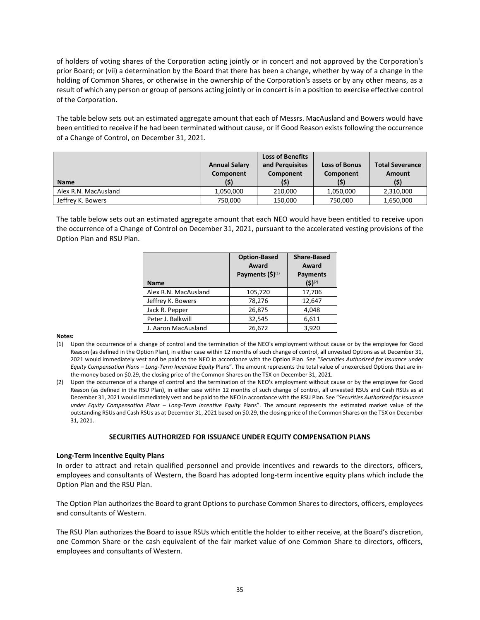of holders of voting shares of the Corporation acting jointly or in concert and not approved by the Corporation's prior Board; or (vii) a determination by the Board that there has been a change, whether by way of a change in the holding of Common Shares, or otherwise in the ownership of the Corporation's assets or by any other means, as a result of which any person or group of persons acting jointly or in concert is in a position to exercise effective control of the Corporation.

The table below sets out an estimated aggregate amount that each of Messrs. MacAusland and Bowers would have been entitled to receive if he had been terminated without cause, or if Good Reason exists following the occurrence of a Change of Control, on December 31, 2021.

| <b>Name</b>          | <b>Annual Salary</b><br>Component | <b>Loss of Benefits</b><br>and Perguisites<br>Component | <b>Loss of Bonus</b><br>Component | <b>Total Severance</b><br>Amount |
|----------------------|-----------------------------------|---------------------------------------------------------|-----------------------------------|----------------------------------|
|                      | (\$)                              | (\$)                                                    | (\$)                              | (\$)                             |
| Alex R.N. MacAusland | 1.050.000                         | 210.000                                                 | 1.050.000                         | 2,310,000                        |
| Jeffrey K. Bowers    | 750,000                           | 150,000                                                 | 750,000                           | 1,650,000                        |

The table below sets out an estimated aggregate amount that each NEO would have been entitled to receive upon the occurrence of a Change of Control on December 31, 2021, pursuant to the accelerated vesting provisions of the Option Plan and RSU Plan.

| <b>Name</b>          | <b>Option-Based</b><br>Award<br>Payments $(5)^{(1)}$ | <b>Share-Based</b><br>Award<br><b>Payments</b><br>$(5)^{(2)}$ |
|----------------------|------------------------------------------------------|---------------------------------------------------------------|
| Alex R.N. MacAusland | 105,720                                              | 17,706                                                        |
| Jeffrey K. Bowers    | 78,276                                               | 12,647                                                        |
| Jack R. Pepper       | 26,875                                               | 4,048                                                         |
| Peter J. Balkwill    | 32,545                                               | 6,611                                                         |
| J. Aaron MacAusland  | 26,672                                               | 3.920                                                         |

**Notes:**

- (1) Upon the occurrence of a change of control and the termination of the NEO's employment without cause or by the employee for Good Reason (as defined in the Option Plan), in either case within 12 months of such change of control, all unvested Options as at December 31, 2021 would immediately vest and be paid to the NEO in accordance with the Option Plan. See "*Securities Authorized for Issuance under Equity Compensation Plans – Long-Term Incentive Equity* Plans". The amount represents the total value of unexercised Options that are inthe-money based on \$0.29, the closing price of the Common Shares on the TSX on December 31, 2021.
- (2) Upon the occurrence of a change of control and the termination of the NEO's employment without cause or by the employee for Good Reason (as defined in the RSU Plan), in either case within 12 months of such change of control, all unvested RSUs and Cash RSUs as at December 31, 2021 would immediately vest and be paid to the NEO in accordance with the RSU Plan. See "*Securities Authorized for Issuance under Equity Compensation Plans – Long-Term Incentive Equity* Plans". The amount represents the estimated market value of the outstanding RSUs and Cash RSUs as at December 31, 2021 based on \$0.29, the closing price of the Common Shares on the TSX on December 31, 2021.

# **SECURITIES AUTHORIZED FOR ISSUANCE UNDER EQUITY COMPENSATION PLANS**

#### **Long-Term Incentive Equity Plans**

In order to attract and retain qualified personnel and provide incentives and rewards to the directors, officers, employees and consultants of Western, the Board has adopted long-term incentive equity plans which include the Option Plan and the RSU Plan.

The Option Plan authorizes the Board to grant Options to purchase Common Shares to directors, officers, employees and consultants of Western.

The RSU Plan authorizes the Board to issue RSUs which entitle the holder to either receive, at the Board's discretion, one Common Share or the cash equivalent of the fair market value of one Common Share to directors, officers, employees and consultants of Western.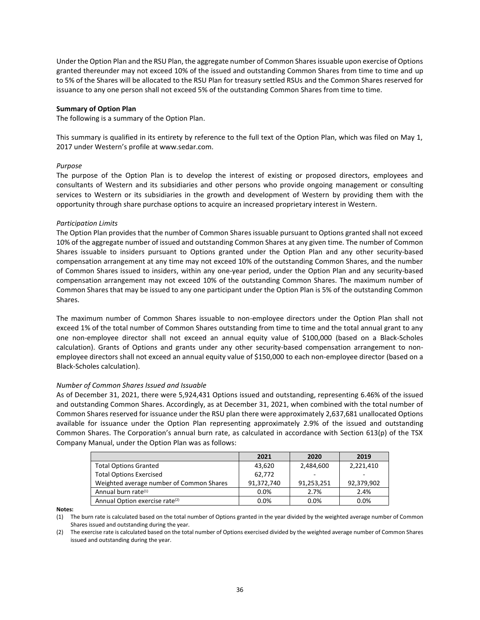Under the Option Plan and the RSU Plan, the aggregate number of Common Shares issuable upon exercise of Options granted thereunder may not exceed 10% of the issued and outstanding Common Shares from time to time and up to 5% of the Shares will be allocated to the RSU Plan for treasury settled RSUs and the Common Shares reserved for issuance to any one person shall not exceed 5% of the outstanding Common Shares from time to time.

#### **Summary of Option Plan**

The following is a summary of the Option Plan.

This summary is qualified in its entirety by reference to the full text of the Option Plan, which was filed on May 1, 2017 under Western's profile at www.sedar.com.

# *Purpose*

The purpose of the Option Plan is to develop the interest of existing or proposed directors, employees and consultants of Western and its subsidiaries and other persons who provide ongoing management or consulting services to Western or its subsidiaries in the growth and development of Western by providing them with the opportunity through share purchase options to acquire an increased proprietary interest in Western.

# *Participation Limits*

The Option Plan provides that the number of Common Shares issuable pursuant to Options granted shall not exceed 10% of the aggregate number of issued and outstanding Common Shares at any given time. The number of Common Shares issuable to insiders pursuant to Options granted under the Option Plan and any other security-based compensation arrangement at any time may not exceed 10% of the outstanding Common Shares, and the number of Common Shares issued to insiders, within any one-year period, under the Option Plan and any security-based compensation arrangement may not exceed 10% of the outstanding Common Shares. The maximum number of Common Shares that may be issued to any one participant under the Option Plan is 5% of the outstanding Common Shares.

The maximum number of Common Shares issuable to non-employee directors under the Option Plan shall not exceed 1% of the total number of Common Shares outstanding from time to time and the total annual grant to any one non-employee director shall not exceed an annual equity value of \$100,000 (based on a Black-Scholes calculation). Grants of Options and grants under any other security-based compensation arrangement to nonemployee directors shall not exceed an annual equity value of \$150,000 to each non-employee director (based on a Black-Scholes calculation).

#### *Number of Common Shares Issued and Issuable*

As of December 31, 2021, there were 5,924,431 Options issued and outstanding, representing 6.46% of the issued and outstanding Common Shares. Accordingly, as at December 31, 2021, when combined with the total number of Common Shares reserved for issuance under the RSU plan there were approximately 2,637,681 unallocated Options available for issuance under the Option Plan representing approximately 2.9% of the issued and outstanding Common Shares. The Corporation's annual burn rate, as calculated in accordance with Section 613(p) of the TSX Company Manual, under the Option Plan was as follows:

|                                            | 2021       | 2020       | 2019       |
|--------------------------------------------|------------|------------|------------|
| <b>Total Options Granted</b>               | 43,620     | 2,484,600  | 2,221,410  |
| <b>Total Options Exercised</b>             | 62.772     |            |            |
| Weighted average number of Common Shares   | 91,372,740 | 91,253,251 | 92,379,902 |
| Annual burn rate <sup>(1)</sup>            | 0.0%       | 2.7%       | 2.4%       |
| Annual Option exercise rate <sup>(2)</sup> | 0.0%       | 0.0%       | 0.0%       |

**Notes:**

(1) The burn rate is calculated based on the total number of Options granted in the year divided by the weighted average number of Common Shares issued and outstanding during the year.

(2) The exercise rate is calculated based on the total number of Options exercised divided by the weighted average number of Common Shares issued and outstanding during the year.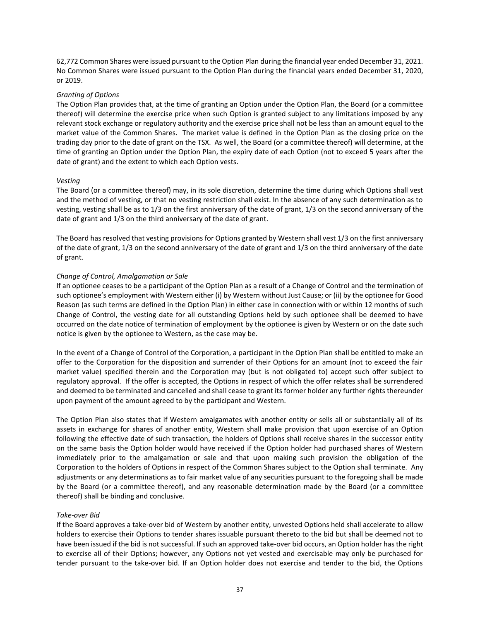62,772 Common Shares were issued pursuant to the Option Plan during the financial year ended December 31, 2021. No Common Shares were issued pursuant to the Option Plan during the financial years ended December 31, 2020, or 2019.

# *Granting of Options*

The Option Plan provides that, at the time of granting an Option under the Option Plan, the Board (or a committee thereof) will determine the exercise price when such Option is granted subject to any limitations imposed by any relevant stock exchange or regulatory authority and the exercise price shall not be less than an amount equal to the market value of the Common Shares. The market value is defined in the Option Plan as the closing price on the trading day prior to the date of grant on the TSX. As well, the Board (or a committee thereof) will determine, at the time of granting an Option under the Option Plan, the expiry date of each Option (not to exceed 5 years after the date of grant) and the extent to which each Option vests.

# *Vesting*

The Board (or a committee thereof) may, in its sole discretion, determine the time during which Options shall vest and the method of vesting, or that no vesting restriction shall exist. In the absence of any such determination as to vesting, vesting shall be as to 1/3 on the first anniversary of the date of grant, 1/3 on the second anniversary of the date of grant and 1/3 on the third anniversary of the date of grant.

The Board has resolved that vesting provisions for Options granted by Western shall vest 1/3 on the first anniversary of the date of grant, 1/3 on the second anniversary of the date of grant and 1/3 on the third anniversary of the date of grant.

# *Change of Control, Amalgamation or Sale*

If an optionee ceases to be a participant of the Option Plan as a result of a Change of Control and the termination of such optionee's employment with Western either (i) by Western without Just Cause; or (ii) by the optionee for Good Reason (as such terms are defined in the Option Plan) in either case in connection with or within 12 months of such Change of Control, the vesting date for all outstanding Options held by such optionee shall be deemed to have occurred on the date notice of termination of employment by the optionee is given by Western or on the date such notice is given by the optionee to Western, as the case may be.

In the event of a Change of Control of the Corporation, a participant in the Option Plan shall be entitled to make an offer to the Corporation for the disposition and surrender of their Options for an amount (not to exceed the fair market value) specified therein and the Corporation may (but is not obligated to) accept such offer subject to regulatory approval. If the offer is accepted, the Options in respect of which the offer relates shall be surrendered and deemed to be terminated and cancelled and shall cease to grant its former holder any further rights thereunder upon payment of the amount agreed to by the participant and Western.

The Option Plan also states that if Western amalgamates with another entity or sells all or substantially all of its assets in exchange for shares of another entity, Western shall make provision that upon exercise of an Option following the effective date of such transaction, the holders of Options shall receive shares in the successor entity on the same basis the Option holder would have received if the Option holder had purchased shares of Western immediately prior to the amalgamation or sale and that upon making such provision the obligation of the Corporation to the holders of Options in respect of the Common Shares subject to the Option shall terminate. Any adjustments or any determinations as to fair market value of any securities pursuant to the foregoing shall be made by the Board (or a committee thereof), and any reasonable determination made by the Board (or a committee thereof) shall be binding and conclusive.

#### *Take-over Bid*

If the Board approves a take-over bid of Western by another entity, unvested Options held shall accelerate to allow holders to exercise their Options to tender shares issuable pursuant thereto to the bid but shall be deemed not to have been issued if the bid is not successful. If such an approved take-over bid occurs, an Option holder has the right to exercise all of their Options; however, any Options not yet vested and exercisable may only be purchased for tender pursuant to the take-over bid. If an Option holder does not exercise and tender to the bid, the Options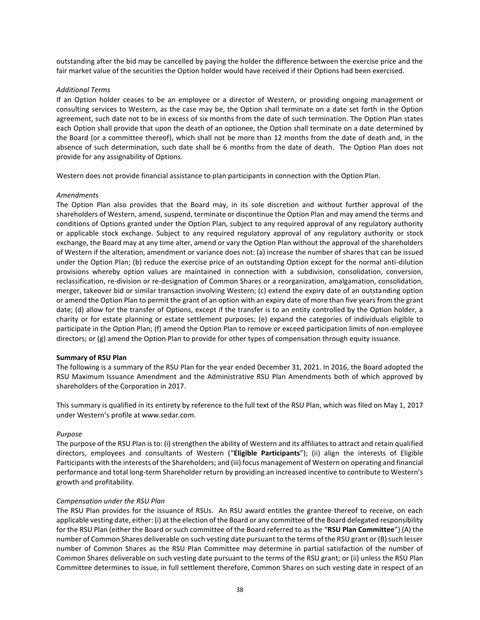outstanding after the bid may be cancelled by paying the holder the difference between the exercise price and the fair market value of the securities the Option holder would have received if their Options had been exercised.

#### *Additional Terms*

If an Option holder ceases to be an employee or a director of Western, or providing ongoing management or consulting services to Western, as the case may be, the Option shall terminate on a date set forth in the Option agreement, such date not to be in excess of six months from the date of such termination. The Option Plan states each Option shall provide that upon the death of an optionee, the Option shall terminate on a date determined by the Board (or a committee thereof), which shall not be more than 12 months from the date of death and, in the absence of such determination, such date shall be 6 months from the date of death. The Option Plan does not provide for any assignability of Options.

Western does not provide financial assistance to plan participants in connection with the Option Plan.

#### *Amendments*

The Option Plan also provides that the Board may, in its sole discretion and without further approval of the shareholders of Western, amend, suspend, terminate or discontinue the Option Plan and may amend the terms and conditions of Options granted under the Option Plan, subject to any required approval of any regulatory authority or applicable stock exchange. Subject to any required regulatory approval of any regulatory authority or stock exchange, the Board may at any time alter, amend or vary the Option Plan without the approval of the shareholders of Western if the alteration, amendment or variance does not: (a) increase the number of shares that can be issued under the Option Plan; (b) reduce the exercise price of an outstanding Option except for the normal anti-dilution provisions whereby option values are maintained in connection with a subdivision, consolidation, conversion, reclassification, re-division or re-designation of Common Shares or a reorganization, amalgamation, consolidation, merger, takeover bid or similar transaction involving Western; (c) extend the expiry date of an outstanding option or amend the Option Plan to permit the grant of an option with an expiry date of more than five years from the grant date; (d) allow for the transfer of Options, except if the transfer is to an entity controlled by the Option holder, a charity or for estate planning or estate settlement purposes; (e) expand the categories of individuals eligible to participate in the Option Plan; (f) amend the Option Plan to remove or exceed participation limits of non-employee directors; or (g) amend the Option Plan to provide for other types of compensation through equity issuance.

#### **Summary of RSU Plan**

The following is a summary of the RSU Plan for the year ended December 31, 2021. In 2016, the Board adopted the RSU Maximum Issuance Amendment and the Administrative RSU Plan Amendments both of which approved by shareholders of the Corporation in 2017.

This summary is qualified in its entirety by reference to the full text of the RSU Plan, which was filed on May 1, 2017 under Western's profile at www.sedar.com.

#### *Purpose*

The purpose of the RSU Plan is to: (i) strengthen the ability of Western and its affiliates to attract and retain qualified directors, employees and consultants of Western ("**Eligible Participants**"); (ii) align the interests of Eligible Participants with the interests of the Shareholders; and (iii) focus management of Western on operating and financial performance and total long-term Shareholder return by providing an increased incentive to contribute to Western's growth and profitability.

#### *Compensation under the RSU Plan*

The RSU Plan provides for the issuance of RSUs. An RSU award entitles the grantee thereof to receive, on each applicable vesting date, either: (i) at the election of the Board or any committee of the Board delegated responsibility for the RSU Plan (either the Board or such committee of the Board referred to as the "**RSU Plan Committee**") (A) the number of Common Shares deliverable on such vesting date pursuant to the terms of the RSU grant or (B) such lesser number of Common Shares as the RSU Plan Committee may determine in partial satisfaction of the number of Common Shares deliverable on such vesting date pursuant to the terms of the RSU grant; or (ii) unless the RSU Plan Committee determines to issue, in full settlement therefore, Common Shares on such vesting date in respect of an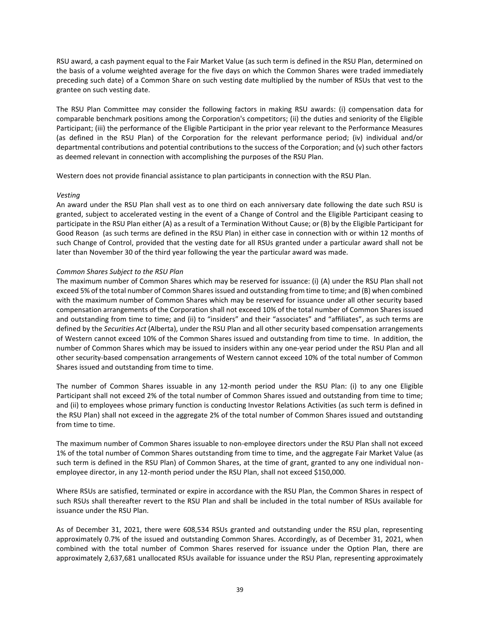RSU award, a cash payment equal to the Fair Market Value (as such term is defined in the RSU Plan, determined on the basis of a volume weighted average for the five days on which the Common Shares were traded immediately preceding such date) of a Common Share on such vesting date multiplied by the number of RSUs that vest to the grantee on such vesting date.

The RSU Plan Committee may consider the following factors in making RSU awards: (i) compensation data for comparable benchmark positions among the Corporation's competitors; (ii) the duties and seniority of the Eligible Participant; (iii) the performance of the Eligible Participant in the prior year relevant to the Performance Measures (as defined in the RSU Plan) of the Corporation for the relevant performance period; (iv) individual and/or departmental contributions and potential contributions to the success of the Corporation; and (v) such other factors as deemed relevant in connection with accomplishing the purposes of the RSU Plan.

Western does not provide financial assistance to plan participants in connection with the RSU Plan.

# *Vesting*

An award under the RSU Plan shall vest as to one third on each anniversary date following the date such RSU is granted, subject to accelerated vesting in the event of a Change of Control and the Eligible Participant ceasing to participate in the RSU Plan either (A) as a result of a Termination Without Cause; or (B) by the Eligible Participant for Good Reason (as such terms are defined in the RSU Plan) in either case in connection with or within 12 months of such Change of Control, provided that the vesting date for all RSUs granted under a particular award shall not be later than November 30 of the third year following the year the particular award was made.

# *Common Shares Subject to the RSU Plan*

The maximum number of Common Shares which may be reserved for issuance: (i) (A) under the RSU Plan shall not exceed 5% of the total number of Common Shares issued and outstanding from time to time; and (B) when combined with the maximum number of Common Shares which may be reserved for issuance under all other security based compensation arrangements of the Corporation shall not exceed 10% of the total number of Common Shares issued and outstanding from time to time; and (ii) to "insiders" and their "associates" and "affiliates", as such terms are defined by the *Securities Act* (Alberta), under the RSU Plan and all other security based compensation arrangements of Western cannot exceed 10% of the Common Shares issued and outstanding from time to time. In addition, the number of Common Shares which may be issued to insiders within any one-year period under the RSU Plan and all other security-based compensation arrangements of Western cannot exceed 10% of the total number of Common Shares issued and outstanding from time to time.

The number of Common Shares issuable in any 12-month period under the RSU Plan: (i) to any one Eligible Participant shall not exceed 2% of the total number of Common Shares issued and outstanding from time to time; and (ii) to employees whose primary function is conducting Investor Relations Activities (as such term is defined in the RSU Plan) shall not exceed in the aggregate 2% of the total number of Common Shares issued and outstanding from time to time.

The maximum number of Common Shares issuable to non-employee directors under the RSU Plan shall not exceed 1% of the total number of Common Shares outstanding from time to time, and the aggregate Fair Market Value (as such term is defined in the RSU Plan) of Common Shares, at the time of grant, granted to any one individual nonemployee director, in any 12-month period under the RSU Plan, shall not exceed \$150,000.

Where RSUs are satisfied, terminated or expire in accordance with the RSU Plan, the Common Shares in respect of such RSUs shall thereafter revert to the RSU Plan and shall be included in the total number of RSUs available for issuance under the RSU Plan.

As of December 31, 2021, there were 608,534 RSUs granted and outstanding under the RSU plan, representing approximately 0.7% of the issued and outstanding Common Shares. Accordingly, as of December 31, 2021, when combined with the total number of Common Shares reserved for issuance under the Option Plan, there are approximately 2,637,681 unallocated RSUs available for issuance under the RSU Plan, representing approximately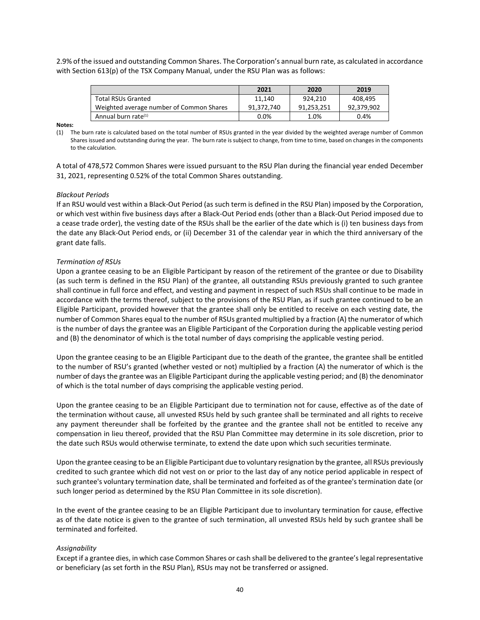2.9% of the issued and outstanding Common Shares. The Corporation's annual burn rate, as calculated in accordance with Section 613(p) of the TSX Company Manual, under the RSU Plan was as follows:

|                                          | 2021       | 2020       | 2019       |
|------------------------------------------|------------|------------|------------|
| <b>Total RSUs Granted</b>                | 11.140     | 924,210    | 408.495    |
| Weighted average number of Common Shares | 91.372.740 | 91,253,251 | 92,379,902 |
| Annual burn rate $(1)$                   | $0.0\%$    | 1.0%       | 0.4%       |

**Notes:**

(1) The burn rate is calculated based on the total number of RSUs granted in the year divided by the weighted average number of Common Shares issued and outstanding during the year. The burn rate is subject to change, from time to time, based on changes in the components to the calculation.

A total of 478,572 Common Shares were issued pursuant to the RSU Plan during the financial year ended December 31, 2021, representing 0.52% of the total Common Shares outstanding.

# *Blackout Periods*

If an RSU would vest within a Black-Out Period (as such term is defined in the RSU Plan) imposed by the Corporation, or which vest within five business days after a Black-Out Period ends (other than a Black-Out Period imposed due to a cease trade order), the vesting date of the RSUs shall be the earlier of the date which is (i) ten business days from the date any Black-Out Period ends, or (ii) December 31 of the calendar year in which the third anniversary of the grant date falls.

# *Termination of RSUs*

Upon a grantee ceasing to be an Eligible Participant by reason of the retirement of the grantee or due to Disability (as such term is defined in the RSU Plan) of the grantee, all outstanding RSUs previously granted to such grantee shall continue in full force and effect, and vesting and payment in respect of such RSUs shall continue to be made in accordance with the terms thereof, subject to the provisions of the RSU Plan, as if such grantee continued to be an Eligible Participant, provided however that the grantee shall only be entitled to receive on each vesting date, the number of Common Shares equal to the number of RSUs granted multiplied by a fraction (A) the numerator of which is the number of days the grantee was an Eligible Participant of the Corporation during the applicable vesting period and (B) the denominator of which is the total number of days comprising the applicable vesting period.

Upon the grantee ceasing to be an Eligible Participant due to the death of the grantee, the grantee shall be entitled to the number of RSU's granted (whether vested or not) multiplied by a fraction (A) the numerator of which is the number of days the grantee was an Eligible Participant during the applicable vesting period; and (B) the denominator of which is the total number of days comprising the applicable vesting period.

Upon the grantee ceasing to be an Eligible Participant due to termination not for cause, effective as of the date of the termination without cause, all unvested RSUs held by such grantee shall be terminated and all rights to receive any payment thereunder shall be forfeited by the grantee and the grantee shall not be entitled to receive any compensation in lieu thereof, provided that the RSU Plan Committee may determine in its sole discretion, prior to the date such RSUs would otherwise terminate, to extend the date upon which such securities terminate.

Upon the grantee ceasing to be an Eligible Participant due to voluntary resignation by the grantee, all RSUs previously credited to such grantee which did not vest on or prior to the last day of any notice period applicable in respect of such grantee's voluntary termination date, shall be terminated and forfeited as of the grantee's termination date (or such longer period as determined by the RSU Plan Committee in its sole discretion).

In the event of the grantee ceasing to be an Eligible Participant due to involuntary termination for cause, effective as of the date notice is given to the grantee of such termination, all unvested RSUs held by such grantee shall be terminated and forfeited.

# *Assignability*

Except if a grantee dies, in which case Common Shares or cash shall be delivered to the grantee's legal representative or beneficiary (as set forth in the RSU Plan), RSUs may not be transferred or assigned.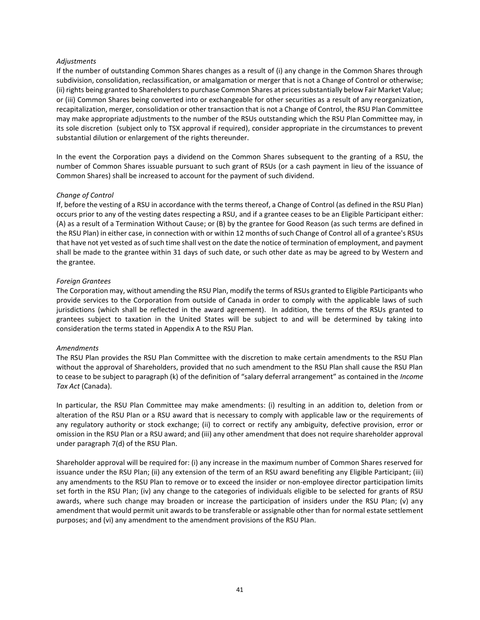#### *Adjustments*

If the number of outstanding Common Shares changes as a result of (i) any change in the Common Shares through subdivision, consolidation, reclassification, or amalgamation or merger that is not a Change of Control or otherwise; (ii) rights being granted to Shareholders to purchase Common Shares at prices substantially below Fair Market Value; or (iii) Common Shares being converted into or exchangeable for other securities as a result of any reorganization, recapitalization, merger, consolidation or other transaction that is not a Change of Control, the RSU Plan Committee may make appropriate adjustments to the number of the RSUs outstanding which the RSU Plan Committee may, in its sole discretion (subject only to TSX approval if required), consider appropriate in the circumstances to prevent substantial dilution or enlargement of the rights thereunder.

In the event the Corporation pays a dividend on the Common Shares subsequent to the granting of a RSU, the number of Common Shares issuable pursuant to such grant of RSUs (or a cash payment in lieu of the issuance of Common Shares) shall be increased to account for the payment of such dividend.

# *Change of Control*

If, before the vesting of a RSU in accordance with the terms thereof, a Change of Control (as defined in the RSU Plan) occurs prior to any of the vesting dates respecting a RSU, and if a grantee ceases to be an Eligible Participant either: (A) as a result of a Termination Without Cause; or (B) by the grantee for Good Reason (as such terms are defined in the RSU Plan) in either case, in connection with or within 12 months of such Change of Control all of a grantee's RSUs that have not yet vested as of such time shall vest on the date the notice of termination of employment, and payment shall be made to the grantee within 31 days of such date, or such other date as may be agreed to by Western and the grantee.

#### *Foreign Grantees*

The Corporation may, without amending the RSU Plan, modify the terms of RSUs granted to Eligible Participants who provide services to the Corporation from outside of Canada in order to comply with the applicable laws of such jurisdictions (which shall be reflected in the award agreement). In addition, the terms of the RSUs granted to grantees subject to taxation in the United States will be subject to and will be determined by taking into consideration the terms stated in Appendix A to the RSU Plan.

#### *Amendments*

The RSU Plan provides the RSU Plan Committee with the discretion to make certain amendments to the RSU Plan without the approval of Shareholders, provided that no such amendment to the RSU Plan shall cause the RSU Plan to cease to be subject to paragraph (k) of the definition of "salary deferral arrangement" as contained in the *Income Tax Act* (Canada).

In particular, the RSU Plan Committee may make amendments: (i) resulting in an addition to, deletion from or alteration of the RSU Plan or a RSU award that is necessary to comply with applicable law or the requirements of any regulatory authority or stock exchange; (ii) to correct or rectify any ambiguity, defective provision, error or omission in the RSU Plan or a RSU award; and (iii) any other amendment that does not require shareholder approval under paragraph 7(d) of the RSU Plan.

Shareholder approval will be required for: (i) any increase in the maximum number of Common Shares reserved for issuance under the RSU Plan; (ii) any extension of the term of an RSU award benefiting any Eligible Participant; (iii) any amendments to the RSU Plan to remove or to exceed the insider or non-employee director participation limits set forth in the RSU Plan; (iv) any change to the categories of individuals eligible to be selected for grants of RSU awards, where such change may broaden or increase the participation of insiders under the RSU Plan; (v) any amendment that would permit unit awards to be transferable or assignable other than for normal estate settlement purposes; and (vi) any amendment to the amendment provisions of the RSU Plan.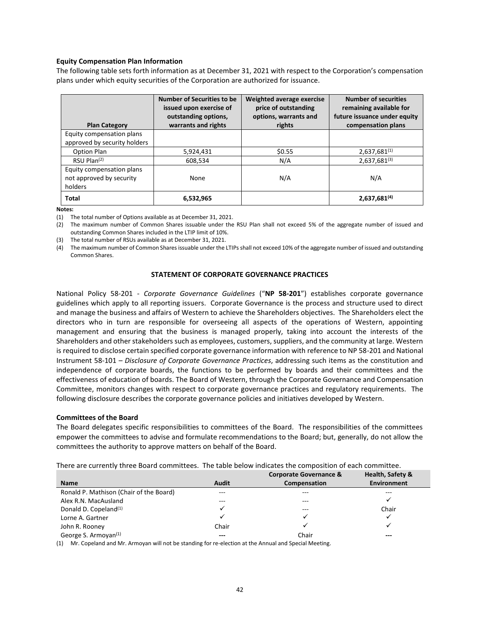#### **Equity Compensation Plan Information**

The following table sets forth information as at December 31, 2021 with respect to the Corporation's compensation plans under which equity securities of the Corporation are authorized for issuance.

| <b>Plan Category</b>                                             | <b>Number of Securities to be</b><br>issued upon exercise of<br>outstanding options,<br>warrants and rights | Weighted average exercise<br>price of outstanding<br>options, warrants and<br>rights | <b>Number of securities</b><br>remaining available for<br>future issuance under equity<br>compensation plans |
|------------------------------------------------------------------|-------------------------------------------------------------------------------------------------------------|--------------------------------------------------------------------------------------|--------------------------------------------------------------------------------------------------------------|
| Equity compensation plans<br>approved by security holders        |                                                                                                             |                                                                                      |                                                                                                              |
| Option Plan                                                      | 5,924,431                                                                                                   | \$0.55                                                                               | 2,637,681(1)                                                                                                 |
| $RSU$ Plan $(2)$                                                 | 608,534                                                                                                     | N/A                                                                                  | $2,637,681^{(3)}$                                                                                            |
| Equity compensation plans<br>not approved by security<br>holders | None                                                                                                        | N/A                                                                                  | N/A                                                                                                          |
| <b>Total</b>                                                     | 6,532,965                                                                                                   |                                                                                      | $2,637,681^{(4)}$                                                                                            |

**Notes:**

(1) The total number of Options available as at December 31, 2021.

(2) The maximum number of Common Shares issuable under the RSU Plan shall not exceed 5% of the aggregate number of issued and outstanding Common Shares included in the LTIP limit of 10%.

(3) The total number of RSUs available as at December 31, 2021.

(4) The maximum number of Common Shares issuable under the LTIPs shall not exceed 10% of the aggregate number of issued and outstanding Common Shares.

#### **STATEMENT OF CORPORATE GOVERNANCE PRACTICES**

National Policy 58-201 - *Corporate Governance Guidelines* ("**NP 58-201**") establishes corporate governance guidelines which apply to all reporting issuers. Corporate Governance is the process and structure used to direct and manage the business and affairs of Western to achieve the Shareholders objectives. The Shareholders elect the directors who in turn are responsible for overseeing all aspects of the operations of Western, appointing management and ensuring that the business is managed properly, taking into account the interests of the Shareholders and other stakeholders such as employees, customers, suppliers, and the community at large. Western is required to disclose certain specified corporate governance information with reference to NP 58-201 and National Instrument 58-101 – *Disclosure of Corporate Governance Practices*, addressing such items as the constitution and independence of corporate boards, the functions to be performed by boards and their committees and the effectiveness of education of boards. The Board of Western, through the Corporate Governance and Compensation Committee, monitors changes with respect to corporate governance practices and regulatory requirements. The following disclosure describes the corporate governance policies and initiatives developed by Western.

#### **Committees of the Board**

The Board delegates specific responsibilities to committees of the Board. The responsibilities of the committees empower the committees to advise and formulate recommendations to the Board; but, generally, do not allow the committees the authority to approve matters on behalf of the Board.

| There are currently three Board committees. The table below indicates the composition of each committee. |  |  |
|----------------------------------------------------------------------------------------------------------|--|--|
|----------------------------------------------------------------------------------------------------------|--|--|

|                                         |              | Corporate Governance & | Health, Safety & |
|-----------------------------------------|--------------|------------------------|------------------|
| <b>Name</b>                             | <b>Audit</b> | Compensation           | Environment      |
| Ronald P. Mathison (Chair of the Board) | $---$        | ---                    | $- - -$          |
| Alex R.N. MacAusland                    | ---          | $- - -$                |                  |
| Donald D. Copeland <sup>(1)</sup>       |              | ---                    | Chair            |
| Lorne A. Gartner                        |              |                        |                  |
| John R. Rooney                          | Chair        |                        |                  |
| George S. Armoyan <sup>(1)</sup>        | ---          | Chair                  | $--$             |

(1) Mr. Copeland and Mr. Armoyan will not be standing for re-election at the Annual and Special Meeting.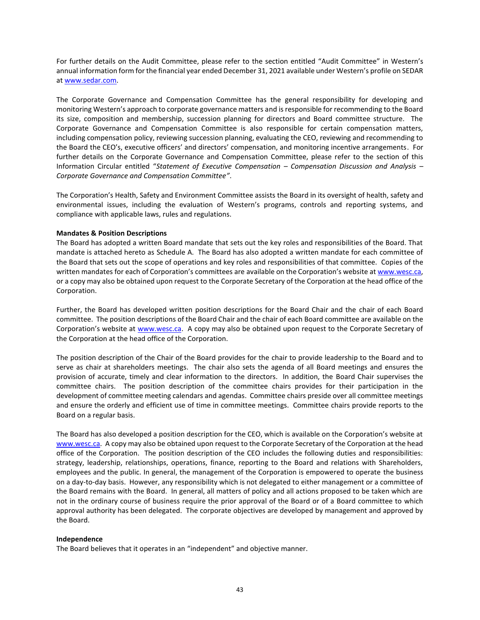For further details on the Audit Committee, please refer to the section entitled "Audit Committee" in Western's annual information form for the financial year ended December 31, 2021 available under Western's profile on SEDAR a[t www.sedar.com.](http://www.sedar.com/)

The Corporate Governance and Compensation Committee has the general responsibility for developing and monitoring Western's approach to corporate governance matters and is responsible for recommending to the Board its size, composition and membership, succession planning for directors and Board committee structure. The Corporate Governance and Compensation Committee is also responsible for certain compensation matters, including compensation policy, reviewing succession planning, evaluating the CEO, reviewing and recommending to the Board the CEO's, executive officers' and directors' compensation, and monitoring incentive arrangements. For further details on the Corporate Governance and Compensation Committee, please refer to the section of this Information Circular entitled "*Statement of Executive Compensation – Compensation Discussion and Analysis – Corporate Governance and Compensation Committee"*.

The Corporation's Health, Safety and Environment Committee assists the Board in its oversight of health, safety and environmental issues, including the evaluation of Western's programs, controls and reporting systems, and compliance with applicable laws, rules and regulations.

#### **Mandates & Position Descriptions**

The Board has adopted a written Board mandate that sets out the key roles and responsibilities of the Board. That mandate is attached hereto as Schedule A. The Board has also adopted a written mandate for each committee of the Board that sets out the scope of operations and key roles and responsibilities of that committee. Copies of the written mandates for each of Corporation's committees are available on the Corporation's website at [www.wesc.ca,](http://www.wesc.ca/) or a copy may also be obtained upon request to the Corporate Secretary of the Corporation at the head office of the Corporation.

Further, the Board has developed written position descriptions for the Board Chair and the chair of each Board committee. The position descriptions of the Board Chair and the chair of each Board committee are available on the Corporation's website at [www.wesc.ca.](http://www.wesc.ca/) A copy may also be obtained upon request to the Corporate Secretary of the Corporation at the head office of the Corporation.

The position description of the Chair of the Board provides for the chair to provide leadership to the Board and to serve as chair at shareholders meetings. The chair also sets the agenda of all Board meetings and ensures the provision of accurate, timely and clear information to the directors. In addition, the Board Chair supervises the committee chairs. The position description of the committee chairs provides for their participation in the development of committee meeting calendars and agendas. Committee chairs preside over all committee meetings and ensure the orderly and efficient use of time in committee meetings. Committee chairs provide reports to the Board on a regular basis.

The Board has also developed a position description for the CEO, which is available on the Corporation's website at [www.wesc.ca.](http://www.wesc.ca/) A copy may also be obtained upon request to the Corporate Secretary of the Corporation at the head office of the Corporation. The position description of the CEO includes the following duties and responsibilities: strategy, leadership, relationships, operations, finance, reporting to the Board and relations with Shareholders, employees and the public. In general, the management of the Corporation is empowered to operate the business on a day-to-day basis. However, any responsibility which is not delegated to either management or a committee of the Board remains with the Board. In general, all matters of policy and all actions proposed to be taken which are not in the ordinary course of business require the prior approval of the Board or of a Board committee to which approval authority has been delegated. The corporate objectives are developed by management and approved by the Board.

#### **Independence**

The Board believes that it operates in an "independent" and objective manner.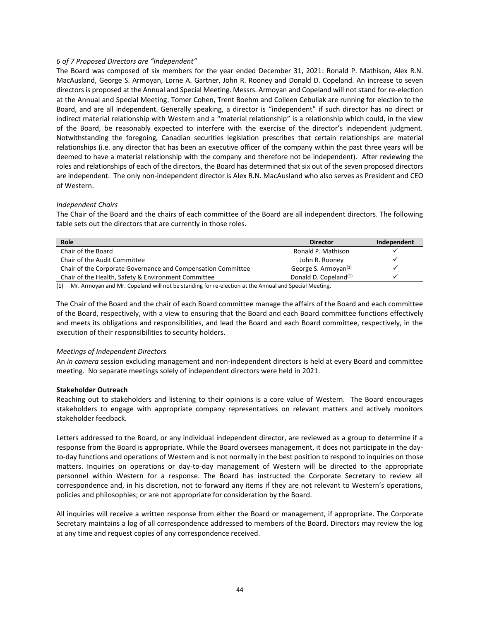# *6 of 7 Proposed Directors are "Independent"*

The Board was composed of six members for the year ended December 31, 2021: Ronald P. Mathison, Alex R.N. MacAusland, George S. Armoyan, Lorne A. Gartner, John R. Rooney and Donald D. Copeland. An increase to seven directors is proposed at the Annual and Special Meeting. Messrs. Armoyan and Copeland will not stand for re-election at the Annual and Special Meeting. Tomer Cohen, Trent Boehm and Colleen Cebuliak are running for election to the Board, and are all independent. Generally speaking, a director is "independent" if such director has no direct or indirect material relationship with Western and a "material relationship" is a relationship which could, in the view of the Board, be reasonably expected to interfere with the exercise of the director's independent judgment. Notwithstanding the foregoing, Canadian securities legislation prescribes that certain relationships are material relationships (i.e. any director that has been an executive officer of the company within the past three years will be deemed to have a material relationship with the company and therefore not be independent). After reviewing the roles and relationships of each of the directors, the Board has determined that six out of the seven proposed directors are independent. The only non-independent director is Alex R.N. MacAusland who also serves as President and CEO of Western.

# *Independent Chairs*

The Chair of the Board and the chairs of each committee of the Board are all independent directors. The following table sets out the directors that are currently in those roles.

| Role                                                         | <b>Director</b>                   | Independent |
|--------------------------------------------------------------|-----------------------------------|-------------|
| Chair of the Board                                           | Ronald P. Mathison                |             |
| Chair of the Audit Committee                                 | John R. Rooney                    |             |
| Chair of the Corporate Governance and Compensation Committee | George S. Armoyan <sup>(1)</sup>  |             |
| Chair of the Health, Safety & Environment Committee          | Donald D. Copeland <sup>(1)</sup> |             |

(1) Mr. Armoyan and Mr. Copeland will not be standing for re-election at the Annual and Special Meeting.

The Chair of the Board and the chair of each Board committee manage the affairs of the Board and each committee of the Board, respectively, with a view to ensuring that the Board and each Board committee functions effectively and meets its obligations and responsibilities, and lead the Board and each Board committee, respectively, in the execution of their responsibilities to security holders.

#### *Meetings of Independent Directors*

An *in camera* session excluding management and non-independent directors is held at every Board and committee meeting. No separate meetings solely of independent directors were held in 2021.

# **Stakeholder Outreach**

Reaching out to stakeholders and listening to their opinions is a core value of Western. The Board encourages stakeholders to engage with appropriate company representatives on relevant matters and actively monitors stakeholder feedback.

Letters addressed to the Board, or any individual independent director, are reviewed as a group to determine if a response from the Board is appropriate. While the Board oversees management, it does not participate in the dayto-day functions and operations of Western and is not normally in the best position to respond to inquiries on those matters. Inquiries on operations or day-to-day management of Western will be directed to the appropriate personnel within Western for a response. The Board has instructed the Corporate Secretary to review all correspondence and, in his discretion, not to forward any items if they are not relevant to Western's operations, policies and philosophies; or are not appropriate for consideration by the Board.

All inquiries will receive a written response from either the Board or management, if appropriate. The Corporate Secretary maintains a log of all correspondence addressed to members of the Board. Directors may review the log at any time and request copies of any correspondence received.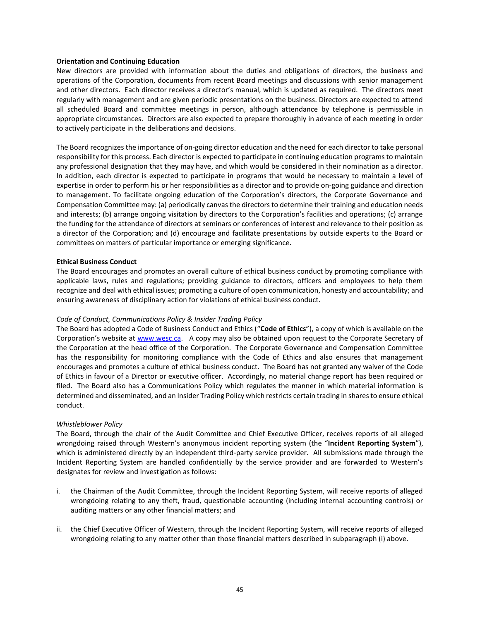#### **Orientation and Continuing Education**

New directors are provided with information about the duties and obligations of directors, the business and operations of the Corporation, documents from recent Board meetings and discussions with senior management and other directors. Each director receives a director's manual, which is updated as required. The directors meet regularly with management and are given periodic presentations on the business. Directors are expected to attend all scheduled Board and committee meetings in person, although attendance by telephone is permissible in appropriate circumstances. Directors are also expected to prepare thoroughly in advance of each meeting in order to actively participate in the deliberations and decisions.

The Board recognizes the importance of on-going director education and the need for each director to take personal responsibility for this process. Each director is expected to participate in continuing education programs to maintain any professional designation that they may have, and which would be considered in their nomination as a director. In addition, each director is expected to participate in programs that would be necessary to maintain a level of expertise in order to perform his or her responsibilities as a director and to provide on-going guidance and direction to management. To facilitate ongoing education of the Corporation's directors, the Corporate Governance and Compensation Committee may: (a) periodically canvas the directors to determine their training and education needs and interests; (b) arrange ongoing visitation by directors to the Corporation's facilities and operations; (c) arrange the funding for the attendance of directors at seminars or conferences of interest and relevance to their position as a director of the Corporation; and (d) encourage and facilitate presentations by outside experts to the Board or committees on matters of particular importance or emerging significance.

#### **Ethical Business Conduct**

The Board encourages and promotes an overall culture of ethical business conduct by promoting compliance with applicable laws, rules and regulations; providing guidance to directors, officers and employees to help them recognize and deal with ethical issues; promoting a culture of open communication, honesty and accountability; and ensuring awareness of disciplinary action for violations of ethical business conduct.

#### *Code of Conduct, Communications Policy & Insider Trading Policy*

The Board has adopted a Code of Business Conduct and Ethics ("**Code of Ethics**"), a copy of which is available on the Corporation's website at [www.wesc.ca.](http://www.wesc.ca/) A copy may also be obtained upon request to the Corporate Secretary of the Corporation at the head office of the Corporation. The Corporate Governance and Compensation Committee has the responsibility for monitoring compliance with the Code of Ethics and also ensures that management encourages and promotes a culture of ethical business conduct. The Board has not granted any waiver of the Code of Ethics in favour of a Director or executive officer. Accordingly, no material change report has been required or filed. The Board also has a Communications Policy which regulates the manner in which material information is determined and disseminated, and an Insider Trading Policy which restricts certain trading in shares to ensure ethical conduct.

#### *Whistleblower Policy*

The Board, through the chair of the Audit Committee and Chief Executive Officer, receives reports of all alleged wrongdoing raised through Western's anonymous incident reporting system (the "**Incident Reporting System**"), which is administered directly by an independent third-party service provider.All submissions made through the Incident Reporting System are handled confidentially by the service provider and are forwarded to Western's designates for review and investigation as follows:

- i. the Chairman of the Audit Committee, through the Incident Reporting System, will receive reports of alleged wrongdoing relating to any theft, fraud, questionable accounting (including internal accounting controls) or auditing matters or any other financial matters; and
- ii. the Chief Executive Officer of Western, through the Incident Reporting System, will receive reports of alleged wrongdoing relating to any matter other than those financial matters described in subparagraph (i) above.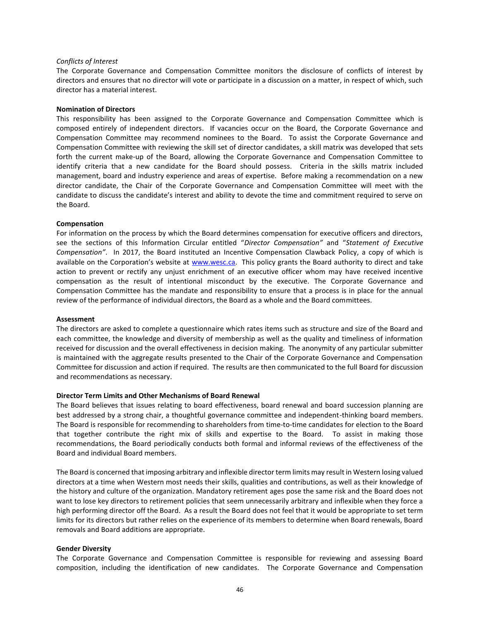#### *Conflicts of Interest*

The Corporate Governance and Compensation Committee monitors the disclosure of conflicts of interest by directors and ensures that no director will vote or participate in a discussion on a matter, in respect of which, such director has a material interest.

#### **Nomination of Directors**

This responsibility has been assigned to the Corporate Governance and Compensation Committee which is composed entirely of independent directors. If vacancies occur on the Board, the Corporate Governance and Compensation Committee may recommend nominees to the Board. To assist the Corporate Governance and Compensation Committee with reviewing the skill set of director candidates, a skill matrix was developed that sets forth the current make-up of the Board, allowing the Corporate Governance and Compensation Committee to identify criteria that a new candidate for the Board should possess. Criteria in the skills matrix included management, board and industry experience and areas of expertise. Before making a recommendation on a new director candidate, the Chair of the Corporate Governance and Compensation Committee will meet with the candidate to discuss the candidate's interest and ability to devote the time and commitment required to serve on the Board.

#### **Compensation**

For information on the process by which the Board determines compensation for executive officers and directors, see the sections of this Information Circular entitled "*Director Compensation"* and "*Statement of Executive Compensation"*. In 2017, the Board instituted an Incentive Compensation Clawback Policy, a copy of which is available on the Corporation's website at [www.wesc.ca.](http://www.wesc.ca/) This policy grants the Board authority to direct and take action to prevent or rectify any unjust enrichment of an executive officer whom may have received incentive compensation as the result of intentional misconduct by the executive. The Corporate Governance and Compensation Committee has the mandate and responsibility to ensure that a process is in place for the annual review of the performance of individual directors, the Board as a whole and the Board committees.

#### **Assessment**

The directors are asked to complete a questionnaire which rates items such as structure and size of the Board and each committee, the knowledge and diversity of membership as well as the quality and timeliness of information received for discussion and the overall effectiveness in decision making. The anonymity of any particular submitter is maintained with the aggregate results presented to the Chair of the Corporate Governance and Compensation Committee for discussion and action if required. The results are then communicated to the full Board for discussion and recommendations as necessary.

#### **Director Term Limits and Other Mechanisms of Board Renewal**

The Board believes that issues relating to board effectiveness, board renewal and board succession planning are best addressed by a strong chair, a thoughtful governance committee and independent-thinking board members. The Board is responsible for recommending to shareholders from time-to-time candidates for election to the Board that together contribute the right mix of skills and expertise to the Board. To assist in making those recommendations, the Board periodically conducts both formal and informal reviews of the effectiveness of the Board and individual Board members.

The Board is concerned that imposing arbitrary and inflexible director term limits may result in Western losing valued directors at a time when Western most needs their skills, qualities and contributions, as well as their knowledge of the history and culture of the organization. Mandatory retirement ages pose the same risk and the Board does not want to lose key directors to retirement policies that seem unnecessarily arbitrary and inflexible when they force a high performing director off the Board. As a result the Board does not feel that it would be appropriate to set term limits for its directors but rather relies on the experience of its members to determine when Board renewals, Board removals and Board additions are appropriate.

#### **Gender Diversity**

The Corporate Governance and Compensation Committee is responsible for reviewing and assessing Board composition, including the identification of new candidates. The Corporate Governance and Compensation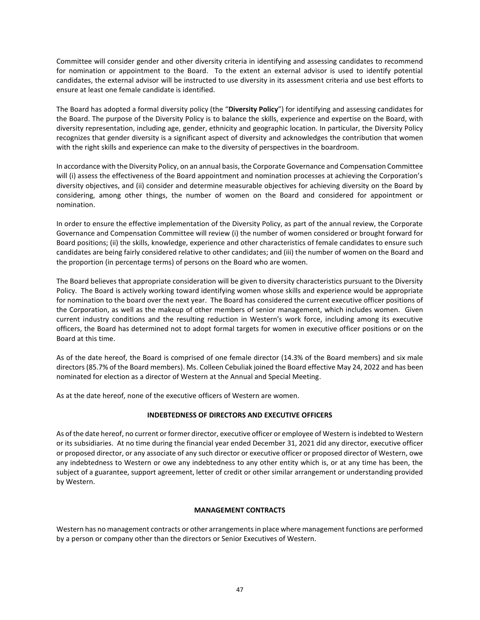Committee will consider gender and other diversity criteria in identifying and assessing candidates to recommend for nomination or appointment to the Board. To the extent an external advisor is used to identify potential candidates, the external advisor will be instructed to use diversity in its assessment criteria and use best efforts to ensure at least one female candidate is identified.

The Board has adopted a formal diversity policy (the "**Diversity Policy**") for identifying and assessing candidates for the Board. The purpose of the Diversity Policy is to balance the skills, experience and expertise on the Board, with diversity representation, including age, gender, ethnicity and geographic location. In particular, the Diversity Policy recognizes that gender diversity is a significant aspect of diversity and acknowledges the contribution that women with the right skills and experience can make to the diversity of perspectives in the boardroom.

In accordance with the Diversity Policy, on an annual basis, the Corporate Governance and Compensation Committee will (i) assess the effectiveness of the Board appointment and nomination processes at achieving the Corporation's diversity objectives, and (ii) consider and determine measurable objectives for achieving diversity on the Board by considering, among other things, the number of women on the Board and considered for appointment or nomination.

In order to ensure the effective implementation of the Diversity Policy, as part of the annual review, the Corporate Governance and Compensation Committee will review (i) the number of women considered or brought forward for Board positions; (ii) the skills, knowledge, experience and other characteristics of female candidates to ensure such candidates are being fairly considered relative to other candidates; and (iii) the number of women on the Board and the proportion (in percentage terms) of persons on the Board who are women.

The Board believes that appropriate consideration will be given to diversity characteristics pursuant to the Diversity Policy. The Board is actively working toward identifying women whose skills and experience would be appropriate for nomination to the board over the next year. The Board has considered the current executive officer positions of the Corporation, as well as the makeup of other members of senior management, which includes women. Given current industry conditions and the resulting reduction in Western's work force, including among its executive officers, the Board has determined not to adopt formal targets for women in executive officer positions or on the Board at this time.

As of the date hereof, the Board is comprised of one female director (14.3% of the Board members) and six male directors (85.7% of the Board members). Ms. Colleen Cebuliak joined the Board effective May 24, 2022 and has been nominated for election as a director of Western at the Annual and Special Meeting.

As at the date hereof, none of the executive officers of Western are women.

# **INDEBTEDNESS OF DIRECTORS AND EXECUTIVE OFFICERS**

As of the date hereof, no current or former director, executive officer or employee of Western is indebted to Western or its subsidiaries. At no time during the financial year ended December 31, 2021 did any director, executive officer or proposed director, or any associate of any such director or executive officer or proposed director of Western, owe any indebtedness to Western or owe any indebtedness to any other entity which is, or at any time has been, the subject of a guarantee, support agreement, letter of credit or other similar arrangement or understanding provided by Western.

# **MANAGEMENT CONTRACTS**

Western has no management contracts or other arrangements in place where management functions are performed by a person or company other than the directors or Senior Executives of Western.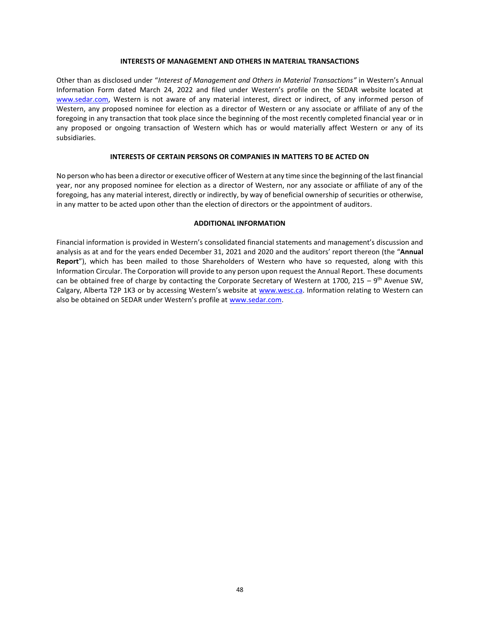#### **INTERESTS OF MANAGEMENT AND OTHERS IN MATERIAL TRANSACTIONS**

Other than as disclosed under "*Interest of Management and Others in Material Transactions"* in Western's Annual Information Form dated March 24, 2022 and filed under Western's profile on the SEDAR website located at [www.sedar.com,](http://www.sedar.com/) Western is not aware of any material interest, direct or indirect, of any informed person of Western, any proposed nominee for election as a director of Western or any associate or affiliate of any of the foregoing in any transaction that took place since the beginning of the most recently completed financial year or in any proposed or ongoing transaction of Western which has or would materially affect Western or any of its subsidiaries.

#### **INTERESTS OF CERTAIN PERSONS OR COMPANIES IN MATTERS TO BE ACTED ON**

No person who has been a director or executive officer of Western at any time since the beginning of the last financial year, nor any proposed nominee for election as a director of Western, nor any associate or affiliate of any of the foregoing, has any material interest, directly or indirectly, by way of beneficial ownership of securities or otherwise, in any matter to be acted upon other than the election of directors or the appointment of auditors.

#### **ADDITIONAL INFORMATION**

Financial information is provided in Western's consolidated financial statements and management's discussion and analysis as at and for the years ended December 31, 2021 and 2020 and the auditors' report thereon (the "**Annual Report**"), which has been mailed to those Shareholders of Western who have so requested, along with this Information Circular. The Corporation will provide to any person upon request the Annual Report. These documents can be obtained free of charge by contacting the Corporate Secretary of Western at 1700, 215 – 9<sup>th</sup> Avenue SW, Calgary, Alberta T2P 1K3 or by accessing Western's website at [www.wesc.ca.](http://www.wesc.ca/) Information relating to Western can also be obtained on SEDAR under Western's profile at [www.sedar.com.](http://www.sedar.com/)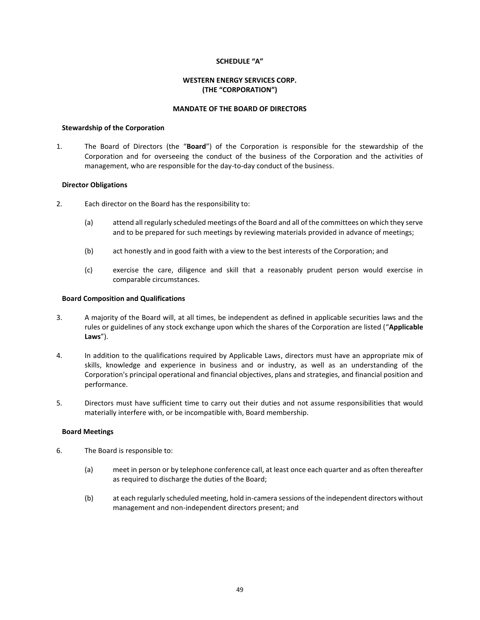# **SCHEDULE "A"**

# **WESTERN ENERGY SERVICES CORP. (THE "CORPORATION")**

# **MANDATE OF THE BOARD OF DIRECTORS**

#### **Stewardship of the Corporation**

1. The Board of Directors (the "**Board**") of the Corporation is responsible for the stewardship of the Corporation and for overseeing the conduct of the business of the Corporation and the activities of management, who are responsible for the day-to-day conduct of the business.

# **Director Obligations**

- 2. Each director on the Board has the responsibility to:
	- (a) attend all regularly scheduled meetings of the Board and all of the committees on which they serve and to be prepared for such meetings by reviewing materials provided in advance of meetings;
	- (b) act honestly and in good faith with a view to the best interests of the Corporation; and
	- (c) exercise the care, diligence and skill that a reasonably prudent person would exercise in comparable circumstances.

#### **Board Composition and Qualifications**

- 3. A majority of the Board will, at all times, be independent as defined in applicable securities laws and the rules or guidelines of any stock exchange upon which the shares of the Corporation are listed ("**Applicable Laws**").
- 4. In addition to the qualifications required by Applicable Laws, directors must have an appropriate mix of skills, knowledge and experience in business and or industry, as well as an understanding of the Corporation's principal operational and financial objectives, plans and strategies, and financial position and performance.
- 5. Directors must have sufficient time to carry out their duties and not assume responsibilities that would materially interfere with, or be incompatible with, Board membership.

#### **Board Meetings**

- 6. The Board is responsible to:
	- (a) meet in person or by telephone conference call, at least once each quarter and as often thereafter as required to discharge the duties of the Board;
	- (b) at each regularly scheduled meeting, hold in-camera sessions of the independent directors without management and non-independent directors present; and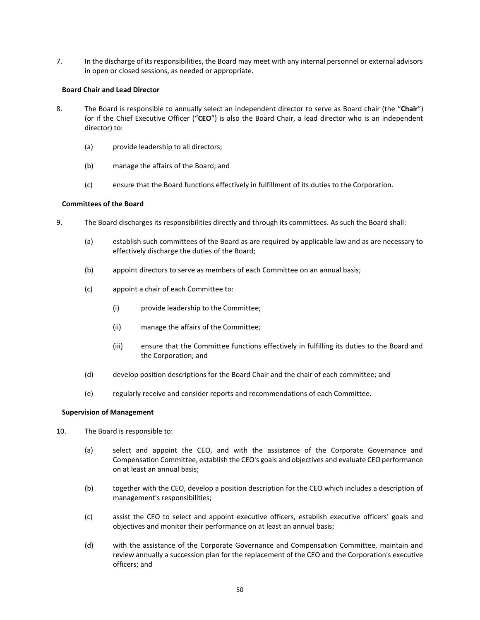7. In the discharge of its responsibilities, the Board may meet with any internal personnel or external advisors in open or closed sessions, as needed or appropriate.

# **Board Chair and Lead Director**

- 8. The Board is responsible to annually select an independent director to serve as Board chair (the "**Chair**") (or if the Chief Executive Officer ("**CEO**") is also the Board Chair, a lead director who is an independent director) to:
	- (a) provide leadership to all directors;
	- (b) manage the affairs of the Board; and
	- (c) ensure that the Board functions effectively in fulfillment of its duties to the Corporation.

# **Committees of the Board**

- 9. The Board discharges its responsibilities directly and through its committees. As such the Board shall:
	- (a) establish such committees of the Board as are required by applicable law and as are necessary to effectively discharge the duties of the Board;
	- (b) appoint directors to serve as members of each Committee on an annual basis;
	- (c) appoint a chair of each Committee to:
		- (i) provide leadership to the Committee;
		- (ii) manage the affairs of the Committee;
		- (iii) ensure that the Committee functions effectively in fulfilling its duties to the Board and the Corporation; and
	- (d) develop position descriptions for the Board Chair and the chair of each committee; and
	- (e) regularly receive and consider reports and recommendations of each Committee.

#### **Supervision of Management**

- 10. The Board is responsible to:
	- (a) select and appoint the CEO, and with the assistance of the Corporate Governance and Compensation Committee, establish the CEO's goals and objectives and evaluate CEO performance on at least an annual basis;
	- (b) together with the CEO, develop a position description for the CEO which includes a description of management's responsibilities;
	- (c) assist the CEO to select and appoint executive officers, establish executive officers' goals and objectives and monitor their performance on at least an annual basis;
	- (d) with the assistance of the Corporate Governance and Compensation Committee, maintain and review annually a succession plan for the replacement of the CEO and the Corporation's executive officers; and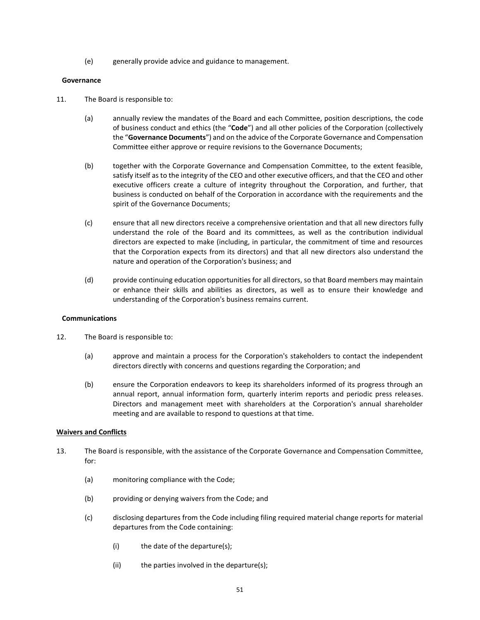(e) generally provide advice and guidance to management.

#### **Governance**

- 11. The Board is responsible to:
	- (a) annually review the mandates of the Board and each Committee, position descriptions, the code of business conduct and ethics (the "**Code**") and all other policies of the Corporation (collectively the "**Governance Documents**") and on the advice of the Corporate Governance and Compensation Committee either approve or require revisions to the Governance Documents;
	- (b) together with the Corporate Governance and Compensation Committee, to the extent feasible, satisfy itself as to the integrity of the CEO and other executive officers, and that the CEO and other executive officers create a culture of integrity throughout the Corporation, and further, that business is conducted on behalf of the Corporation in accordance with the requirements and the spirit of the Governance Documents;
	- (c) ensure that all new directors receive a comprehensive orientation and that all new directors fully understand the role of the Board and its committees, as well as the contribution individual directors are expected to make (including, in particular, the commitment of time and resources that the Corporation expects from its directors) and that all new directors also understand the nature and operation of the Corporation's business; and
	- (d) provide continuing education opportunities for all directors, so that Board members may maintain or enhance their skills and abilities as directors, as well as to ensure their knowledge and understanding of the Corporation's business remains current.

# **Communications**

- 12. The Board is responsible to:
	- (a) approve and maintain a process for the Corporation's stakeholders to contact the independent directors directly with concerns and questions regarding the Corporation; and
	- (b) ensure the Corporation endeavors to keep its shareholders informed of its progress through an annual report, annual information form, quarterly interim reports and periodic press releases. Directors and management meet with shareholders at the Corporation's annual shareholder meeting and are available to respond to questions at that time.

# **Waivers and Conflicts**

- 13. The Board is responsible, with the assistance of the Corporate Governance and Compensation Committee, for:
	- (a) monitoring compliance with the Code;
	- (b) providing or denying waivers from the Code; and
	- (c) disclosing departures from the Code including filing required material change reports for material departures from the Code containing:
		- (i) the date of the departure(s);
		- (ii) the parties involved in the departure(s);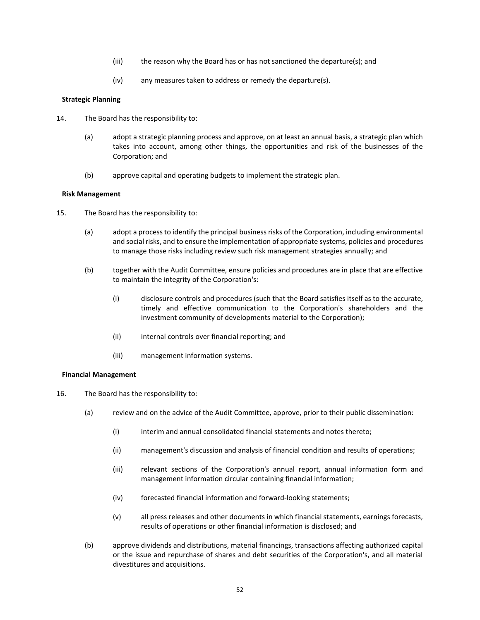- (iii) the reason why the Board has or has not sanctioned the departure(s); and
- (iv) any measures taken to address or remedy the departure(s).

# **Strategic Planning**

- 14. The Board has the responsibility to:
	- (a) adopt a strategic planning process and approve, on at least an annual basis, a strategic plan which takes into account, among other things, the opportunities and risk of the businesses of the Corporation; and
	- (b) approve capital and operating budgets to implement the strategic plan.

#### **Risk Management**

- 15. The Board has the responsibility to:
	- (a) adopt a process to identify the principal business risks of the Corporation, including environmental and social risks, and to ensure the implementation of appropriate systems, policies and procedures to manage those risks including review such risk management strategies annually; and
	- (b) together with the Audit Committee, ensure policies and procedures are in place that are effective to maintain the integrity of the Corporation's:
		- (i) disclosure controls and procedures (such that the Board satisfies itself as to the accurate, timely and effective communication to the Corporation's shareholders and the investment community of developments material to the Corporation);
		- (ii) internal controls over financial reporting; and
		- (iii) management information systems.

#### **Financial Management**

- 16. The Board has the responsibility to:
	- (a) review and on the advice of the Audit Committee, approve, prior to their public dissemination:
		- (i) interim and annual consolidated financial statements and notes thereto;
		- (ii) management's discussion and analysis of financial condition and results of operations;
		- (iii) relevant sections of the Corporation's annual report, annual information form and management information circular containing financial information;
		- (iv) forecasted financial information and forward-looking statements;
		- (v) all press releases and other documents in which financial statements, earnings forecasts, results of operations or other financial information is disclosed; and
	- (b) approve dividends and distributions, material financings, transactions affecting authorized capital or the issue and repurchase of shares and debt securities of the Corporation's, and all material divestitures and acquisitions.